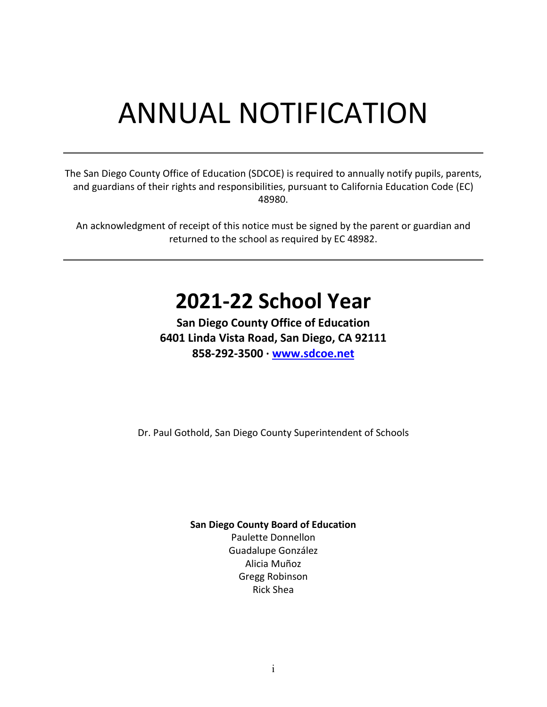# ANNUAL NOTIFICATION

The San Diego County Office of Education (SDCOE) is required to annually notify pupils, parents, and guardians of their rights and responsibilities, pursuant to California Education Code (EC) 48980.

An acknowledgment of receipt of this notice must be signed by the parent or guardian and returned to the school as required by EC 48982.

# **2021-22 School Year**

**San Diego County Office of Education 6401 Linda Vista Road, San Diego, CA 92111 858-292-3500 · [www.sdcoe.net](http://www.sdcoe.net/)**

Dr. Paul Gothold, San Diego County Superintendent of Schools

**San Diego County Board of Education**

Paulette Donnellon Guadalupe González Alicia Muñoz Gregg Robinson Rick Shea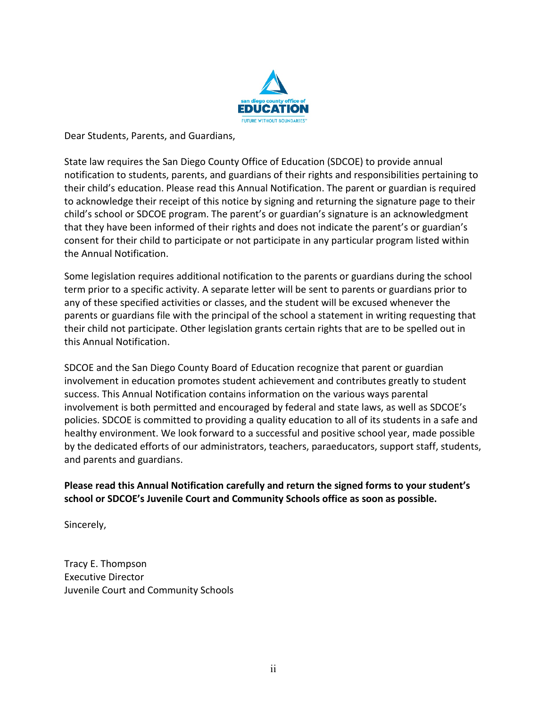

Dear Students, Parents, and Guardians,

State law requires the San Diego County Office of Education (SDCOE) to provide annual notification to students, parents, and guardians of their rights and responsibilities pertaining to their child's education. Please read this Annual Notification. The parent or guardian is required to acknowledge their receipt of this notice by signing and returning the signature page to their child's school or SDCOE program. The parent's or guardian's signature is an acknowledgment that they have been informed of their rights and does not indicate the parent's or guardian's consent for their child to participate or not participate in any particular program listed within the Annual Notification.

Some legislation requires additional notification to the parents or guardians during the school term prior to a specific activity. A separate letter will be sent to parents or guardians prior to any of these specified activities or classes, and the student will be excused whenever the parents or guardians file with the principal of the school a statement in writing requesting that their child not participate. Other legislation grants certain rights that are to be spelled out in this Annual Notification.

SDCOE and the San Diego County Board of Education recognize that parent or guardian involvement in education promotes student achievement and contributes greatly to student success. This Annual Notification contains information on the various ways parental involvement is both permitted and encouraged by federal and state laws, as well as SDCOE's policies. SDCOE is committed to providing a quality education to all of its students in a safe and healthy environment. We look forward to a successful and positive school year, made possible by the dedicated efforts of our administrators, teachers, paraeducators, support staff, students, and parents and guardians.

**Please read this Annual Notification carefully and return the signed forms to your student's school or SDCOE's Juvenile Court and Community Schools office as soon as possible.** 

Sincerely,

Tracy E. Thompson Executive Director Juvenile Court and Community Schools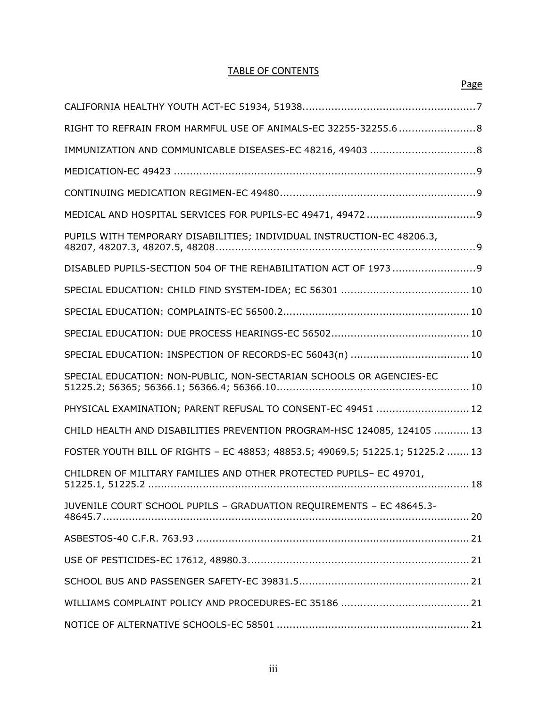#### TABLE OF CONTENTS

Page

| RIGHT TO REFRAIN FROM HARMFUL USE OF ANIMALS-EC 32255-32255.6  8               |
|--------------------------------------------------------------------------------|
| IMMUNIZATION AND COMMUNICABLE DISEASES-EC 48216, 49403  8                      |
|                                                                                |
|                                                                                |
|                                                                                |
|                                                                                |
| DISABLED PUPILS-SECTION 504 OF THE REHABILITATION ACT OF 1973  9               |
|                                                                                |
|                                                                                |
|                                                                                |
| SPECIAL EDUCATION: INSPECTION OF RECORDS-EC 56043(n)  10                       |
| SPECIAL EDUCATION: NON-PUBLIC, NON-SECTARIAN SCHOOLS OR AGENCIES-EC            |
| PHYSICAL EXAMINATION; PARENT REFUSAL TO CONSENT-EC 49451  12                   |
| CHILD HEALTH AND DISABILITIES PREVENTION PROGRAM-HSC 124085, 124105  13        |
| FOSTER YOUTH BILL OF RIGHTS - EC 48853; 48853.5; 49069.5; 51225.1; 51225.2  13 |
| CHILDREN OF MILITARY FAMILIES AND OTHER PROTECTED PUPILS- EC 49701,            |
| JUVENILE COURT SCHOOL PUPILS - GRADUATION REQUIREMENTS - EC 48645.3-           |
|                                                                                |
|                                                                                |
|                                                                                |
|                                                                                |
|                                                                                |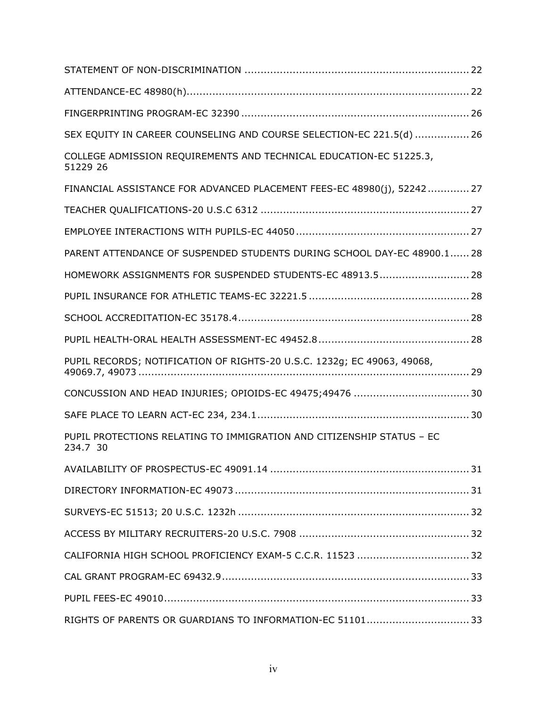| SEX EQUITY IN CAREER COUNSELING AND COURSE SELECTION-EC 221.5(d)  26              |
|-----------------------------------------------------------------------------------|
| COLLEGE ADMISSION REQUIREMENTS AND TECHNICAL EDUCATION-EC 51225.3,<br>51229 26    |
| FINANCIAL ASSISTANCE FOR ADVANCED PLACEMENT FEES-EC 48980(j), 52242 27            |
|                                                                                   |
|                                                                                   |
| PARENT ATTENDANCE OF SUSPENDED STUDENTS DURING SCHOOL DAY-EC 48900.1 28           |
| HOMEWORK ASSIGNMENTS FOR SUSPENDED STUDENTS-EC 48913.5 28                         |
|                                                                                   |
|                                                                                   |
|                                                                                   |
| PUPIL RECORDS; NOTIFICATION OF RIGHTS-20 U.S.C. 1232g; EC 49063, 49068,           |
|                                                                                   |
|                                                                                   |
| PUPIL PROTECTIONS RELATING TO IMMIGRATION AND CITIZENSHIP STATUS - EC<br>234.7 30 |
|                                                                                   |
|                                                                                   |
|                                                                                   |
|                                                                                   |
| CALIFORNIA HIGH SCHOOL PROFICIENCY EXAM-5 C.C.R. 11523  32                        |
|                                                                                   |
|                                                                                   |
| RIGHTS OF PARENTS OR GUARDIANS TO INFORMATION-EC 51101 33                         |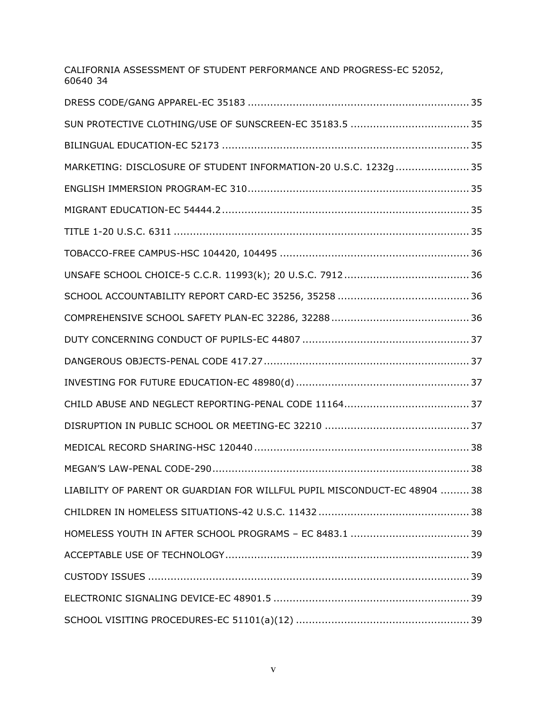| CALIFORNIA ASSESSMENT OF STUDENT PERFORMANCE AND PROGRESS-EC 52052,<br>60640 34 |
|---------------------------------------------------------------------------------|
|                                                                                 |
|                                                                                 |
|                                                                                 |
| MARKETING: DISCLOSURE OF STUDENT INFORMATION-20 U.S.C. 1232g  35                |
|                                                                                 |
|                                                                                 |
|                                                                                 |
|                                                                                 |
|                                                                                 |
|                                                                                 |
|                                                                                 |
|                                                                                 |
|                                                                                 |
|                                                                                 |
|                                                                                 |
|                                                                                 |
|                                                                                 |
|                                                                                 |
| LIABILITY OF PARENT OR GUARDIAN FOR WILLFUL PUPIL MISCONDUCT-EC 48904  38       |
|                                                                                 |
|                                                                                 |
|                                                                                 |
|                                                                                 |
|                                                                                 |
|                                                                                 |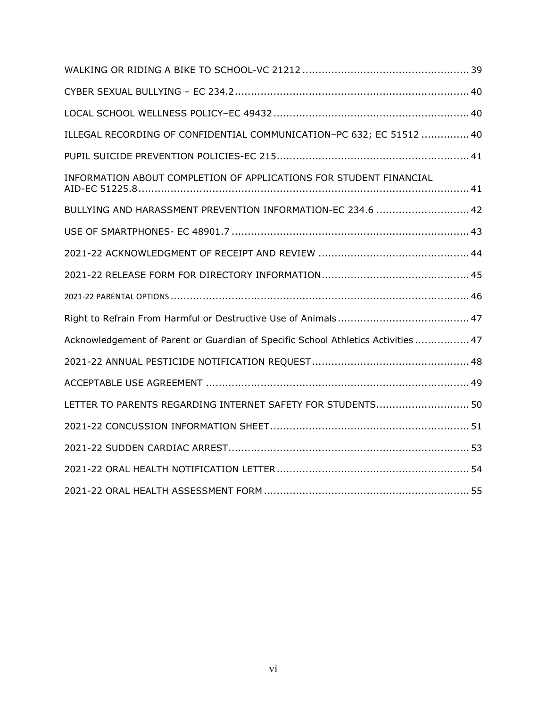| ILLEGAL RECORDING OF CONFIDENTIAL COMMUNICATION-PC 632; EC 51512  40              |
|-----------------------------------------------------------------------------------|
|                                                                                   |
| INFORMATION ABOUT COMPLETION OF APPLICATIONS FOR STUDENT FINANCIAL                |
| BULLYING AND HARASSMENT PREVENTION INFORMATION-EC 234.6  42                       |
|                                                                                   |
|                                                                                   |
|                                                                                   |
|                                                                                   |
|                                                                                   |
|                                                                                   |
| Acknowledgement of Parent or Guardian of Specific School Athletics Activities  47 |
|                                                                                   |
|                                                                                   |
| LETTER TO PARENTS REGARDING INTERNET SAFETY FOR STUDENTS 50                       |
|                                                                                   |
|                                                                                   |
|                                                                                   |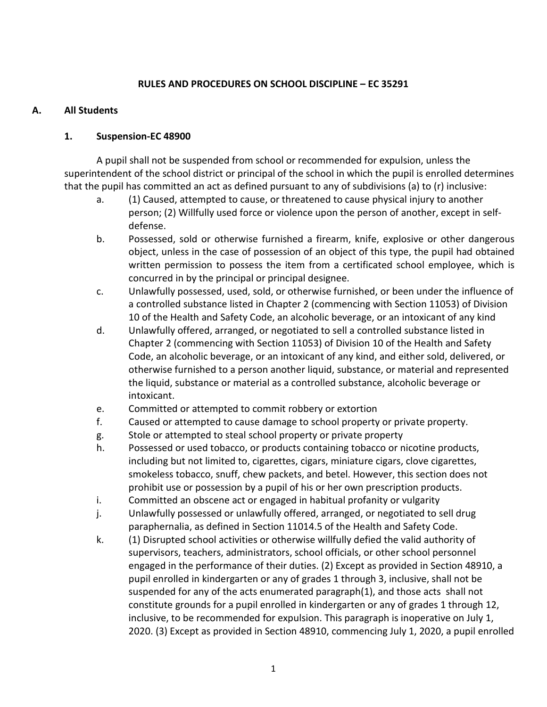#### **RULES AND PROCEDURES ON SCHOOL DISCIPLINE – EC 35291**

#### **A. All Students**

#### **1. Suspension-EC 48900**

A pupil shall not be suspended from school or recommended for expulsion, unless the superintendent of the school district or principal of the school in which the pupil is enrolled determines that the pupil has committed an act as defined pursuant to any of subdivisions (a) to (r) inclusive:

- a. (1) Caused, attempted to cause, or threatened to cause physical injury to another person; (2) Willfully used force or violence upon the person of another, except in selfdefense.
- b. Possessed, sold or otherwise furnished a firearm, knife, explosive or other dangerous object, unless in the case of possession of an object of this type, the pupil had obtained written permission to possess the item from a certificated school employee, which is concurred in by the principal or principal designee.
- c. Unlawfully possessed, used, sold, or otherwise furnished, or been under the influence of a controlled substance listed in Chapter 2 (commencing with Section 11053) of Division 10 of the Health and Safety Code, an alcoholic beverage, or an intoxicant of any kind
- d. Unlawfully offered, arranged, or negotiated to sell a controlled substance listed in Chapter 2 (commencing with Section 11053) of Division 10 of the Health and Safety Code, an alcoholic beverage, or an intoxicant of any kind, and either sold, delivered, or otherwise furnished to a person another liquid, substance, or material and represented the liquid, substance or material as a controlled substance, alcoholic beverage or intoxicant.
- e. Committed or attempted to commit robbery or extortion
- f. Caused or attempted to cause damage to school property or private property.
- g. Stole or attempted to steal school property or private property
- h. Possessed or used tobacco, or products containing tobacco or nicotine products, including but not limited to, cigarettes, cigars, miniature cigars, clove cigarettes, smokeless tobacco, snuff, chew packets, and betel. However, this section does not prohibit use or possession by a pupil of his or her own prescription products.
- i. Committed an obscene act or engaged in habitual profanity or vulgarity
- j. Unlawfully possessed or unlawfully offered, arranged, or negotiated to sell drug paraphernalia, as defined in Section 11014.5 of the Health and Safety Code.
- k. (1) Disrupted school activities or otherwise willfully defied the valid authority of supervisors, teachers, administrators, school officials, or other school personnel engaged in the performance of their duties. (2) Except as provided in Section 48910, a pupil enrolled in kindergarten or any of grades 1 through 3, inclusive, shall not be suspended for any of the acts enumerated paragraph(1), and those acts shall not constitute grounds for a pupil enrolled in kindergarten or any of grades 1 through 12, inclusive, to be recommended for expulsion. This paragraph is inoperative on July 1, 2020. (3) Except as provided in Section 48910, commencing July 1, 2020, a pupil enrolled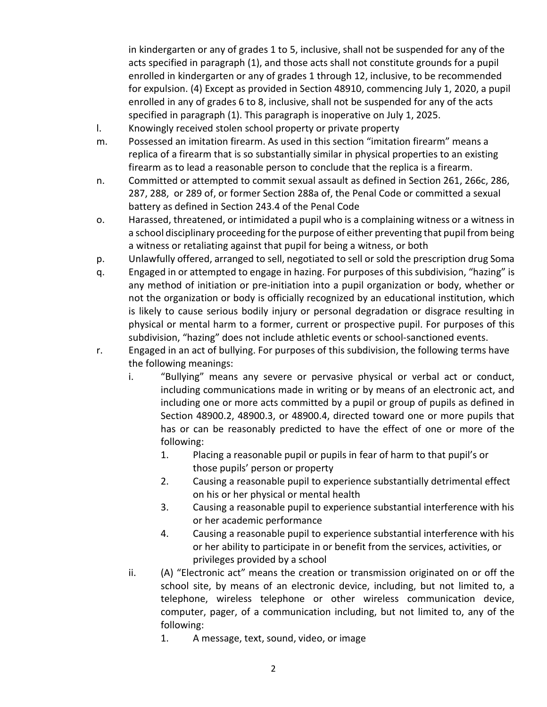in kindergarten or any of grades 1 to 5, inclusive, shall not be suspended for any of the acts specified in paragraph (1), and those acts shall not constitute grounds for a pupil enrolled in kindergarten or any of grades 1 through 12, inclusive, to be recommended for expulsion. (4) Except as provided in Section 48910, commencing July 1, 2020, a pupil enrolled in any of grades 6 to 8, inclusive, shall not be suspended for any of the acts specified in paragraph (1). This paragraph is inoperative on July 1, 2025.

- l. Knowingly received stolen school property or private property
- m. Possessed an imitation firearm. As used in this section "imitation firearm" means a replica of a firearm that is so substantially similar in physical properties to an existing firearm as to lead a reasonable person to conclude that the replica is a firearm.
- n. Committed or attempted to commit sexual assault as defined in Section 261, 266c, 286, 287, 288, or 289 of, or former Section 288a of, the Penal Code or committed a sexual battery as defined in Section 243.4 of the Penal Code
- o. Harassed, threatened, or intimidated a pupil who is a complaining witness or a witness in a school disciplinary proceeding for the purpose of either preventing that pupil from being a witness or retaliating against that pupil for being a witness, or both
- p. Unlawfully offered, arranged to sell, negotiated to sell or sold the prescription drug Soma
- q. Engaged in or attempted to engage in hazing. For purposes of this subdivision, "hazing" is any method of initiation or pre-initiation into a pupil organization or body, whether or not the organization or body is officially recognized by an educational institution, which is likely to cause serious bodily injury or personal degradation or disgrace resulting in physical or mental harm to a former, current or prospective pupil. For purposes of this subdivision, "hazing" does not include athletic events or school-sanctioned events.
- r. Engaged in an act of bullying. For purposes of this subdivision, the following terms have the following meanings:
	- i. "Bullying" means any severe or pervasive physical or verbal act or conduct, including communications made in writing or by means of an electronic act, and including one or more acts committed by a pupil or group of pupils as defined in Section 48900.2, 48900.3, or 48900.4, directed toward one or more pupils that has or can be reasonably predicted to have the effect of one or more of the following:
		- 1. Placing a reasonable pupil or pupils in fear of harm to that pupil's or those pupils' person or property
		- 2. Causing a reasonable pupil to experience substantially detrimental effect on his or her physical or mental health
		- 3. Causing a reasonable pupil to experience substantial interference with his or her academic performance
		- 4. Causing a reasonable pupil to experience substantial interference with his or her ability to participate in or benefit from the services, activities, or privileges provided by a school
	- ii. (A) "Electronic act" means the creation or transmission originated on or off the school site, by means of an electronic device, including, but not limited to, a telephone, wireless telephone or other wireless communication device, computer, pager, of a communication including, but not limited to, any of the following:
		- 1. A message, text, sound, video, or image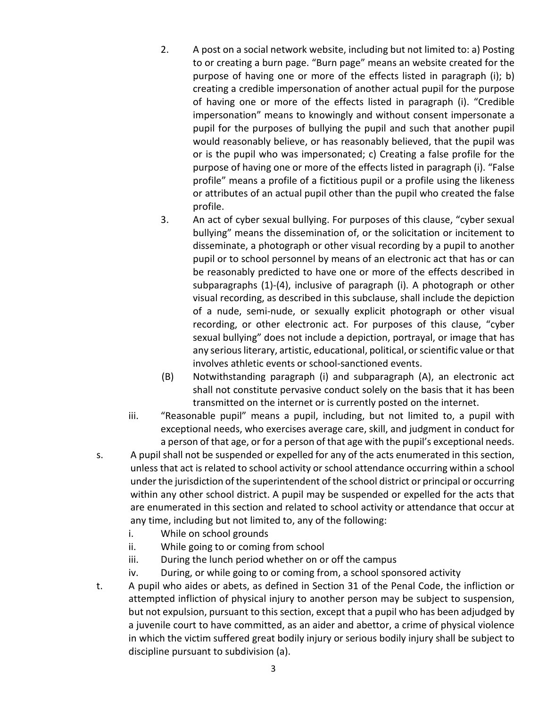- 2. A post on a social network website, including but not limited to: a) Posting to or creating a burn page. "Burn page" means an website created for the purpose of having one or more of the effects listed in paragraph (i); b) creating a credible impersonation of another actual pupil for the purpose of having one or more of the effects listed in paragraph (i). "Credible impersonation" means to knowingly and without consent impersonate a pupil for the purposes of bullying the pupil and such that another pupil would reasonably believe, or has reasonably believed, that the pupil was or is the pupil who was impersonated; c) Creating a false profile for the purpose of having one or more of the effects listed in paragraph (i). "False profile" means a profile of a fictitious pupil or a profile using the likeness or attributes of an actual pupil other than the pupil who created the false profile.
- 3. An act of cyber sexual bullying. For purposes of this clause, "cyber sexual bullying" means the dissemination of, or the solicitation or incitement to disseminate, a photograph or other visual recording by a pupil to another pupil or to school personnel by means of an electronic act that has or can be reasonably predicted to have one or more of the effects described in subparagraphs (1)-(4), inclusive of paragraph (i). A photograph or other visual recording, as described in this subclause, shall include the depiction of a nude, semi-nude, or sexually explicit photograph or other visual recording, or other electronic act. For purposes of this clause, "cyber sexual bullying" does not include a depiction, portrayal, or image that has any serious literary, artistic, educational, political, or scientific value or that involves athletic events or school-sanctioned events.
- (B) Notwithstanding paragraph (i) and subparagraph (A), an electronic act shall not constitute pervasive conduct solely on the basis that it has been transmitted on the internet or is currently posted on the internet.
- iii. "Reasonable pupil" means a pupil, including, but not limited to, a pupil with exceptional needs, who exercises average care, skill, and judgment in conduct for a person of that age, or for a person of that age with the pupil's exceptional needs.
- s. A pupil shall not be suspended or expelled for any of the acts enumerated in this section, unless that act is related to school activity or school attendance occurring within a school under the jurisdiction of the superintendent of the school district or principal or occurring within any other school district. A pupil may be suspended or expelled for the acts that are enumerated in this section and related to school activity or attendance that occur at any time, including but not limited to, any of the following:
	- i. While on school grounds
	- ii. While going to or coming from school
	- iii. During the lunch period whether on or off the campus
	- iv. During, or while going to or coming from, a school sponsored activity
- t. A pupil who aides or abets, as defined in Section 31 of the Penal Code, the infliction or attempted infliction of physical injury to another person may be subject to suspension, but not expulsion, pursuant to this section, except that a pupil who has been adjudged by a juvenile court to have committed, as an aider and abettor, a crime of physical violence in which the victim suffered great bodily injury or serious bodily injury shall be subject to discipline pursuant to subdivision (a).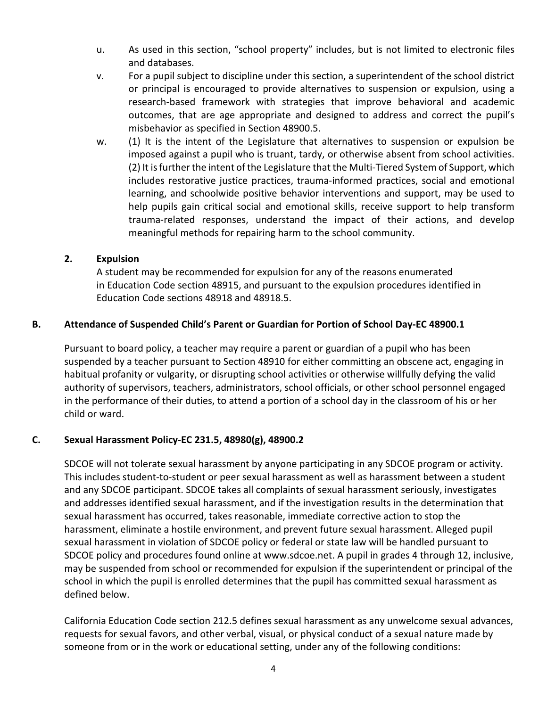- u. As used in this section, "school property" includes, but is not limited to electronic files and databases.
- v. For a pupil subject to discipline under this section, a superintendent of the school district or principal is encouraged to provide alternatives to suspension or expulsion, using a research-based framework with strategies that improve behavioral and academic outcomes, that are age appropriate and designed to address and correct the pupil's misbehavior as specified in Section 48900.5.
- w. (1) It is the intent of the Legislature that alternatives to suspension or expulsion be imposed against a pupil who is truant, tardy, or otherwise absent from school activities. (2) It is further the intent of the Legislature that the Multi-Tiered System of Support, which includes restorative justice practices, trauma-informed practices, social and emotional learning, and schoolwide positive behavior interventions and support, may be used to help pupils gain critical social and emotional skills, receive support to help transform trauma-related responses, understand the impact of their actions, and develop meaningful methods for repairing harm to the school community.

#### **2. Expulsion**

A student may be recommended for expulsion for any of the reasons enumerated in Education Code section 48915, and pursuant to the expulsion procedures identified in Education Code sections 48918 and 48918.5.

#### **B. Attendance of Suspended Child's Parent or Guardian for Portion of School Day-EC 48900.1**

Pursuant to board policy, a teacher may require a parent or guardian of a pupil who has been suspended by a teacher pursuant to Section 48910 for either committing an obscene act, engaging in habitual profanity or vulgarity, or disrupting school activities or otherwise willfully defying the valid authority of supervisors, teachers, administrators, school officials, or other school personnel engaged in the performance of their duties, to attend a portion of a school day in the classroom of his or her child or ward.

#### **C. Sexual Harassment Policy-EC 231.5, 48980(g), 48900.2**

SDCOE will not tolerate sexual harassment by anyone participating in any SDCOE program or activity. This includes student-to-student or peer sexual harassment as well as harassment between a student and any SDCOE participant. SDCOE takes all complaints of sexual harassment seriously, investigates and addresses identified sexual harassment, and if the investigation results in the determination that sexual harassment has occurred, takes reasonable, immediate corrective action to stop the harassment, eliminate a hostile environment, and prevent future sexual harassment. Alleged pupil sexual harassment in violation of SDCOE policy or federal or state law will be handled pursuant to SDCOE policy and procedures found online at www.sdcoe.net. A pupil in grades 4 through 12, inclusive, may be suspended from school or recommended for expulsion if the superintendent or principal of the school in which the pupil is enrolled determines that the pupil has committed sexual harassment as defined below.

California Education Code section 212.5 defines sexual harassment as any unwelcome sexual advances, requests for sexual favors, and other verbal, visual, or physical conduct of a sexual nature made by someone from or in the work or educational setting, under any of the following conditions: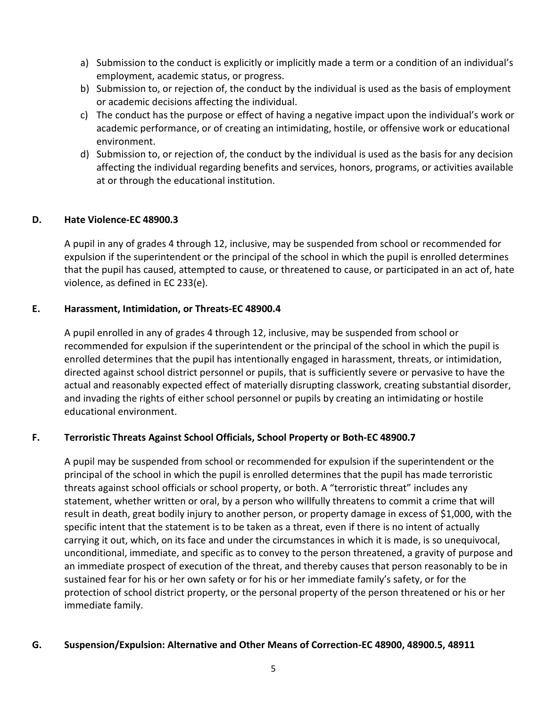- a) Submission to the conduct is explicitly or implicitly made a term or a condition of an individual's employment, academic status, or progress.
- b) Submission to, or rejection of, the conduct by the individual is used as the basis of employment or academic decisions affecting the individual.
- c) The conduct has the purpose or effect of having a negative impact upon the individual's work or academic performance, or of creating an intimidating, hostile, or offensive work or educational environment.
- d) Submission to, or rejection of, the conduct by the individual is used as the basis for any decision affecting the individual regarding benefits and services, honors, programs, or activities available at or through the educational institution.

#### **D. Hate Violence-EC 48900.3**

A pupil in any of grades 4 through 12, inclusive, may be suspended from school or recommended for expulsion if the superintendent or the principal of the school in which the pupil is enrolled determines that the pupil has caused, attempted to cause, or threatened to cause, or participated in an act of, hate violence, as defined in EC 233(e).

#### **E. Harassment, Intimidation, or Threats-EC 48900.4**

A pupil enrolled in any of grades 4 through 12, inclusive, may be suspended from school or recommended for expulsion if the superintendent or the principal of the school in which the pupil is enrolled determines that the pupil has intentionally engaged in harassment, threats, or intimidation, directed against school district personnel or pupils, that is sufficiently severe or pervasive to have the actual and reasonably expected effect of materially disrupting classwork, creating substantial disorder, and invading the rights of either school personnel or pupils by creating an intimidating or hostile educational environment.

#### **F. Terroristic Threats Against School Officials, School Property or Both-EC 48900.7**

A pupil may be suspended from school or recommended for expulsion if the superintendent or the principal of the school in which the pupil is enrolled determines that the pupil has made terroristic threats against school officials or school property, or both. A "terroristic threat" includes any statement, whether written or oral, by a person who willfully threatens to commit a crime that will result in death, great bodily injury to another person, or property damage in excess of \$1,000, with the specific intent that the statement is to be taken as a threat, even if there is no intent of actually carrying it out, which, on its face and under the circumstances in which it is made, is so unequivocal, unconditional, immediate, and specific as to convey to the person threatened, a gravity of purpose and an immediate prospect of execution of the threat, and thereby causes that person reasonably to be in sustained fear for his or her own safety or for his or her immediate family's safety, or for the protection of school district property, or the personal property of the person threatened or his or her immediate family.

#### **G. Suspension/Expulsion: Alternative and Other Means of Correction-EC 48900, 48900.5, 48911**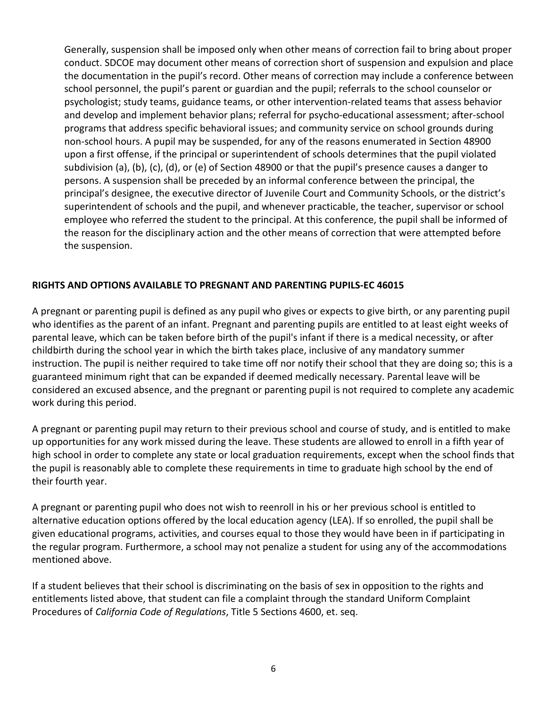Generally, suspension shall be imposed only when other means of correction fail to bring about proper conduct. SDCOE may document other means of correction short of suspension and expulsion and place the documentation in the pupil's record. Other means of correction may include a conference between school personnel, the pupil's parent or guardian and the pupil; referrals to the school counselor or psychologist; study teams, guidance teams, or other intervention-related teams that assess behavior and develop and implement behavior plans; referral for psycho-educational assessment; after-school programs that address specific behavioral issues; and community service on school grounds during non-school hours. A pupil may be suspended, for any of the reasons enumerated in Section 48900 upon a first offense, if the principal or superintendent of schools determines that the pupil violated subdivision (a), (b), (c), (d), or (e) of Section 48900 or that the pupil's presence causes a danger to persons. A suspension shall be preceded by an informal conference between the principal, the principal's designee, the executive director of Juvenile Court and Community Schools, or the district's superintendent of schools and the pupil, and whenever practicable, the teacher, supervisor or school employee who referred the student to the principal. At this conference, the pupil shall be informed of the reason for the disciplinary action and the other means of correction that were attempted before the suspension.

#### **RIGHTS AND OPTIONS AVAILABLE TO PREGNANT AND PARENTING PUPILS-EC 46015**

A pregnant or parenting pupil is defined as any pupil who gives or expects to give birth, or any parenting pupil who identifies as the parent of an infant. Pregnant and parenting pupils are entitled to at least eight weeks of parental leave, which can be taken before birth of the pupil's infant if there is a medical necessity, or after childbirth during the school year in which the birth takes place, inclusive of any mandatory summer instruction. The pupil is neither required to take time off nor notify their school that they are doing so; this is a guaranteed minimum right that can be expanded if deemed medically necessary. Parental leave will be considered an excused absence, and the pregnant or parenting pupil is not required to complete any academic work during this period.

A pregnant or parenting pupil may return to their previous school and course of study, and is entitled to make up opportunities for any work missed during the leave. These students are allowed to enroll in a fifth year of high school in order to complete any state or local graduation requirements, except when the school finds that the pupil is reasonably able to complete these requirements in time to graduate high school by the end of their fourth year.

A pregnant or parenting pupil who does not wish to reenroll in his or her previous school is entitled to alternative education options offered by the local education agency (LEA). If so enrolled, the pupil shall be given educational programs, activities, and courses equal to those they would have been in if participating in the regular program. Furthermore, a school may not penalize a student for using any of the accommodations mentioned above.

If a student believes that their school is discriminating on the basis of sex in opposition to the rights and entitlements listed above, that student can file a complaint through the standard Uniform Complaint Procedures of *California Code of Regulations*, Title 5 Sections 4600, et. seq.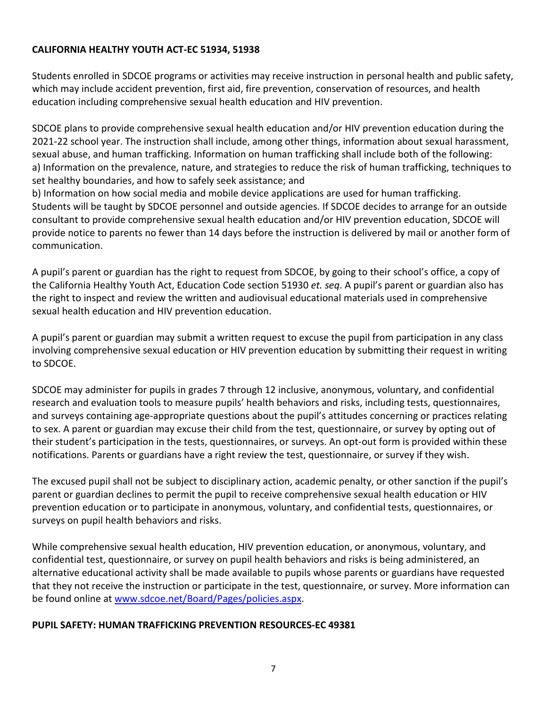### <span id="page-12-0"></span>**CALIFORNIA HEALTHY YOUTH ACT-EC 51934, 51938**

Students enrolled in SDCOE programs or activities may receive instruction in personal health and public safety, which may include accident prevention, first aid, fire prevention, conservation of resources, and health education including comprehensive sexual health education and HIV prevention.

SDCOE plans to provide comprehensive sexual health education and/or HIV prevention education during the 2021-22 school year. The instruction shall include, among other things, information about sexual harassment, sexual abuse, and human trafficking. Information on human trafficking shall include both of the following: a) Information on the prevalence, nature, and strategies to reduce the risk of human trafficking, techniques to set healthy boundaries, and how to safely seek assistance; and

b) Information on how social media and mobile device applications are used for human trafficking. Students will be taught by SDCOE personnel and outside agencies. If SDCOE decides to arrange for an outside consultant to provide comprehensive sexual health education and/or HIV prevention education, SDCOE will provide notice to parents no fewer than 14 days before the instruction is delivered by mail or another form of communication.

A pupil's parent or guardian has the right to request from SDCOE, by going to their school's office, a copy of the California Healthy Youth Act, Education Code section 51930 *et. seq*. A pupil's parent or guardian also has the right to inspect and review the written and audiovisual educational materials used in comprehensive sexual health education and HIV prevention education.

A pupil's parent or guardian may submit a written request to excuse the pupil from participation in any class involving comprehensive sexual education or HIV prevention education by submitting their request in writing to SDCOE.

SDCOE may administer for pupils in grades 7 through 12 inclusive, anonymous, voluntary, and confidential research and evaluation tools to measure pupils' health behaviors and risks, including tests, questionnaires, and surveys containing age-appropriate questions about the pupil's attitudes concerning or practices relating to sex. A parent or guardian may excuse their child from the test, questionnaire, or survey by opting out of their student's participation in the tests, questionnaires, or surveys. An opt-out form is provided within these notifications. Parents or guardians have a right review the test, questionnaire, or survey if they wish.

The excused pupil shall not be subject to disciplinary action, academic penalty, or other sanction if the pupil's parent or guardian declines to permit the pupil to receive comprehensive sexual health education or HIV prevention education or to participate in anonymous, voluntary, and confidential tests, questionnaires, or surveys on pupil health behaviors and risks.

While comprehensive sexual health education, HIV prevention education, or anonymous, voluntary, and confidential test, questionnaire, or survey on pupil health behaviors and risks is being administered, an alternative educational activity shall be made available to pupils whose parents or guardians have requested that they not receive the instruction or participate in the test, questionnaire, or survey. More information can be found online at [www.sdcoe.net/Board/Pages/policies.aspx.](https://www.sdcoe.net/Board/Pages/policies.aspx)

#### **PUPIL SAFETY: HUMAN TRAFFICKING PREVENTION RESOURCES-EC 49381**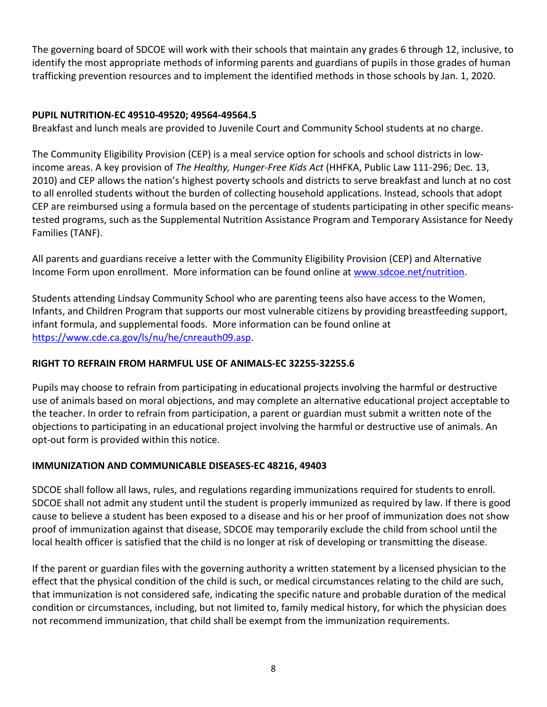The governing board of SDCOE will work with their schools that maintain any grades 6 through 12, inclusive, to identify the most appropriate methods of informing parents and guardians of pupils in those grades of human trafficking prevention resources and to implement the identified methods in those schools by Jan. 1, 2020.

# **PUPIL NUTRITION-EC 49510-49520; 49564-49564.5**

Breakfast and lunch meals are provided to Juvenile Court and Community School students at no charge.

The Community Eligibility Provision (CEP) is a meal service option for schools and school districts in lowincome areas. A key provision of *The Healthy, Hunger-Free Kids Act* (HHFKA, Public Law 111-296; Dec. 13, 2010) and CEP allows the nation's highest poverty schools and districts to serve breakfast and lunch at no cost to all enrolled students without the burden of collecting household applications. Instead, schools that adopt CEP are reimbursed using a formula based on the percentage of students participating in other specific meanstested programs, such as the Supplemental Nutrition Assistance Program and Temporary Assistance for Needy Families (TANF).

All parents and guardians receive a letter with the Community Eligibility Provision (CEP) and Alternative Income Form upon enrollment. More information can be found online at [www.sdcoe.net/nutrition.](http://www.sdcoe.net/nutrition)

Students attending Lindsay Community School who are parenting teens also have access to the Women, Infants, and Children Program that supports our most vulnerable citizens by providing breastfeeding support, infant formula, and supplemental foods. More information can be found online at [https://www.cde.ca.gov/ls/nu/he/cnreauth09.asp.](https://www.cde.ca.gov/ls/nu/he/cnreauth09.asp)

# <span id="page-13-0"></span>**RIGHT TO REFRAIN FROM HARMFUL USE OF ANIMALS-EC 32255-32255.6**

Pupils may choose to refrain from participating in educational projects involving the harmful or destructive use of animals based on moral objections, and may complete an alternative educational project acceptable to the teacher. In order to refrain from participation, a parent or guardian must submit a written note of the objections to participating in an educational project involving the harmful or destructive use of animals. An opt-out form is provided within this notice.

#### <span id="page-13-1"></span>**IMMUNIZATION AND COMMUNICABLE DISEASES-EC 48216, 49403**

SDCOE shall follow all laws, rules, and regulations regarding immunizations required for students to enroll. SDCOE shall not admit any student until the student is properly immunized as required by law. If there is good cause to believe a student has been exposed to a disease and his or her proof of immunization does not show proof of immunization against that disease, SDCOE may temporarily exclude the child from school until the local health officer is satisfied that the child is no longer at risk of developing or transmitting the disease.

If the parent or guardian files with the governing authority a written statement by a licensed physician to the effect that the physical condition of the child is such, or medical circumstances relating to the child are such, that immunization is not considered safe, indicating the specific nature and probable duration of the medical condition or circumstances, including, but not limited to, family medical history, for which the physician does not recommend immunization, that child shall be exempt from the immunization requirements.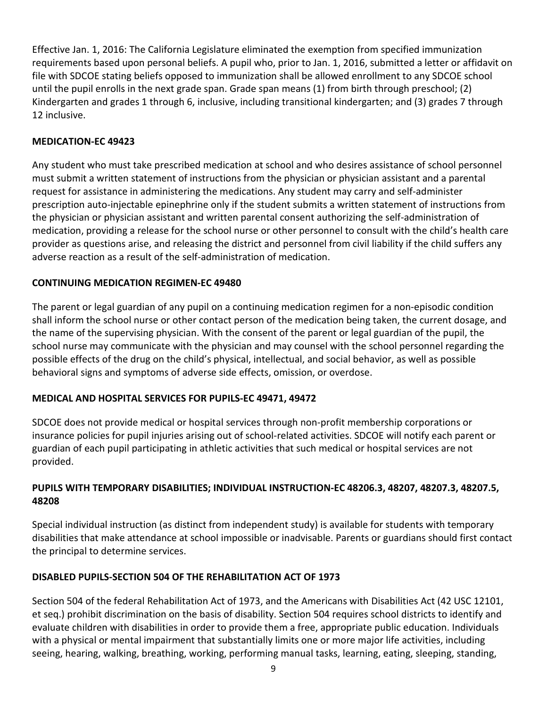Effective Jan. 1, 2016: The California Legislature eliminated the exemption from specified immunization requirements based upon personal beliefs. A pupil who, prior to Jan. 1, 2016, submitted a letter or affidavit on file with SDCOE stating beliefs opposed to immunization shall be allowed enrollment to any SDCOE school until the pupil enrolls in the next grade span. Grade span means (1) from birth through preschool; (2) Kindergarten and grades 1 through 6, inclusive, including transitional kindergarten; and (3) grades 7 through 12 inclusive.

### <span id="page-14-0"></span>**MEDICATION-EC 49423**

Any student who must take prescribed medication at school and who desires assistance of school personnel must submit a written statement of instructions from the physician or physician assistant and a parental request for assistance in administering the medications. Any student may carry and self-administer prescription auto-injectable epinephrine only if the student submits a written statement of instructions from the physician or physician assistant and written parental consent authorizing the self-administration of medication, providing a release for the school nurse or other personnel to consult with the child's health care provider as questions arise, and releasing the district and personnel from civil liability if the child suffers any adverse reaction as a result of the self-administration of medication.

# <span id="page-14-1"></span>**CONTINUING MEDICATION REGIMEN-EC 49480**

The parent or legal guardian of any pupil on a continuing medication regimen for a non-episodic condition shall inform the school nurse or other contact person of the medication being taken, the current dosage, and the name of the supervising physician. With the consent of the parent or legal guardian of the pupil, the school nurse may communicate with the physician and may counsel with the school personnel regarding the possible effects of the drug on the child's physical, intellectual, and social behavior, as well as possible behavioral signs and symptoms of adverse side effects, omission, or overdose.

# <span id="page-14-2"></span>**MEDICAL AND HOSPITAL SERVICES FOR PUPILS-EC 49471, 49472**

SDCOE does not provide medical or hospital services through non-profit membership corporations or insurance policies for pupil injuries arising out of school-related activities. SDCOE will notify each parent or guardian of each pupil participating in athletic activities that such medical or hospital services are not provided.

# <span id="page-14-3"></span>**PUPILS WITH TEMPORARY DISABILITIES; INDIVIDUAL INSTRUCTION-EC 48206.3, 48207, 48207.3, 48207.5, 48208**

Special individual instruction (as distinct from independent study) is available for students with temporary disabilities that make attendance at school impossible or inadvisable. Parents or guardians should first contact the principal to determine services.

# <span id="page-14-4"></span>**DISABLED PUPILS-SECTION 504 OF THE REHABILITATION ACT OF 1973**

Section 504 of the federal Rehabilitation Act of 1973, and the Americans with Disabilities Act (42 USC 12101, et seq.) prohibit discrimination on the basis of disability. Section 504 requires school districts to identify and evaluate children with disabilities in order to provide them a free, appropriate public education. Individuals with a physical or mental impairment that substantially limits one or more major life activities, including seeing, hearing, walking, breathing, working, performing manual tasks, learning, eating, sleeping, standing,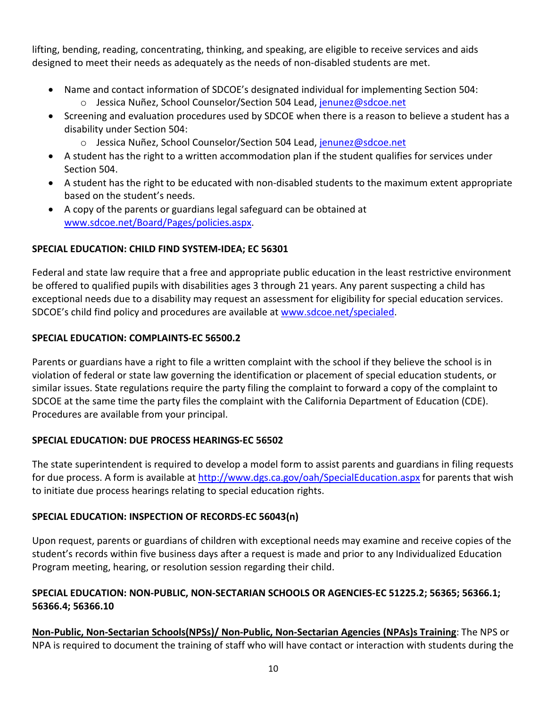lifting, bending, reading, concentrating, thinking, and speaking, are eligible to receive services and aids designed to meet their needs as adequately as the needs of non-disabled students are met.

- Name and contact information of SDCOE's designated individual for implementing Section 504: o Jessica Nuñez, School Counselor/Section 504 Lead, [jenunez@sdcoe.net](mailto:jenunez@sdcoe.net)
- Screening and evaluation procedures used by SDCOE when there is a reason to believe a student has a disability under Section 504:
	- o Jessica Nuñez, School Counselor/Section 504 Lead, [jenunez@sdcoe.net](mailto:jenunez@sdcoe.net)
- A student has the right to a written accommodation plan if the student qualifies for services under Section 504.
- A student has the right to be educated with non-disabled students to the maximum extent appropriate based on the student's needs.
- A copy of the parents or guardians legal safeguard can be obtained at [www.sdcoe.net/Board/Pages/policies.aspx.](https://www.sdcoe.net/Board/Pages/policies.aspx)

#### <span id="page-15-0"></span>**SPECIAL EDUCATION: CHILD FIND SYSTEM-IDEA; EC 56301**

Federal and state law require that a free and appropriate public education in the least restrictive environment be offered to qualified pupils with disabilities ages 3 through 21 years. Any parent suspecting a child has exceptional needs due to a disability may request an assessment for eligibility for special education services. SDCOE's child find policy and procedures are available at [www.sdcoe.net/specialed.](http://www.sdcoe.net/specialed)

#### <span id="page-15-1"></span>**SPECIAL EDUCATION: COMPLAINTS-EC 56500.2**

Parents or guardians have a right to file a written complaint with the school if they believe the school is in violation of federal or state law governing the identification or placement of special education students, or similar issues. State regulations require the party filing the complaint to forward a copy of the complaint to SDCOE at the same time the party files the complaint with the California Department of Education (CDE). Procedures are available from your principal.

#### <span id="page-15-2"></span>**SPECIAL EDUCATION: DUE PROCESS HEARINGS-EC 56502**

The state superintendent is required to develop a model form to assist parents and guardians in filing requests for due process. A form is available at [http://www.dgs.ca.gov/oah/SpecialEducation.aspx](https://www.dgs.ca.gov/OAH/Case-Types/Special-Education/Resources/Page-Content/Special-Education-Resources-List-Folder/Request-a-Due-Process-Hearing-and-Mediation) for parents that wish to initiate due process hearings relating to special education rights.

#### <span id="page-15-3"></span>**SPECIAL EDUCATION: INSPECTION OF RECORDS-EC 56043(n)**

Upon request, parents or guardians of children with exceptional needs may examine and receive copies of the student's records within five business days after a request is made and prior to any Individualized Education Program meeting, hearing, or resolution session regarding their child.

# <span id="page-15-4"></span>**SPECIAL EDUCATION: NON-PUBLIC, NON-SECTARIAN SCHOOLS OR AGENCIES-EC 51225.2; 56365; 56366.1; 56366.4; 56366.10**

**Non-Public, Non-Sectarian Schools(NPSs)/ Non-Public, Non-Sectarian Agencies (NPAs)s Training**: The NPS or NPA is required to document the training of staff who will have contact or interaction with students during the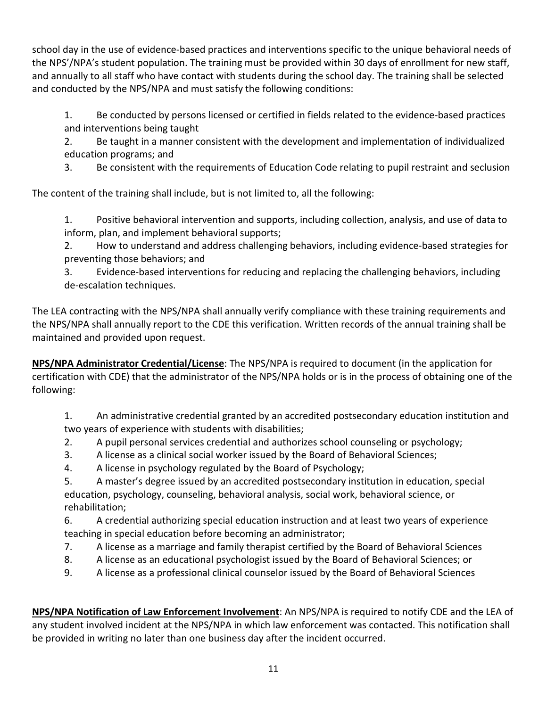school day in the use of evidence-based practices and interventions specific to the unique behavioral needs of the NPS'/NPA's student population. The training must be provided within 30 days of enrollment for new staff, and annually to all staff who have contact with students during the school day. The training shall be selected and conducted by the NPS/NPA and must satisfy the following conditions:

1. Be conducted by persons licensed or certified in fields related to the evidence-based practices and interventions being taught

2. Be taught in a manner consistent with the development and implementation of individualized education programs; and

3. Be consistent with the requirements of Education Code relating to pupil restraint and seclusion

The content of the training shall include, but is not limited to, all the following:

1. Positive behavioral intervention and supports, including collection, analysis, and use of data to inform, plan, and implement behavioral supports;

2. How to understand and address challenging behaviors, including evidence-based strategies for preventing those behaviors; and

3. Evidence-based interventions for reducing and replacing the challenging behaviors, including de-escalation techniques.

The LEA contracting with the NPS/NPA shall annually verify compliance with these training requirements and the NPS/NPA shall annually report to the CDE this verification. Written records of the annual training shall be maintained and provided upon request.

**NPS/NPA Administrator Credential/License**: The NPS/NPA is required to document (in the application for certification with CDE) that the administrator of the NPS/NPA holds or is in the process of obtaining one of the following:

1. An administrative credential granted by an accredited postsecondary education institution and two years of experience with students with disabilities;

- 2. A pupil personal services credential and authorizes school counseling or psychology;
- 3. A license as a clinical social worker issued by the Board of Behavioral Sciences;
- 4. A license in psychology regulated by the Board of Psychology;
- 5. A master's degree issued by an accredited postsecondary institution in education, special education, psychology, counseling, behavioral analysis, social work, behavioral science, or rehabilitation;

6. A credential authorizing special education instruction and at least two years of experience teaching in special education before becoming an administrator;

- 7. A license as a marriage and family therapist certified by the Board of Behavioral Sciences
- 8. A license as an educational psychologist issued by the Board of Behavioral Sciences; or
- 9. A license as a professional clinical counselor issued by the Board of Behavioral Sciences

**NPS/NPA Notification of Law Enforcement Involvement**: An NPS/NPA is required to notify CDE and the LEA of any student involved incident at the NPS/NPA in which law enforcement was contacted. This notification shall be provided in writing no later than one business day after the incident occurred.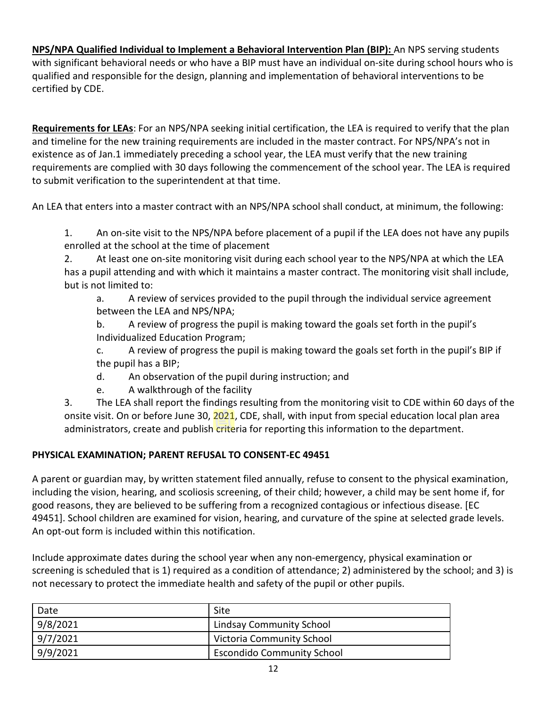**NPS/NPA Qualified Individual to Implement a Behavioral Intervention Plan (BIP):** An NPS serving students with significant behavioral needs or who have a BIP must have an individual on-site during school hours who is qualified and responsible for the design, planning and implementation of behavioral interventions to be certified by CDE.

**Requirements for LEAs**: For an NPS/NPA seeking initial certification, the LEA is required to verify that the plan and timeline for the new training requirements are included in the master contract. For NPS/NPA's not in existence as of Jan.1 immediately preceding a school year, the LEA must verify that the new training requirements are complied with 30 days following the commencement of the school year. The LEA is required to submit verification to the superintendent at that time.

An LEA that enters into a master contract with an NPS/NPA school shall conduct, at minimum, the following:

1. An on-site visit to the NPS/NPA before placement of a pupil if the LEA does not have any pupils enrolled at the school at the time of placement

2. At least one on-site monitoring visit during each school year to the NPS/NPA at which the LEA has a pupil attending and with which it maintains a master contract. The monitoring visit shall include, but is not limited to:

a. A review of services provided to the pupil through the individual service agreement between the LEA and NPS/NPA;

b. A review of progress the pupil is making toward the goals set forth in the pupil's Individualized Education Program;

c. A review of progress the pupil is making toward the goals set forth in the pupil's BIP if the pupil has a BIP;

- d. An observation of the pupil during instruction; and
- e. A walkthrough of the facility

3. The LEA shall report the findings resulting from the monitoring visit to CDE within 60 days of the onsite visit. On or before June 30, 2021, CDE, shall, with input from special education local plan area administrators, create and publish criteria for reporting this information to the department.

#### <span id="page-17-0"></span>**PHYSICAL EXAMINATION; PARENT REFUSAL TO CONSENT-EC 49451**

A parent or guardian may, by written statement filed annually, refuse to consent to the physical examination, including the vision, hearing, and scoliosis screening, of their child; however, a child may be sent home if, for good reasons, they are believed to be suffering from a recognized contagious or infectious disease. [EC 49451]. School children are examined for vision, hearing, and curvature of the spine at selected grade levels. An opt-out form is included within this notification.

Include approximate dates during the school year when any non-emergency, physical examination or screening is scheduled that is 1) required as a condition of attendance; 2) administered by the school; and 3) is not necessary to protect the immediate health and safety of the pupil or other pupils.

| Date     | Site                              |
|----------|-----------------------------------|
| 9/8/2021 | <b>Lindsay Community School</b>   |
| 9/7/2021 | Victoria Community School         |
| 9/9/2021 | <b>Escondido Community School</b> |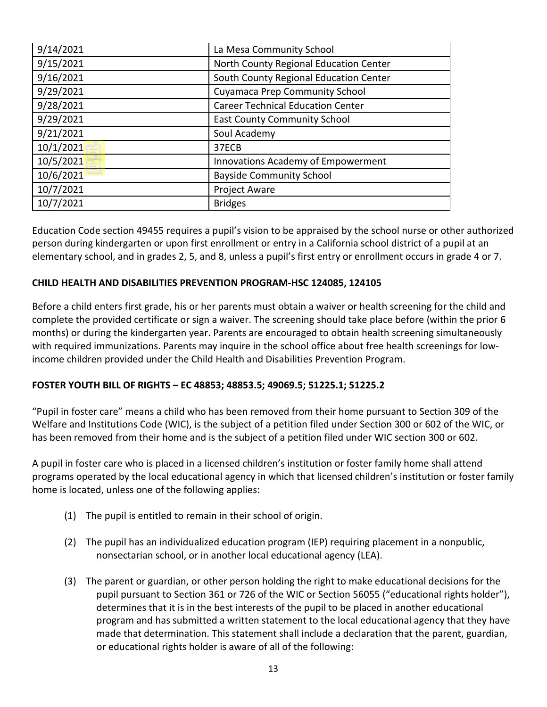| 9/14/2021 | La Mesa Community School                  |
|-----------|-------------------------------------------|
| 9/15/2021 | North County Regional Education Center    |
| 9/16/2021 | South County Regional Education Center    |
| 9/29/2021 | <b>Cuyamaca Prep Community School</b>     |
| 9/28/2021 | <b>Career Technical Education Center</b>  |
| 9/29/2021 | <b>East County Community School</b>       |
| 9/21/2021 | Soul Academy                              |
| 10/1/2021 | 37ECB                                     |
| 10/5/2021 | <b>Innovations Academy of Empowerment</b> |
| 10/6/2021 | <b>Bayside Community School</b>           |
| 10/7/2021 | <b>Project Aware</b>                      |
| 10/7/2021 | <b>Bridges</b>                            |

Education Code section 49455 requires a pupil's vision to be appraised by the school nurse or other authorized person during kindergarten or upon first enrollment or entry in a California school district of a pupil at an elementary school, and in grades 2, 5, and 8, unless a pupil's first entry or enrollment occurs in grade 4 or 7.

# <span id="page-18-0"></span>**CHILD HEALTH AND DISABILITIES PREVENTION PROGRAM-HSC 124085, 124105**

Before a child enters first grade, his or her parents must obtain a waiver or health screening for the child and complete the provided certificate or sign a waiver. The screening should take place before (within the prior 6 months) or during the kindergarten year. Parents are encouraged to obtain health screening simultaneously with required immunizations. Parents may inquire in the school office about free health screenings for lowincome children provided under the Child Health and Disabilities Prevention Program.

# <span id="page-18-1"></span>**FOSTER YOUTH BILL OF RIGHTS – EC 48853; 48853.5; 49069.5; 51225.1; 51225.2**

"Pupil in foster care" means a child who has been removed from their home pursuant to Section 309 of the Welfare and Institutions Code (WIC), is the subject of a petition filed under Section 300 or 602 of the WIC, or has been removed from their home and is the subject of a petition filed under WIC section 300 or 602.

A pupil in foster care who is placed in a licensed children's institution or foster family home shall attend programs operated by the local educational agency in which that licensed children's institution or foster family home is located, unless one of the following applies:

- (1) The pupil is entitled to remain in their school of origin.
- (2) The pupil has an individualized education program (IEP) requiring placement in a nonpublic, nonsectarian school, or in another local educational agency (LEA).
- (3) The parent or guardian, or other person holding the right to make educational decisions for the pupil pursuant to Section 361 or 726 of the WIC or Section 56055 ("educational rights holder"), determines that it is in the best interests of the pupil to be placed in another educational program and has submitted a written statement to the local educational agency that they have made that determination. This statement shall include a declaration that the parent, guardian, or educational rights holder is aware of all of the following: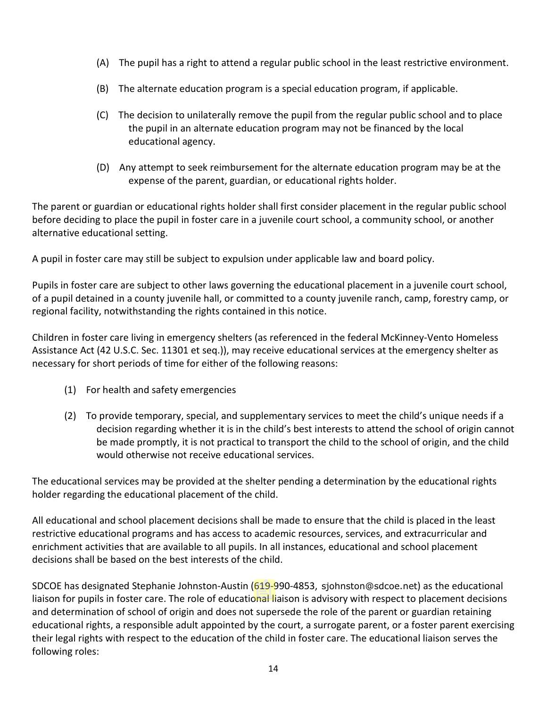- (A) The pupil has a right to attend a regular public school in the least restrictive environment.
- (B) The alternate education program is a special education program, if applicable.
- (C) The decision to unilaterally remove the pupil from the regular public school and to place the pupil in an alternate education program may not be financed by the local educational agency.
- (D) Any attempt to seek reimbursement for the alternate education program may be at the expense of the parent, guardian, or educational rights holder.

The parent or guardian or educational rights holder shall first consider placement in the regular public school before deciding to place the pupil in foster care in a juvenile court school, a community school, or another alternative educational setting.

A pupil in foster care may still be subject to expulsion under applicable law and board policy.

Pupils in foster care are subject to other laws governing the educational placement in a juvenile court school, of a pupil detained in a county juvenile hall, or committed to a county juvenile ranch, camp, forestry camp, or regional facility, notwithstanding the rights contained in this notice.

Children in foster care living in emergency shelters (as referenced in the federal McKinney-Vento Homeless Assistance Act (42 U.S.C. Sec. 11301 et seq.)), may receive educational services at the emergency shelter as necessary for short periods of time for either of the following reasons:

- (1) For health and safety emergencies
- (2) To provide temporary, special, and supplementary services to meet the child's unique needs if a decision regarding whether it is in the child's best interests to attend the school of origin cannot be made promptly, it is not practical to transport the child to the school of origin, and the child would otherwise not receive educational services.

The educational services may be provided at the shelter pending a determination by the educational rights holder regarding the educational placement of the child.

All educational and school placement decisions shall be made to ensure that the child is placed in the least restrictive educational programs and has access to academic resources, services, and extracurricular and enrichment activities that are available to all pupils. In all instances, educational and school placement decisions shall be based on the best interests of the child.

SDCOE has designated Stephanie Johnston-Austin (619-990-4853, sjohnston@sdcoe.net) as the educational liaison for pupils in foster care. The role of educational liaison is advisory with respect to placement decisions and determination of school of origin and does not supersede the role of the parent or guardian retaining educational rights, a responsible adult appointed by the court, a surrogate parent, or a foster parent exercising their legal rights with respect to the education of the child in foster care. The educational liaison serves the following roles: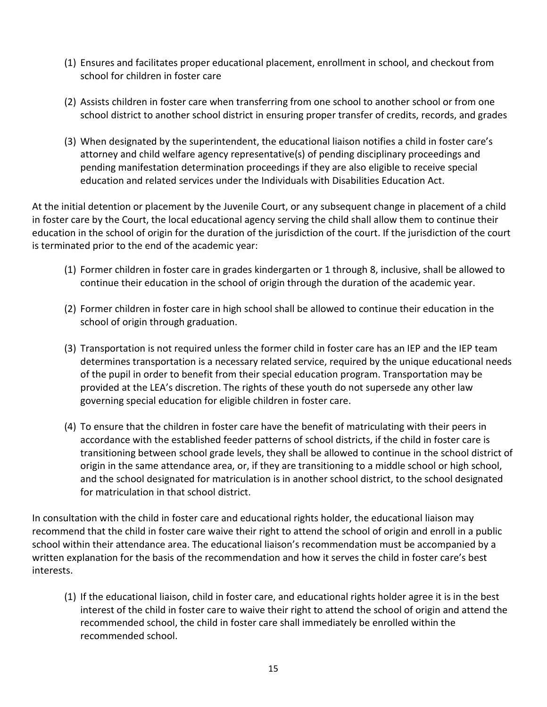- (1) Ensures and facilitates proper educational placement, enrollment in school, and checkout from school for children in foster care
- (2) Assists children in foster care when transferring from one school to another school or from one school district to another school district in ensuring proper transfer of credits, records, and grades
- (3) When designated by the superintendent, the educational liaison notifies a child in foster care's attorney and child welfare agency representative(s) of pending disciplinary proceedings and pending manifestation determination proceedings if they are also eligible to receive special education and related services under the Individuals with Disabilities Education Act.

At the initial detention or placement by the Juvenile Court, or any subsequent change in placement of a child in foster care by the Court, the local educational agency serving the child shall allow them to continue their education in the school of origin for the duration of the jurisdiction of the court. If the jurisdiction of the court is terminated prior to the end of the academic year:

- (1) Former children in foster care in grades kindergarten or 1 through 8, inclusive, shall be allowed to continue their education in the school of origin through the duration of the academic year.
- (2) Former children in foster care in high school shall be allowed to continue their education in the school of origin through graduation.
- (3) Transportation is not required unless the former child in foster care has an IEP and the IEP team determines transportation is a necessary related service, required by the unique educational needs of the pupil in order to benefit from their special education program. Transportation may be provided at the LEA's discretion. The rights of these youth do not supersede any other law governing special education for eligible children in foster care.
- (4) To ensure that the children in foster care have the benefit of matriculating with their peers in accordance with the established feeder patterns of school districts, if the child in foster care is transitioning between school grade levels, they shall be allowed to continue in the school district of origin in the same attendance area, or, if they are transitioning to a middle school or high school, and the school designated for matriculation is in another school district, to the school designated for matriculation in that school district.

In consultation with the child in foster care and educational rights holder, the educational liaison may recommend that the child in foster care waive their right to attend the school of origin and enroll in a public school within their attendance area. The educational liaison's recommendation must be accompanied by a written explanation for the basis of the recommendation and how it serves the child in foster care's best interests.

(1) If the educational liaison, child in foster care, and educational rights holder agree it is in the best interest of the child in foster care to waive their right to attend the school of origin and attend the recommended school, the child in foster care shall immediately be enrolled within the recommended school.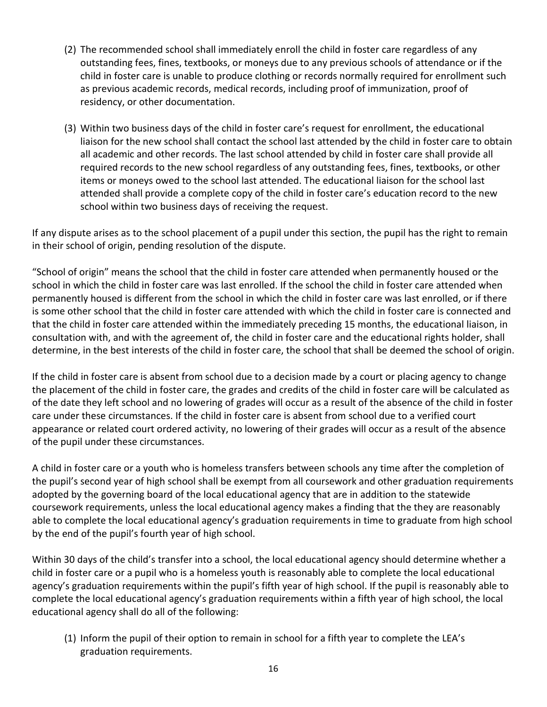- (2) The recommended school shall immediately enroll the child in foster care regardless of any outstanding fees, fines, textbooks, or moneys due to any previous schools of attendance or if the child in foster care is unable to produce clothing or records normally required for enrollment such as previous academic records, medical records, including proof of immunization, proof of residency, or other documentation.
- (3) Within two business days of the child in foster care's request for enrollment, the educational liaison for the new school shall contact the school last attended by the child in foster care to obtain all academic and other records. The last school attended by child in foster care shall provide all required records to the new school regardless of any outstanding fees, fines, textbooks, or other items or moneys owed to the school last attended. The educational liaison for the school last attended shall provide a complete copy of the child in foster care's education record to the new school within two business days of receiving the request.

If any dispute arises as to the school placement of a pupil under this section, the pupil has the right to remain in their school of origin, pending resolution of the dispute.

"School of origin" means the school that the child in foster care attended when permanently housed or the school in which the child in foster care was last enrolled. If the school the child in foster care attended when permanently housed is different from the school in which the child in foster care was last enrolled, or if there is some other school that the child in foster care attended with which the child in foster care is connected and that the child in foster care attended within the immediately preceding 15 months, the educational liaison, in consultation with, and with the agreement of, the child in foster care and the educational rights holder, shall determine, in the best interests of the child in foster care, the school that shall be deemed the school of origin.

If the child in foster care is absent from school due to a decision made by a court or placing agency to change the placement of the child in foster care, the grades and credits of the child in foster care will be calculated as of the date they left school and no lowering of grades will occur as a result of the absence of the child in foster care under these circumstances. If the child in foster care is absent from school due to a verified court appearance or related court ordered activity, no lowering of their grades will occur as a result of the absence of the pupil under these circumstances.

A child in foster care or a youth who is homeless transfers between schools any time after the completion of the pupil's second year of high school shall be exempt from all coursework and other graduation requirements adopted by the governing board of the local educational agency that are in addition to the statewide coursework requirements, unless the local educational agency makes a finding that the they are reasonably able to complete the local educational agency's graduation requirements in time to graduate from high school by the end of the pupil's fourth year of high school.

Within 30 days of the child's transfer into a school, the local educational agency should determine whether a child in foster care or a pupil who is a homeless youth is reasonably able to complete the local educational agency's graduation requirements within the pupil's fifth year of high school. If the pupil is reasonably able to complete the local educational agency's graduation requirements within a fifth year of high school, the local educational agency shall do all of the following:

(1) Inform the pupil of their option to remain in school for a fifth year to complete the LEA's graduation requirements.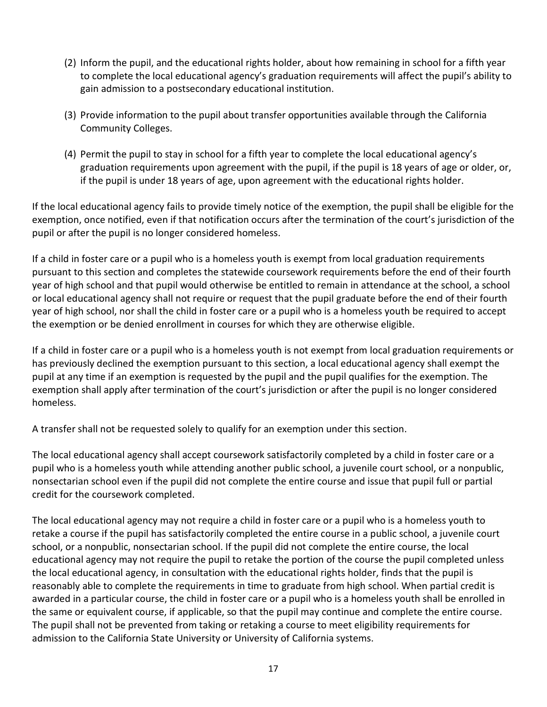- (2) Inform the pupil, and the educational rights holder, about how remaining in school for a fifth year to complete the local educational agency's graduation requirements will affect the pupil's ability to gain admission to a postsecondary educational institution.
- (3) Provide information to the pupil about transfer opportunities available through the California Community Colleges.
- (4) Permit the pupil to stay in school for a fifth year to complete the local educational agency's graduation requirements upon agreement with the pupil, if the pupil is 18 years of age or older, or, if the pupil is under 18 years of age, upon agreement with the educational rights holder.

If the local educational agency fails to provide timely notice of the exemption, the pupil shall be eligible for the exemption, once notified, even if that notification occurs after the termination of the court's jurisdiction of the pupil or after the pupil is no longer considered homeless.

If a child in foster care or a pupil who is a homeless youth is exempt from local graduation requirements pursuant to this section and completes the statewide coursework requirements before the end of their fourth year of high school and that pupil would otherwise be entitled to remain in attendance at the school, a school or local educational agency shall not require or request that the pupil graduate before the end of their fourth year of high school, nor shall the child in foster care or a pupil who is a homeless youth be required to accept the exemption or be denied enrollment in courses for which they are otherwise eligible.

If a child in foster care or a pupil who is a homeless youth is not exempt from local graduation requirements or has previously declined the exemption pursuant to this section, a local educational agency shall exempt the pupil at any time if an exemption is requested by the pupil and the pupil qualifies for the exemption. The exemption shall apply after termination of the court's jurisdiction or after the pupil is no longer considered homeless.

A transfer shall not be requested solely to qualify for an exemption under this section.

The local educational agency shall accept coursework satisfactorily completed by a child in foster care or a pupil who is a homeless youth while attending another public school, a juvenile court school, or a nonpublic, nonsectarian school even if the pupil did not complete the entire course and issue that pupil full or partial credit for the coursework completed.

The local educational agency may not require a child in foster care or a pupil who is a homeless youth to retake a course if the pupil has satisfactorily completed the entire course in a public school, a juvenile court school, or a nonpublic, nonsectarian school. If the pupil did not complete the entire course, the local educational agency may not require the pupil to retake the portion of the course the pupil completed unless the local educational agency, in consultation with the educational rights holder, finds that the pupil is reasonably able to complete the requirements in time to graduate from high school. When partial credit is awarded in a particular course, the child in foster care or a pupil who is a homeless youth shall be enrolled in the same or equivalent course, if applicable, so that the pupil may continue and complete the entire course. The pupil shall not be prevented from taking or retaking a course to meet eligibility requirements for admission to the California State University or University of California systems.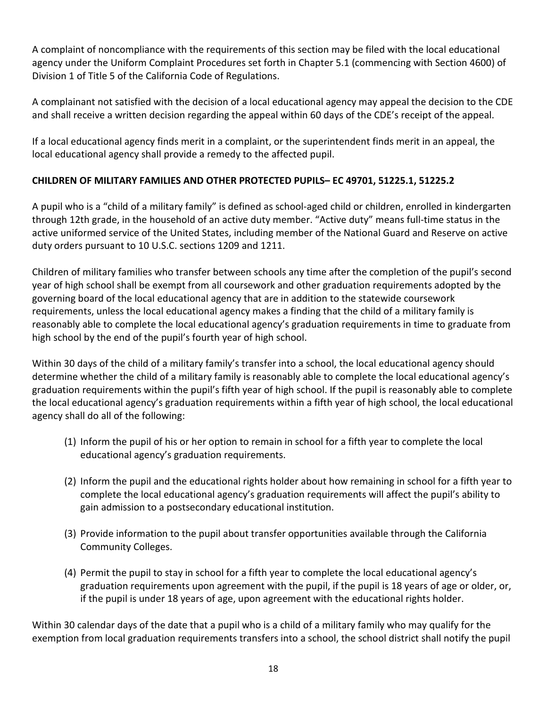A complaint of noncompliance with the requirements of this section may be filed with the local educational agency under the Uniform Complaint Procedures set forth in Chapter 5.1 (commencing with Section 4600) of Division 1 of Title 5 of the California Code of Regulations.

A complainant not satisfied with the decision of a local educational agency may appeal the decision to the CDE and shall receive a written decision regarding the appeal within 60 days of the CDE's receipt of the appeal.

If a local educational agency finds merit in a complaint, or the superintendent finds merit in an appeal, the local educational agency shall provide a remedy to the affected pupil.

# <span id="page-23-0"></span>**CHILDREN OF MILITARY FAMILIES AND OTHER PROTECTED PUPILS– EC 49701, 51225.1, 51225.2**

A pupil who is a "child of a military family" is defined as school-aged child or children, enrolled in kindergarten through 12th grade, in the household of an active duty member. "Active duty" means full-time status in the active uniformed service of the United States, including member of the National Guard and Reserve on active duty orders pursuant to 10 U.S.C. sections 1209 and 1211.

Children of military families who transfer between schools any time after the completion of the pupil's second year of high school shall be exempt from all coursework and other graduation requirements adopted by the governing board of the local educational agency that are in addition to the statewide coursework requirements, unless the local educational agency makes a finding that the child of a military family is reasonably able to complete the local educational agency's graduation requirements in time to graduate from high school by the end of the pupil's fourth year of high school.

Within 30 days of the child of a military family's transfer into a school, the local educational agency should determine whether the child of a military family is reasonably able to complete the local educational agency's graduation requirements within the pupil's fifth year of high school. If the pupil is reasonably able to complete the local educational agency's graduation requirements within a fifth year of high school, the local educational agency shall do all of the following:

- (1) Inform the pupil of his or her option to remain in school for a fifth year to complete the local educational agency's graduation requirements.
- (2) Inform the pupil and the educational rights holder about how remaining in school for a fifth year to complete the local educational agency's graduation requirements will affect the pupil's ability to gain admission to a postsecondary educational institution.
- (3) Provide information to the pupil about transfer opportunities available through the California Community Colleges.
- (4) Permit the pupil to stay in school for a fifth year to complete the local educational agency's graduation requirements upon agreement with the pupil, if the pupil is 18 years of age or older, or, if the pupil is under 18 years of age, upon agreement with the educational rights holder.

Within 30 calendar days of the date that a pupil who is a child of a military family who may qualify for the exemption from local graduation requirements transfers into a school, the school district shall notify the pupil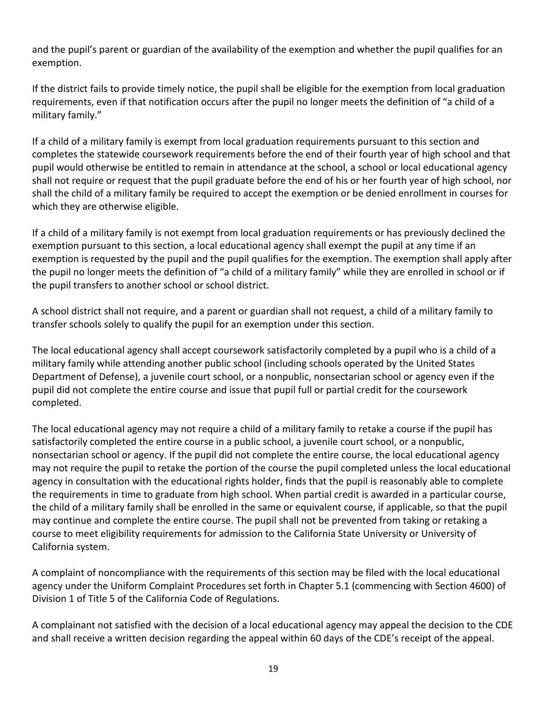and the pupil's parent or guardian of the availability of the exemption and whether the pupil qualifies for an exemption.

If the district fails to provide timely notice, the pupil shall be eligible for the exemption from local graduation requirements, even if that notification occurs after the pupil no longer meets the definition of "a child of a military family."

If a child of a military family is exempt from local graduation requirements pursuant to this section and completes the statewide coursework requirements before the end of their fourth year of high school and that pupil would otherwise be entitled to remain in attendance at the school, a school or local educational agency shall not require or request that the pupil graduate before the end of his or her fourth year of high school, nor shall the child of a military family be required to accept the exemption or be denied enrollment in courses for which they are otherwise eligible.

If a child of a military family is not exempt from local graduation requirements or has previously declined the exemption pursuant to this section, a local educational agency shall exempt the pupil at any time if an exemption is requested by the pupil and the pupil qualifies for the exemption. The exemption shall apply after the pupil no longer meets the definition of "a child of a military family" while they are enrolled in school or if the pupil transfers to another school or school district.

A school district shall not require, and a parent or guardian shall not request, a child of a military family to transfer schools solely to qualify the pupil for an exemption under this section.

The local educational agency shall accept coursework satisfactorily completed by a pupil who is a child of a military family while attending another public school (including schools operated by the United States Department of Defense), a juvenile court school, or a nonpublic, nonsectarian school or agency even if the pupil did not complete the entire course and issue that pupil full or partial credit for the coursework completed.

The local educational agency may not require a child of a military family to retake a course if the pupil has satisfactorily completed the entire course in a public school, a juvenile court school, or a nonpublic, nonsectarian school or agency. If the pupil did not complete the entire course, the local educational agency may not require the pupil to retake the portion of the course the pupil completed unless the local educational agency in consultation with the educational rights holder, finds that the pupil is reasonably able to complete the requirements in time to graduate from high school. When partial credit is awarded in a particular course, the child of a military family shall be enrolled in the same or equivalent course, if applicable, so that the pupil may continue and complete the entire course. The pupil shall not be prevented from taking or retaking a course to meet eligibility requirements for admission to the California State University or University of California system.

A complaint of noncompliance with the requirements of this section may be filed with the local educational agency under the Uniform Complaint Procedures set forth in Chapter 5.1 (commencing with Section 4600) of Division 1 of Title 5 of the California Code of Regulations.

A complainant not satisfied with the decision of a local educational agency may appeal the decision to the CDE and shall receive a written decision regarding the appeal within 60 days of the CDE's receipt of the appeal.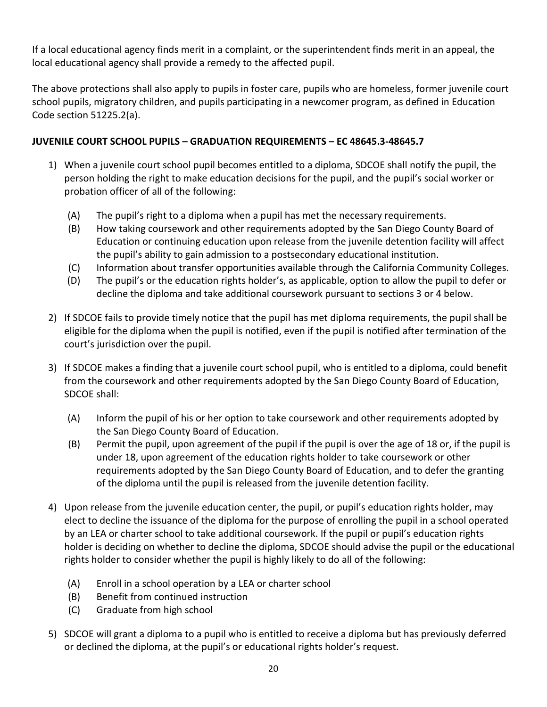If a local educational agency finds merit in a complaint, or the superintendent finds merit in an appeal, the local educational agency shall provide a remedy to the affected pupil.

The above protections shall also apply to pupils in foster care, pupils who are homeless, former juvenile court school pupils, migratory children, and pupils participating in a newcomer program, as defined in Education Code section 51225.2(a).

# <span id="page-25-0"></span>**JUVENILE COURT SCHOOL PUPILS – GRADUATION REQUIREMENTS – EC 48645.3-48645.7**

- 1) When a juvenile court school pupil becomes entitled to a diploma, SDCOE shall notify the pupil, the person holding the right to make education decisions for the pupil, and the pupil's social worker or probation officer of all of the following:
	- (A) The pupil's right to a diploma when a pupil has met the necessary requirements.
	- (B) How taking coursework and other requirements adopted by the San Diego County Board of Education or continuing education upon release from the juvenile detention facility will affect the pupil's ability to gain admission to a postsecondary educational institution.
	- (C) Information about transfer opportunities available through the California Community Colleges.
	- (D) The pupil's or the education rights holder's, as applicable, option to allow the pupil to defer or decline the diploma and take additional coursework pursuant to sections 3 or 4 below.
- 2) If SDCOE fails to provide timely notice that the pupil has met diploma requirements, the pupil shall be eligible for the diploma when the pupil is notified, even if the pupil is notified after termination of the court's jurisdiction over the pupil.
- 3) If SDCOE makes a finding that a juvenile court school pupil, who is entitled to a diploma, could benefit from the coursework and other requirements adopted by the San Diego County Board of Education, SDCOE shall:
	- (A) Inform the pupil of his or her option to take coursework and other requirements adopted by the San Diego County Board of Education.
	- (B) Permit the pupil, upon agreement of the pupil if the pupil is over the age of 18 or, if the pupil is under 18, upon agreement of the education rights holder to take coursework or other requirements adopted by the San Diego County Board of Education, and to defer the granting of the diploma until the pupil is released from the juvenile detention facility.
- 4) Upon release from the juvenile education center, the pupil, or pupil's education rights holder, may elect to decline the issuance of the diploma for the purpose of enrolling the pupil in a school operated by an LEA or charter school to take additional coursework. If the pupil or pupil's education rights holder is deciding on whether to decline the diploma, SDCOE should advise the pupil or the educational rights holder to consider whether the pupil is highly likely to do all of the following:
	- (A) Enroll in a school operation by a LEA or charter school
	- (B) Benefit from continued instruction
	- (C) Graduate from high school
- 5) SDCOE will grant a diploma to a pupil who is entitled to receive a diploma but has previously deferred or declined the diploma, at the pupil's or educational rights holder's request.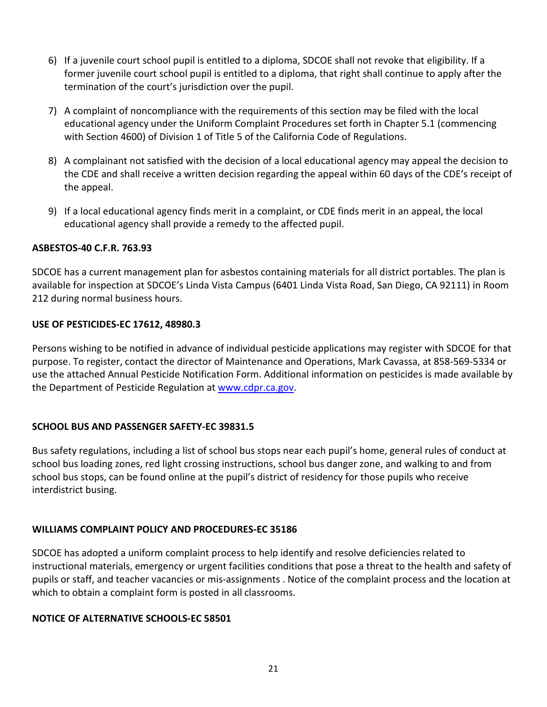- 6) If a juvenile court school pupil is entitled to a diploma, SDCOE shall not revoke that eligibility. If a former juvenile court school pupil is entitled to a diploma, that right shall continue to apply after the termination of the court's jurisdiction over the pupil.
- 7) A complaint of noncompliance with the requirements of this section may be filed with the local educational agency under the Uniform Complaint Procedures set forth in Chapter 5.1 (commencing with Section 4600) of Division 1 of Title 5 of the California Code of Regulations.
- 8) A complainant not satisfied with the decision of a local educational agency may appeal the decision to the CDE and shall receive a written decision regarding the appeal within 60 days of the CDE's receipt of the appeal.
- 9) If a local educational agency finds merit in a complaint, or CDE finds merit in an appeal, the local educational agency shall provide a remedy to the affected pupil.

#### <span id="page-26-0"></span>**ASBESTOS-40 C.F.R. 763.93**

SDCOE has a current management plan for asbestos containing materials for all district portables. The plan is available for inspection at SDCOE's Linda Vista Campus (6401 Linda Vista Road, San Diego, CA 92111) in Room 212 during normal business hours.

#### <span id="page-26-1"></span>**USE OF PESTICIDES-EC 17612, 48980.3**

Persons wishing to be notified in advance of individual pesticide applications may register with SDCOE for that purpose. To register, contact the director of Maintenance and Operations, Mark Cavassa, at 858-569-5334 or use the attached Annual Pesticide Notification Form. Additional information on pesticides is made available by the Department of Pesticide Regulation at [www.cdpr.ca.gov.](http://www.cdpr.ca.gov/)

#### <span id="page-26-2"></span>**SCHOOL BUS AND PASSENGER SAFETY-EC 39831.5**

Bus safety regulations, including a list of school bus stops near each pupil's home, general rules of conduct at school bus loading zones, red light crossing instructions, school bus danger zone, and walking to and from school bus stops, can be found online at the pupil's district of residency for those pupils who receive interdistrict busing.

#### <span id="page-26-3"></span>**WILLIAMS COMPLAINT POLICY AND PROCEDURES-EC 35186**

SDCOE has adopted a uniform complaint process to help identify and resolve deficiencies related to instructional materials, emergency or urgent facilities conditions that pose a threat to the health and safety of pupils or staff, and teacher vacancies or mis-assignments . Notice of the complaint process and the location at which to obtain a complaint form is posted in all classrooms.

#### <span id="page-26-4"></span>**NOTICE OF ALTERNATIVE SCHOOLS-EC 58501**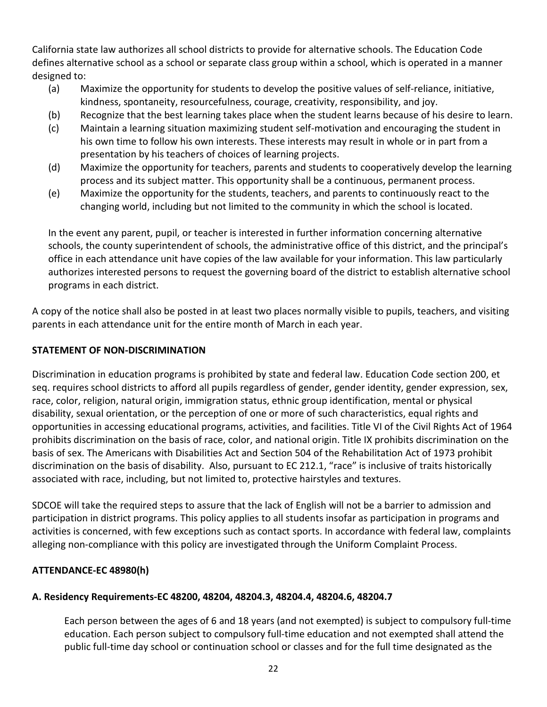California state law authorizes all school districts to provide for alternative schools. The Education Code defines alternative school as a school or separate class group within a school, which is operated in a manner designed to:

- (a) Maximize the opportunity for students to develop the positive values of self-reliance, initiative, kindness, spontaneity, resourcefulness, courage, creativity, responsibility, and joy.
- (b) Recognize that the best learning takes place when the student learns because of his desire to learn.
- (c) Maintain a learning situation maximizing student self-motivation and encouraging the student in his own time to follow his own interests. These interests may result in whole or in part from a presentation by his teachers of choices of learning projects.
- (d) Maximize the opportunity for teachers, parents and students to cooperatively develop the learning process and its subject matter. This opportunity shall be a continuous, permanent process.
- (e) Maximize the opportunity for the students, teachers, and parents to continuously react to the changing world, including but not limited to the community in which the school is located.

In the event any parent, pupil, or teacher is interested in further information concerning alternative schools, the county superintendent of schools, the administrative office of this district, and the principal's office in each attendance unit have copies of the law available for your information. This law particularly authorizes interested persons to request the governing board of the district to establish alternative school programs in each district.

A copy of the notice shall also be posted in at least two places normally visible to pupils, teachers, and visiting parents in each attendance unit for the entire month of March in each year.

### <span id="page-27-0"></span>**STATEMENT OF NON-DISCRIMINATION**

Discrimination in education programs is prohibited by state and federal law. Education Code section 200, et seq. requires school districts to afford all pupils regardless of gender, gender identity, gender expression, sex, race, color, religion, natural origin, immigration status, ethnic group identification, mental or physical disability, sexual orientation, or the perception of one or more of such characteristics, equal rights and opportunities in accessing educational programs, activities, and facilities. Title VI of the Civil Rights Act of 1964 prohibits discrimination on the basis of race, color, and national origin. Title IX prohibits discrimination on the basis of sex. The Americans with Disabilities Act and Section 504 of the Rehabilitation Act of 1973 prohibit discrimination on the basis of disability. Also, pursuant to EC 212.1, "race" is inclusive of traits historically associated with race, including, but not limited to, protective hairstyles and textures.

SDCOE will take the required steps to assure that the lack of English will not be a barrier to admission and participation in district programs. This policy applies to all students insofar as participation in programs and activities is concerned, with few exceptions such as contact sports. In accordance with federal law, complaints alleging non-compliance with this policy are investigated through the Uniform Complaint Process.

#### <span id="page-27-1"></span>**ATTENDANCE-EC 48980(h)**

#### **A. Residency Requirements-EC 48200, 48204, 48204.3, 48204.4, 48204.6, 48204.7**

Each person between the ages of 6 and 18 years (and not exempted) is subject to compulsory full-time education. Each person subject to compulsory full-time education and not exempted shall attend the public full-time day school or continuation school or classes and for the full time designated as the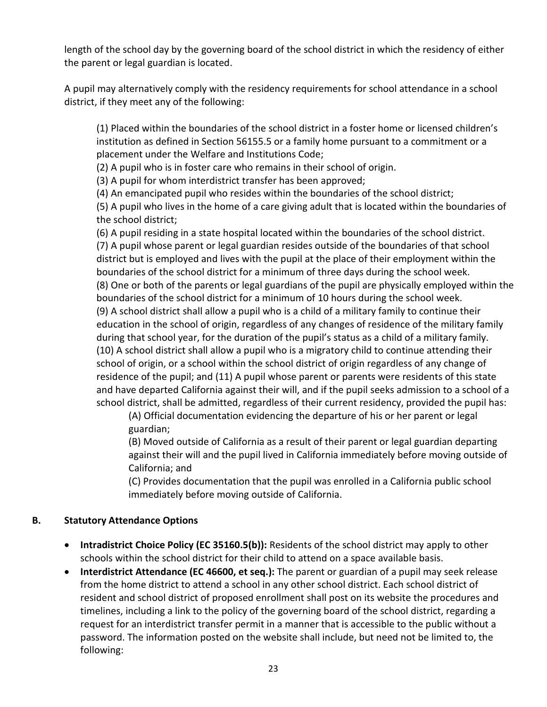length of the school day by the governing board of the school district in which the residency of either the parent or legal guardian is located.

A pupil may alternatively comply with the residency requirements for school attendance in a school district, if they meet any of the following:

(1) Placed within the boundaries of the school district in a foster home or licensed children's institution as defined in Section 56155.5 or a family home pursuant to a commitment or a placement under the Welfare and Institutions Code;

(2) A pupil who is in foster care who remains in their school of origin.

(3) A pupil for whom interdistrict transfer has been approved;

(4) An emancipated pupil who resides within the boundaries of the school district;

(5) A pupil who lives in the home of a care giving adult that is located within the boundaries of the school district;

(6) A pupil residing in a state hospital located within the boundaries of the school district. (7) A pupil whose parent or legal guardian resides outside of the boundaries of that school district but is employed and lives with the pupil at the place of their employment within the boundaries of the school district for a minimum of three days during the school week. (8) One or both of the parents or legal guardians of the pupil are physically employed within the boundaries of the school district for a minimum of 10 hours during the school week. (9) A school district shall allow a pupil who is a child of a military family to continue their education in the school of origin, regardless of any changes of residence of the military family during that school year, for the duration of the pupil's status as a child of a military family. (10) A school district shall allow a pupil who is a migratory child to continue attending their school of origin, or a school within the school district of origin regardless of any change of residence of the pupil; and (11) A pupil whose parent or parents were residents of this state and have departed California against their will, and if the pupil seeks admission to a school of a school district, shall be admitted, regardless of their current residency, provided the pupil has:

(A) Official documentation evidencing the departure of his or her parent or legal guardian;

(B) Moved outside of California as a result of their parent or legal guardian departing against their will and the pupil lived in California immediately before moving outside of California; and

(C) Provides documentation that the pupil was enrolled in a California public school immediately before moving outside of California.

#### **B. Statutory Attendance Options**

- **Intradistrict Choice Policy (EC 35160.5(b)):** Residents of the school district may apply to other schools within the school district for their child to attend on a space available basis.
- **Interdistrict Attendance (EC 46600, et seq.):** The parent or guardian of a pupil may seek release from the home district to attend a school in any other school district. Each school district of resident and school district of proposed enrollment shall post on its website the procedures and timelines, including a link to the policy of the governing board of the school district, regarding a request for an interdistrict transfer permit in a manner that is accessible to the public without a password. The information posted on the website shall include, but need not be limited to, the following: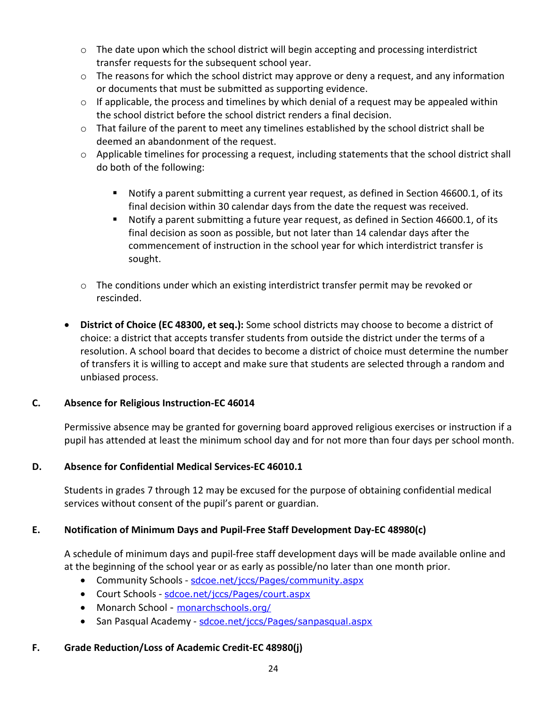- $\circ$  The date upon which the school district will begin accepting and processing interdistrict transfer requests for the subsequent school year.
- o The reasons for which the school district may approve or deny a request, and any information or documents that must be submitted as supporting evidence.
- $\circ$  If applicable, the process and timelines by which denial of a request may be appealed within the school district before the school district renders a final decision.
- $\circ$  That failure of the parent to meet any timelines established by the school district shall be deemed an abandonment of the request.
- $\circ$  Applicable timelines for processing a request, including statements that the school district shall do both of the following:
	- Notify a parent submitting a current year request, as defined in Section 46600.1, of its final decision within 30 calendar days from the date the request was received.
	- Notify a parent submitting a future year request, as defined in Section 46600.1, of its final decision as soon as possible, but not later than 14 calendar days after the commencement of instruction in the school year for which interdistrict transfer is sought.
- $\circ$  The conditions under which an existing interdistrict transfer permit may be revoked or rescinded.
- **District of Choice (EC 48300, et seq.):** Some school districts may choose to become a district of choice: a district that accepts transfer students from outside the district under the terms of a resolution. A school board that decides to become a district of choice must determine the number of transfers it is willing to accept and make sure that students are selected through a random and unbiased process.

#### **C. Absence for Religious Instruction-EC 46014**

Permissive absence may be granted for governing board approved religious exercises or instruction if a pupil has attended at least the minimum school day and for not more than four days per school month.

#### **D. Absence for Confidential Medical Services-EC 46010.1**

Students in grades 7 through 12 may be excused for the purpose of obtaining confidential medical services without consent of the pupil's parent or guardian.

#### **E. Notification of Minimum Days and Pupil-Free Staff Development Day-EC 48980(c)**

A schedule of minimum days and pupil-free staff development days will be made available online and at the beginning of the school year or as early as possible/no later than one month prior.

- Community Schools [sdcoe.net/jccs/Pages/community.aspx](https://www.sdcoe.net/jccs/Pages/community.aspx)
- Court Schools [sdcoe.net/jccs/Pages/court.aspx](https://www.sdcoe.net/jccs/Pages/court.aspx)
- Monarch School [monarchschools.org/](https://monarchschools.org/)
- San Pasqual Academy [sdcoe.net/jccs/Pages/sanpasqual.aspx](https://www.sdcoe.net/jccs/Pages/sanpasqual.aspx)

#### **F. Grade Reduction/Loss of Academic Credit-EC 48980(j)**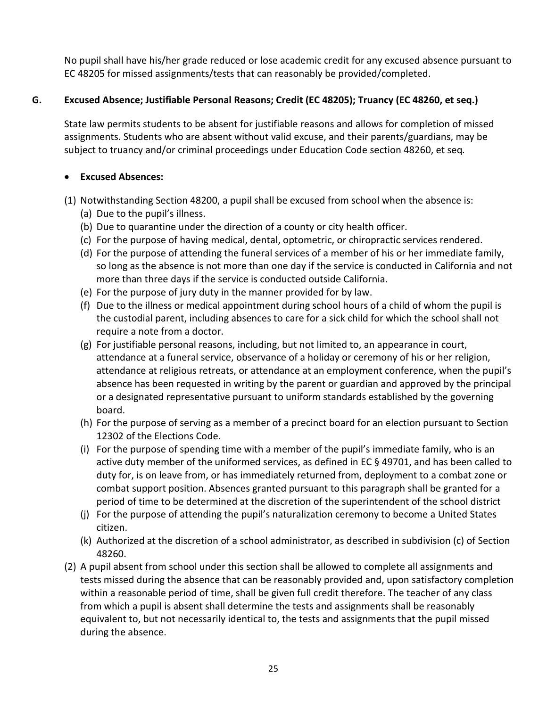No pupil shall have his/her grade reduced or lose academic credit for any excused absence pursuant to EC 48205 for missed assignments/tests that can reasonably be provided/completed.

### **G. Excused Absence; Justifiable Personal Reasons; Credit (EC 48205); Truancy (EC 48260, et seq.)**

State law permits students to be absent for justifiable reasons and allows for completion of missed assignments. Students who are absent without valid excuse, and their parents/guardians, may be subject to truancy and/or criminal proceedings under Education Code section 48260, et seq*.*

### • **Excused Absences:**

- (1) Notwithstanding Section 48200, a pupil shall be excused from school when the absence is:
	- (a) Due to the pupil's illness.
	- (b) Due to quarantine under the direction of a county or city health officer.
	- (c) For the purpose of having medical, dental, optometric, or chiropractic services rendered.
	- (d) For the purpose of attending the funeral services of a member of his or her immediate family, so long as the absence is not more than one day if the service is conducted in California and not more than three days if the service is conducted outside California.
	- (e) For the purpose of jury duty in the manner provided for by law.
	- (f) Due to the illness or medical appointment during school hours of a child of whom the pupil is the custodial parent, including absences to care for a sick child for which the school shall not require a note from a doctor.
	- (g) For justifiable personal reasons, including, but not limited to, an appearance in court, attendance at a funeral service, observance of a holiday or ceremony of his or her religion, attendance at religious retreats, or attendance at an employment conference, when the pupil's absence has been requested in writing by the parent or guardian and approved by the principal or a designated representative pursuant to uniform standards established by the governing board.
	- (h) For the purpose of serving as a member of a precinct board for an election pursuant to Section 12302 of the Elections Code.
	- (i) For the purpose of spending time with a member of the pupil's immediate family, who is an active duty member of the uniformed services, as defined in EC § 49701, and has been called to duty for, is on leave from, or has immediately returned from, deployment to a combat zone or combat support position. Absences granted pursuant to this paragraph shall be granted for a period of time to be determined at the discretion of the superintendent of the school district
	- (j) For the purpose of attending the pupil's naturalization ceremony to become a United States citizen.
	- (k) Authorized at the discretion of a school administrator, as described in subdivision (c) of Section 48260.
- (2) A pupil absent from school under this section shall be allowed to complete all assignments and tests missed during the absence that can be reasonably provided and, upon satisfactory completion within a reasonable period of time, shall be given full credit therefore. The teacher of any class from which a pupil is absent shall determine the tests and assignments shall be reasonably equivalent to, but not necessarily identical to, the tests and assignments that the pupil missed during the absence.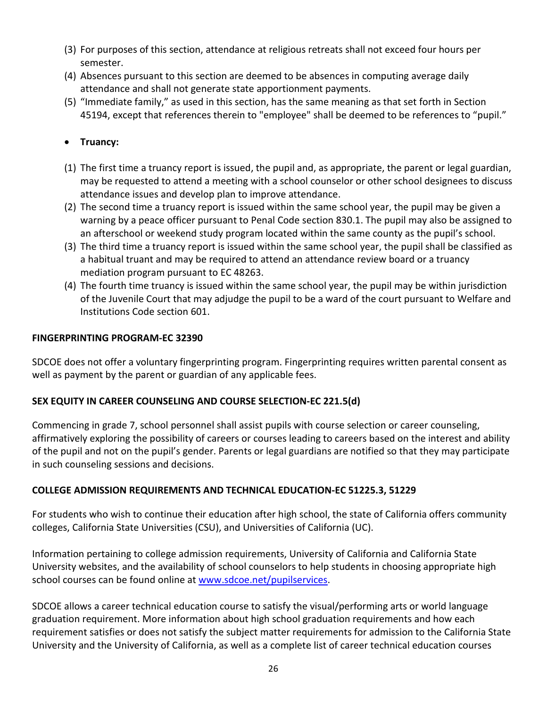- (3) For purposes of this section, attendance at religious retreats shall not exceed four hours per semester.
- (4) Absences pursuant to this section are deemed to be absences in computing average daily attendance and shall not generate state apportionment payments.
- (5) "Immediate family," as used in this section, has the same meaning as that set forth in Section 45194, except that references therein to "employee" shall be deemed to be references to "pupil."

# • **Truancy:**

- (1) The first time a truancy report is issued, the pupil and, as appropriate, the parent or legal guardian, may be requested to attend a meeting with a school counselor or other school designees to discuss attendance issues and develop plan to improve attendance.
- (2) The second time a truancy report is issued within the same school year, the pupil may be given a warning by a peace officer pursuant to Penal Code section 830.1. The pupil may also be assigned to an afterschool or weekend study program located within the same county as the pupil's school.
- (3) The third time a truancy report is issued within the same school year, the pupil shall be classified as a habitual truant and may be required to attend an attendance review board or a truancy mediation program pursuant to EC 48263.
- (4) The fourth time truancy is issued within the same school year, the pupil may be within jurisdiction of the Juvenile Court that may adjudge the pupil to be a ward of the court pursuant to Welfare and Institutions Code section 601.

#### <span id="page-31-0"></span>**FINGERPRINTING PROGRAM-EC 32390**

SDCOE does not offer a voluntary fingerprinting program. Fingerprinting requires written parental consent as well as payment by the parent or guardian of any applicable fees.

# <span id="page-31-1"></span>**SEX EQUITY IN CAREER COUNSELING AND COURSE SELECTION-EC 221.5(d)**

Commencing in grade 7, school personnel shall assist pupils with course selection or career counseling, affirmatively exploring the possibility of careers or courses leading to careers based on the interest and ability of the pupil and not on the pupil's gender. Parents or legal guardians are notified so that they may participate in such counseling sessions and decisions.

# <span id="page-31-2"></span>**COLLEGE ADMISSION REQUIREMENTS AND TECHNICAL EDUCATION-EC 51225.3, 51229**

For students who wish to continue their education after high school, the state of California offers community colleges, California State Universities (CSU), and Universities of California (UC).

Information pertaining to college admission requirements, University of California and California State University websites, and the availability of school counselors to help students in choosing appropriate high school courses can be found online at [www.sdcoe.net/pupilservices.](http://www.sdcoe.net/pupilservices)

SDCOE allows a career technical education course to satisfy the visual/performing arts or world language graduation requirement. More information about high school graduation requirements and how each requirement satisfies or does not satisfy the subject matter requirements for admission to the California State University and the University of California, as well as a complete list of career technical education courses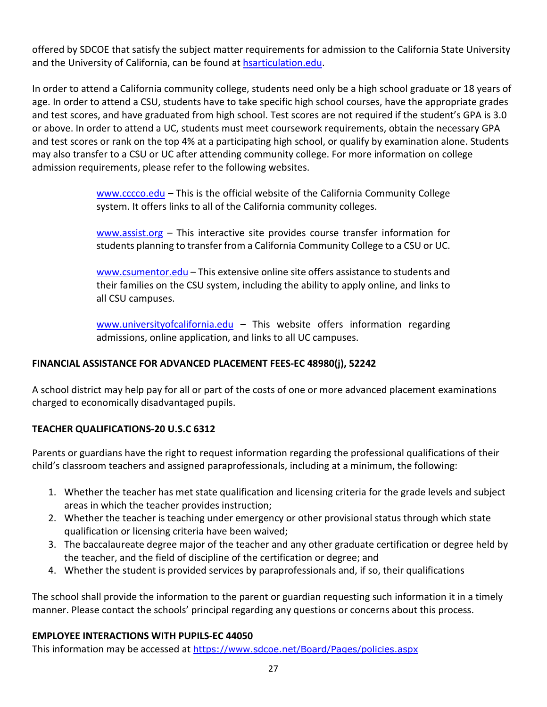offered by SDCOE that satisfy the subject matter requirements for admission to the California State University and the University of California, can be found at [hsarticulation.edu.](https://hs-articulation.ucop.edu/agcourselist#/list/search/institution)

In order to attend a California community college, students need only be a high school graduate or 18 years of age. In order to attend a CSU, students have to take specific high school courses, have the appropriate grades and test scores, and have graduated from high school. Test scores are not required if the student's GPA is 3.0 or above. In order to attend a UC, students must meet coursework requirements, obtain the necessary GPA and test scores or rank on the top 4% at a participating high school, or qualify by examination alone. Students may also transfer to a CSU or UC after attending community college. For more information on college admission requirements, please refer to the following websites.

> [www.cccco.edu](http://www.cccco.edu/) – This is the official website of the California Community College system. It offers links to all of the California community colleges.

> [www.assist.org](http://www.assist.org/) – This interactive site provides course transfer information for students planning to transfer from a California Community College to a CSU or UC.

> [www.csumentor.edu](http://www.csumentor.edu/) – This extensive online site offers assistance to students and their families on the CSU system, including the ability to apply online, and links to all CSU campuses.

> [www.universityofcalifornia.edu](http://www.universityofcalifornia.edu/) - This website offers information regarding admissions, online application, and links to all UC campuses.

#### <span id="page-32-0"></span>**FINANCIAL ASSISTANCE FOR ADVANCED PLACEMENT FEES-EC 48980(j), 52242**

A school district may help pay for all or part of the costs of one or more advanced placement examinations charged to economically disadvantaged pupils.

# <span id="page-32-1"></span>**TEACHER QUALIFICATIONS-20 U.S.C 6312**

Parents or guardians have the right to request information regarding the professional qualifications of their child's classroom teachers and assigned paraprofessionals, including at a minimum, the following:

- 1. Whether the teacher has met state qualification and licensing criteria for the grade levels and subject areas in which the teacher provides instruction;
- 2. Whether the teacher is teaching under emergency or other provisional status through which state qualification or licensing criteria have been waived;
- 3. The baccalaureate degree major of the teacher and any other graduate certification or degree held by the teacher, and the field of discipline of the certification or degree; and
- 4. Whether the student is provided services by paraprofessionals and, if so, their qualifications

The school shall provide the information to the parent or guardian requesting such information it in a timely manner. Please contact the schools' principal regarding any questions or concerns about this process.

#### <span id="page-32-2"></span>**EMPLOYEE INTERACTIONS WITH PUPILS-EC 44050**

This information may be accessed at <https://www.sdcoe.net/Board/Pages/policies.aspx>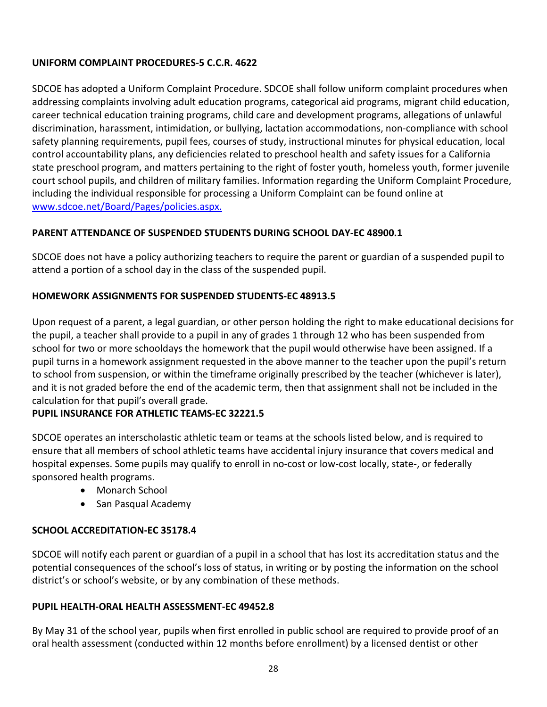# **UNIFORM COMPLAINT PROCEDURES-5 C.C.R. 4622**

SDCOE has adopted a Uniform Complaint Procedure. SDCOE shall follow uniform complaint procedures when addressing complaints involving adult education programs, categorical aid programs, migrant child education, career technical education training programs, child care and development programs, allegations of unlawful discrimination, harassment, intimidation, or bullying, lactation accommodations, non-compliance with school safety planning requirements, pupil fees, courses of study, instructional minutes for physical education, local control accountability plans, any deficiencies related to preschool health and safety issues for a California state preschool program, and matters pertaining to the right of foster youth, homeless youth, former juvenile court school pupils, and children of military families. Information regarding the Uniform Complaint Procedure, including the individual responsible for processing a Uniform Complaint can be found online at [www.sdcoe.net/Board/Pages/policies.aspx.](https://www.sdcoe.net/Board/Pages/policies.aspx)

# <span id="page-33-0"></span>**PARENT ATTENDANCE OF SUSPENDED STUDENTS DURING SCHOOL DAY-EC 48900.1**

SDCOE does not have a policy authorizing teachers to require the parent or guardian of a suspended pupil to attend a portion of a school day in the class of the suspended pupil.

# <span id="page-33-1"></span>**HOMEWORK ASSIGNMENTS FOR SUSPENDED STUDENTS-EC 48913.5**

Upon request of a parent, a legal guardian, or other person holding the right to make educational decisions for the pupil, a teacher shall provide to a pupil in any of grades 1 through 12 who has been suspended from school for two or more schooldays the homework that the pupil would otherwise have been assigned. If a pupil turns in a homework assignment requested in the above manner to the teacher upon the pupil's return to school from suspension, or within the timeframe originally prescribed by the teacher (whichever is later), and it is not graded before the end of the academic term, then that assignment shall not be included in the calculation for that pupil's overall grade.

#### <span id="page-33-2"></span>**PUPIL INSURANCE FOR ATHLETIC TEAMS-EC 32221.5**

SDCOE operates an interscholastic athletic team or teams at the schools listed below, and is required to ensure that all members of school athletic teams have accidental injury insurance that covers medical and hospital expenses. Some pupils may qualify to enroll in no-cost or low-cost locally, state-, or federally sponsored health programs.

- Monarch School
- San Pasqual Academy

#### <span id="page-33-3"></span>**SCHOOL ACCREDITATION-EC 35178.4**

SDCOE will notify each parent or guardian of a pupil in a school that has lost its accreditation status and the potential consequences of the school's loss of status, in writing or by posting the information on the school district's or school's website, or by any combination of these methods.

#### <span id="page-33-4"></span>**PUPIL HEALTH-ORAL HEALTH ASSESSMENT-EC 49452.8**

By May 31 of the school year, pupils when first enrolled in public school are required to provide proof of an oral health assessment (conducted within 12 months before enrollment) by a licensed dentist or other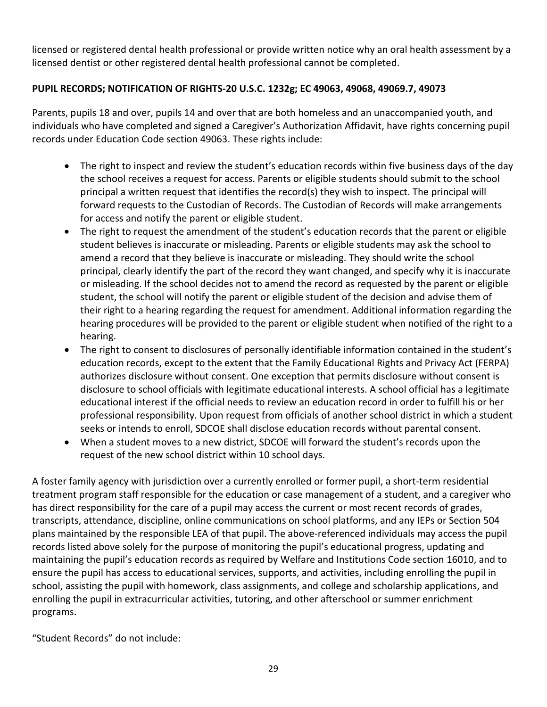licensed or registered dental health professional or provide written notice why an oral health assessment by a licensed dentist or other registered dental health professional cannot be completed.

# <span id="page-34-0"></span>**PUPIL RECORDS; NOTIFICATION OF RIGHTS-20 U.S.C. 1232g; EC 49063, 49068, 49069.7, 49073**

Parents, pupils 18 and over, pupils 14 and over that are both homeless and an unaccompanied youth, and individuals who have completed and signed a Caregiver's Authorization Affidavit, have rights concerning pupil records under Education Code section 49063. These rights include:

- The right to inspect and review the student's education records within five business days of the day the school receives a request for access. Parents or eligible students should submit to the school principal a written request that identifies the record(s) they wish to inspect. The principal will forward requests to the Custodian of Records. The Custodian of Records will make arrangements for access and notify the parent or eligible student.
- The right to request the amendment of the student's education records that the parent or eligible student believes is inaccurate or misleading. Parents or eligible students may ask the school to amend a record that they believe is inaccurate or misleading. They should write the school principal, clearly identify the part of the record they want changed, and specify why it is inaccurate or misleading. If the school decides not to amend the record as requested by the parent or eligible student, the school will notify the parent or eligible student of the decision and advise them of their right to a hearing regarding the request for amendment. Additional information regarding the hearing procedures will be provided to the parent or eligible student when notified of the right to a hearing.
- The right to consent to disclosures of personally identifiable information contained in the student's education records, except to the extent that the Family Educational Rights and Privacy Act (FERPA) authorizes disclosure without consent. One exception that permits disclosure without consent is disclosure to school officials with legitimate educational interests. A school official has a legitimate educational interest if the official needs to review an education record in order to fulfill his or her professional responsibility. Upon request from officials of another school district in which a student seeks or intends to enroll, SDCOE shall disclose education records without parental consent.
- When a student moves to a new district, SDCOE will forward the student's records upon the request of the new school district within 10 school days.

A foster family agency with jurisdiction over a currently enrolled or former pupil, a short-term residential treatment program staff responsible for the education or case management of a student, and a caregiver who has direct responsibility for the care of a pupil may access the current or most recent records of grades, transcripts, attendance, discipline, online communications on school platforms, and any IEPs or Section 504 plans maintained by the responsible LEA of that pupil. The above-referenced individuals may access the pupil records listed above solely for the purpose of monitoring the pupil's educational progress, updating and maintaining the pupil's education records as required by Welfare and Institutions Code section 16010, and to ensure the pupil has access to educational services, supports, and activities, including enrolling the pupil in school, assisting the pupil with homework, class assignments, and college and scholarship applications, and enrolling the pupil in extracurricular activities, tutoring, and other afterschool or summer enrichment programs.

"Student Records" do not include: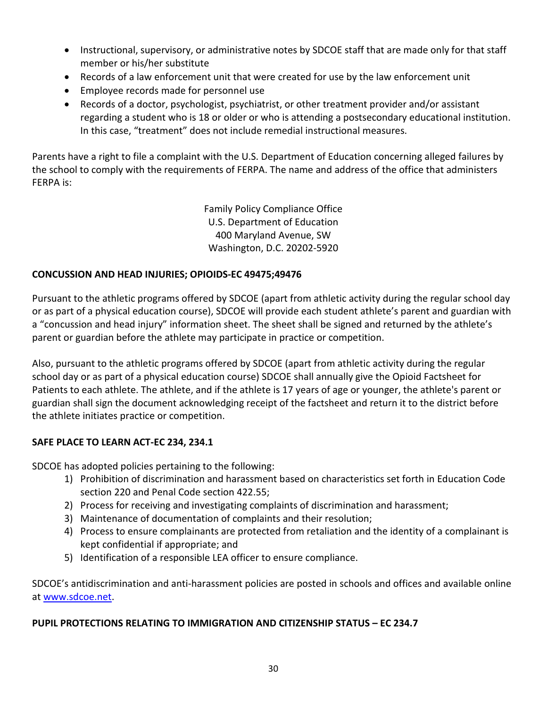- Instructional, supervisory, or administrative notes by SDCOE staff that are made only for that staff member or his/her substitute
- Records of a law enforcement unit that were created for use by the law enforcement unit
- Employee records made for personnel use
- Records of a doctor, psychologist, psychiatrist, or other treatment provider and/or assistant regarding a student who is 18 or older or who is attending a postsecondary educational institution. In this case, "treatment" does not include remedial instructional measures.

Parents have a right to file a complaint with the U.S. Department of Education concerning alleged failures by the school to comply with the requirements of FERPA. The name and address of the office that administers FERPA is:

> Family Policy Compliance Office U.S. Department of Education 400 Maryland Avenue, SW Washington, D.C. 20202-5920

#### <span id="page-35-0"></span>**CONCUSSION AND HEAD INJURIES; OPIOIDS-EC 49475;49476**

Pursuant to the athletic programs offered by SDCOE (apart from athletic activity during the regular school day or as part of a physical education course), SDCOE will provide each student athlete's parent and guardian with a "concussion and head injury" information sheet. The sheet shall be signed and returned by the athlete's parent or guardian before the athlete may participate in practice or competition.

Also, pursuant to the athletic programs offered by SDCOE (apart from athletic activity during the regular school day or as part of a physical education course) SDCOE shall annually give the Opioid Factsheet for Patients to each athlete. The athlete, and if the athlete is 17 years of age or younger, the athlete's parent or guardian shall sign the document acknowledging receipt of the factsheet and return it to the district before the athlete initiates practice or competition.

#### <span id="page-35-1"></span>**SAFE PLACE TO LEARN ACT-EC 234, 234.1**

SDCOE has adopted policies pertaining to the following:

- 1) Prohibition of discrimination and harassment based on characteristics set forth in Education Code section 220 and Penal Code section 422.55;
- 2) Process for receiving and investigating complaints of discrimination and harassment;
- 3) Maintenance of documentation of complaints and their resolution;
- 4) Process to ensure complainants are protected from retaliation and the identity of a complainant is kept confidential if appropriate; and
- 5) Identification of a responsible LEA officer to ensure compliance.

SDCOE's antidiscrimination and anti-harassment policies are posted in schools and offices and available online at [www.sdcoe.net.](http://www.sdcoe.net/)

#### <span id="page-35-2"></span>**PUPIL PROTECTIONS RELATING TO IMMIGRATION AND CITIZENSHIP STATUS – EC 234.7**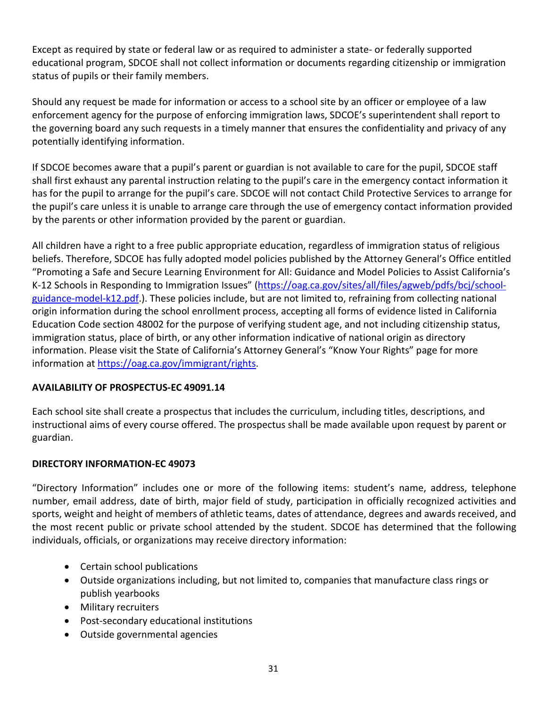Except as required by state or federal law or as required to administer a state- or federally supported educational program, SDCOE shall not collect information or documents regarding citizenship or immigration status of pupils or their family members.

Should any request be made for information or access to a school site by an officer or employee of a law enforcement agency for the purpose of enforcing immigration laws, SDCOE's superintendent shall report to the governing board any such requests in a timely manner that ensures the confidentiality and privacy of any potentially identifying information.

If SDCOE becomes aware that a pupil's parent or guardian is not available to care for the pupil, SDCOE staff shall first exhaust any parental instruction relating to the pupil's care in the emergency contact information it has for the pupil to arrange for the pupil's care. SDCOE will not contact Child Protective Services to arrange for the pupil's care unless it is unable to arrange care through the use of emergency contact information provided by the parents or other information provided by the parent or guardian.

All children have a right to a free public appropriate education, regardless of immigration status of religious beliefs. Therefore, SDCOE has fully adopted model policies published by the Attorney General's Office entitled "Promoting a Safe and Secure Learning Environment for All: Guidance and Model Policies to Assist California's K-12 Schools in Responding to Immigration Issues" [\(https://oag.ca.gov/sites/all/files/agweb/pdfs/bcj/school](https://oag.ca.gov/sites/all/files/agweb/pdfs/bcj/school-guidance-model-k12.pdf)[guidance-model-k12.pdf.](https://oag.ca.gov/sites/all/files/agweb/pdfs/bcj/school-guidance-model-k12.pdf)). These policies include, but are not limited to, refraining from collecting national origin information during the school enrollment process, accepting all forms of evidence listed in California Education Code section 48002 for the purpose of verifying student age, and not including citizenship status, immigration status, place of birth, or any other information indicative of national origin as directory information. Please visit the State of California's Attorney General's "Know Your Rights" page for more information at [https://oag.ca.gov/immigrant/rights.](https://oag.ca.gov/immigrant/rights)

#### <span id="page-36-0"></span>**AVAILABILITY OF PROSPECTUS-EC 49091.14**

Each school site shall create a prospectus that includes the curriculum, including titles, descriptions, and instructional aims of every course offered. The prospectus shall be made available upon request by parent or guardian.

#### <span id="page-36-1"></span>**DIRECTORY INFORMATION-EC 49073**

"Directory Information" includes one or more of the following items: student's name, address, telephone number, email address, date of birth, major field of study, participation in officially recognized activities and sports, weight and height of members of athletic teams, dates of attendance, degrees and awards received, and the most recent public or private school attended by the student. SDCOE has determined that the following individuals, officials, or organizations may receive directory information:

- Certain school publications
- Outside organizations including, but not limited to, companies that manufacture class rings or publish yearbooks
- Military recruiters
- Post-secondary educational institutions
- Outside governmental agencies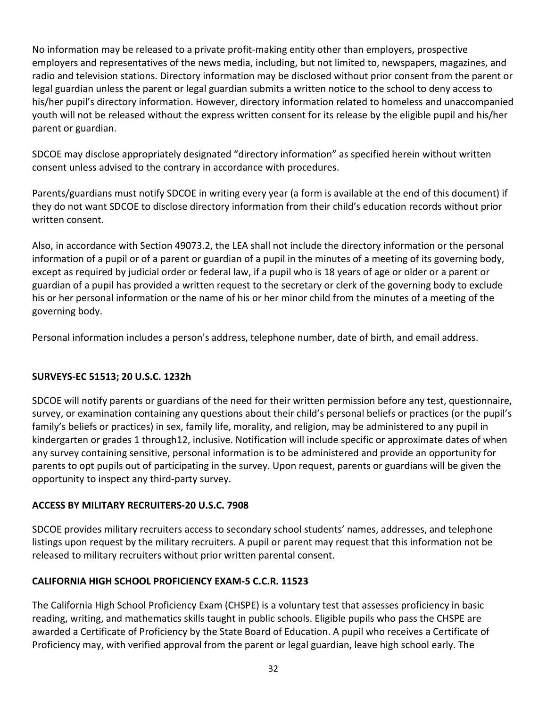No information may be released to a private profit-making entity other than employers, prospective employers and representatives of the news media, including, but not limited to, newspapers, magazines, and radio and television stations. Directory information may be disclosed without prior consent from the parent or legal guardian unless the parent or legal guardian submits a written notice to the school to deny access to his/her pupil's directory information. However, directory information related to homeless and unaccompanied youth will not be released without the express written consent for its release by the eligible pupil and his/her parent or guardian.

SDCOE may disclose appropriately designated "directory information" as specified herein without written consent unless advised to the contrary in accordance with procedures.

Parents/guardians must notify SDCOE in writing every year (a form is available at the end of this document) if they do not want SDCOE to disclose directory information from their child's education records without prior written consent.

Also, in accordance with Section 49073.2, the LEA shall not include the directory information or the personal information of a pupil or of a parent or guardian of a pupil in the minutes of a meeting of its governing body, except as required by judicial order or federal law, if a pupil who is 18 years of age or older or a parent or guardian of a pupil has provided a written request to the secretary or clerk of the governing body to exclude his or her personal information or the name of his or her minor child from the minutes of a meeting of the governing body.

Personal information includes a person's address, telephone number, date of birth, and email address.

#### <span id="page-37-0"></span>**SURVEYS-EC 51513; 20 U.S.C. 1232h**

SDCOE will notify parents or guardians of the need for their written permission before any test, questionnaire, survey, or examination containing any questions about their child's personal beliefs or practices (or the pupil's family's beliefs or practices) in sex, family life, morality, and religion, may be administered to any pupil in kindergarten or grades 1 through12, inclusive. Notification will include specific or approximate dates of when any survey containing sensitive, personal information is to be administered and provide an opportunity for parents to opt pupils out of participating in the survey. Upon request, parents or guardians will be given the opportunity to inspect any third-party survey.

#### <span id="page-37-1"></span>**ACCESS BY MILITARY RECRUITERS-20 U.S.C. 7908**

SDCOE provides military recruiters access to secondary school students' names, addresses, and telephone listings upon request by the military recruiters. A pupil or parent may request that this information not be released to military recruiters without prior written parental consent.

# <span id="page-37-2"></span>**CALIFORNIA HIGH SCHOOL PROFICIENCY EXAM-5 C.C.R. 11523**

The California High School Proficiency Exam (CHSPE) is a voluntary test that assesses proficiency in basic reading, writing, and mathematics skills taught in public schools. Eligible pupils who pass the CHSPE are awarded a Certificate of Proficiency by the State Board of Education. A pupil who receives a Certificate of Proficiency may, with verified approval from the parent or legal guardian, leave high school early. The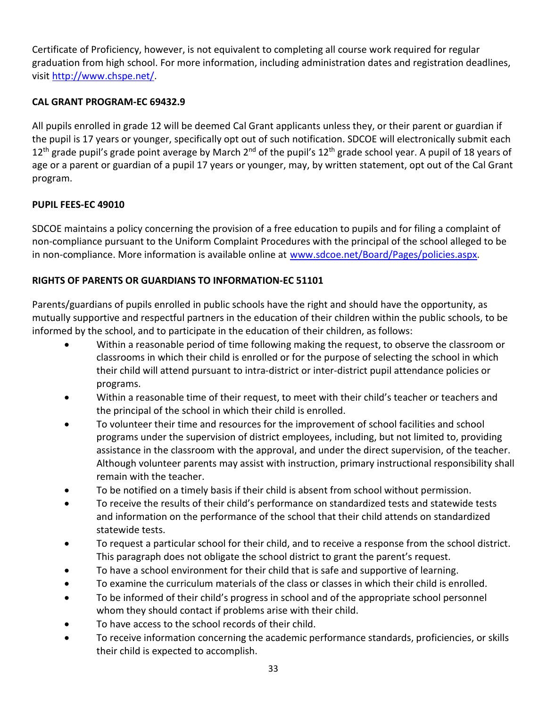Certificate of Proficiency, however, is not equivalent to completing all course work required for regular graduation from high school. For more information, including administration dates and registration deadlines, visit [http://www.chspe.net/.](http://www.chspe.net/)

# <span id="page-38-0"></span>**CAL GRANT PROGRAM-EC 69432.9**

All pupils enrolled in grade 12 will be deemed Cal Grant applicants unless they, or their parent or guardian if the pupil is 17 years or younger, specifically opt out of such notification. SDCOE will electronically submit each  $12<sup>th</sup>$  grade pupil's grade point average by March  $2<sup>nd</sup>$  of the pupil's  $12<sup>th</sup>$  grade school year. A pupil of 18 years of age or a parent or guardian of a pupil 17 years or younger, may, by written statement, opt out of the Cal Grant program.

# <span id="page-38-1"></span>**PUPIL FEES-EC 49010**

SDCOE maintains a policy concerning the provision of a free education to pupils and for filing a complaint of non-compliance pursuant to the Uniform Complaint Procedures with the principal of the school alleged to be in non-compliance. More information is available online at [www.sdcoe.net/Board/Pages/policies.aspx.](https://www.sdcoe.net/Board/Pages/policies.aspx)

# <span id="page-38-2"></span>**RIGHTS OF PARENTS OR GUARDIANS TO INFORMATION-EC 51101**

Parents/guardians of pupils enrolled in public schools have the right and should have the opportunity, as mutually supportive and respectful partners in the education of their children within the public schools, to be informed by the school, and to participate in the education of their children, as follows:

- Within a reasonable period of time following making the request, to observe the classroom or classrooms in which their child is enrolled or for the purpose of selecting the school in which their child will attend pursuant to intra-district or inter-district pupil attendance policies or programs.
- Within a reasonable time of their request, to meet with their child's teacher or teachers and the principal of the school in which their child is enrolled.
- To volunteer their time and resources for the improvement of school facilities and school programs under the supervision of district employees, including, but not limited to, providing assistance in the classroom with the approval, and under the direct supervision, of the teacher. Although volunteer parents may assist with instruction, primary instructional responsibility shall remain with the teacher.
- To be notified on a timely basis if their child is absent from school without permission.
- To receive the results of their child's performance on standardized tests and statewide tests and information on the performance of the school that their child attends on standardized statewide tests.
- To request a particular school for their child, and to receive a response from the school district. This paragraph does not obligate the school district to grant the parent's request.
- To have a school environment for their child that is safe and supportive of learning.
- To examine the curriculum materials of the class or classes in which their child is enrolled.
- To be informed of their child's progress in school and of the appropriate school personnel whom they should contact if problems arise with their child.
- To have access to the school records of their child.
- To receive information concerning the academic performance standards, proficiencies, or skills their child is expected to accomplish.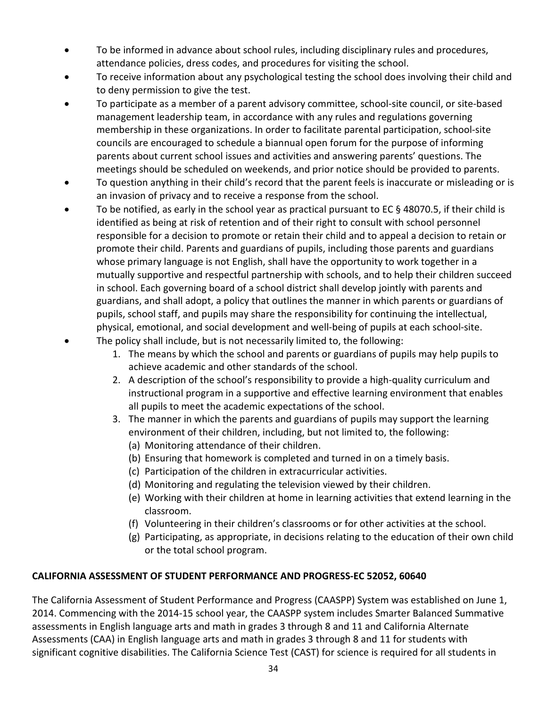- To be informed in advance about school rules, including disciplinary rules and procedures, attendance policies, dress codes, and procedures for visiting the school.
- To receive information about any psychological testing the school does involving their child and to deny permission to give the test.
- To participate as a member of a parent advisory committee, school-site council, or site-based management leadership team, in accordance with any rules and regulations governing membership in these organizations. In order to facilitate parental participation, school-site councils are encouraged to schedule a biannual open forum for the purpose of informing parents about current school issues and activities and answering parents' questions. The meetings should be scheduled on weekends, and prior notice should be provided to parents.
- To question anything in their child's record that the parent feels is inaccurate or misleading or is an invasion of privacy and to receive a response from the school.
- To be notified, as early in the school year as practical pursuant to EC  $\S$  48070.5, if their child is identified as being at risk of retention and of their right to consult with school personnel responsible for a decision to promote or retain their child and to appeal a decision to retain or promote their child. Parents and guardians of pupils, including those parents and guardians whose primary language is not English, shall have the opportunity to work together in a mutually supportive and respectful partnership with schools, and to help their children succeed in school. Each governing board of a school district shall develop jointly with parents and guardians, and shall adopt, a policy that outlines the manner in which parents or guardians of pupils, school staff, and pupils may share the responsibility for continuing the intellectual, physical, emotional, and social development and well-being of pupils at each school-site.
- The policy shall include, but is not necessarily limited to, the following:
	- 1. The means by which the school and parents or guardians of pupils may help pupils to achieve academic and other standards of the school.
	- 2. A description of the school's responsibility to provide a high-quality curriculum and instructional program in a supportive and effective learning environment that enables all pupils to meet the academic expectations of the school.
	- 3. The manner in which the parents and guardians of pupils may support the learning environment of their children, including, but not limited to, the following:
		- (a) Monitoring attendance of their children.
		- (b) Ensuring that homework is completed and turned in on a timely basis.
		- (c) Participation of the children in extracurricular activities.
		- (d) Monitoring and regulating the television viewed by their children.
		- (e) Working with their children at home in learning activities that extend learning in the classroom.
		- (f) Volunteering in their children's classrooms or for other activities at the school.
		- (g) Participating, as appropriate, in decisions relating to the education of their own child or the total school program.

#### <span id="page-39-0"></span>**CALIFORNIA ASSESSMENT OF STUDENT PERFORMANCE AND PROGRESS-EC 52052, 60640**

The California Assessment of Student Performance and Progress (CAASPP) System was established on June 1, 2014. Commencing with the 2014-15 school year, the CAASPP system includes Smarter Balanced Summative assessments in English language arts and math in grades 3 through 8 and 11 and California Alternate Assessments (CAA) in English language arts and math in grades 3 through 8 and 11 for students with significant cognitive disabilities. The California Science Test (CAST) for science is required for all students in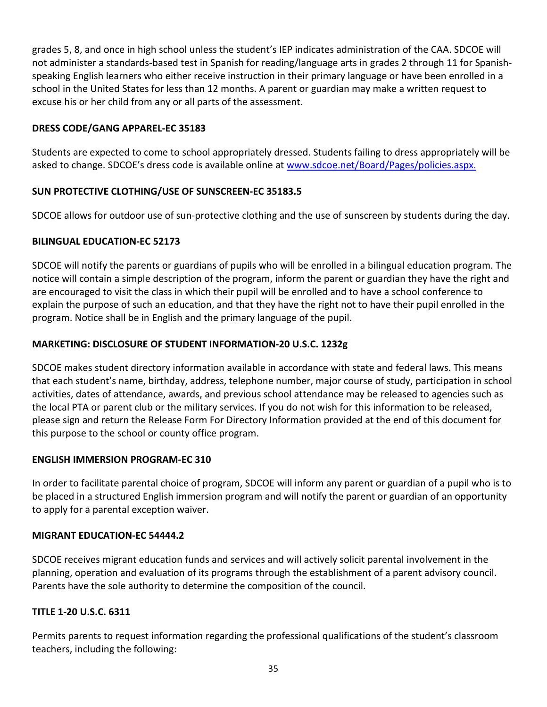grades 5, 8, and once in high school unless the student's IEP indicates administration of the CAA. SDCOE will not administer a standards-based test in Spanish for reading/language arts in grades 2 through 11 for Spanishspeaking English learners who either receive instruction in their primary language or have been enrolled in a school in the United States for less than 12 months. A parent or guardian may make a written request to excuse his or her child from any or all parts of the assessment.

### <span id="page-40-0"></span>**DRESS CODE/GANG APPAREL-EC 35183**

Students are expected to come to school appropriately dressed. Students failing to dress appropriately will be asked to change. SDCOE's dress code is available online at [www.sdcoe.net/Board/Pages/policies.aspx.](https://www.sdcoe.net/Board/Pages/policies.aspx)

# <span id="page-40-1"></span>**SUN PROTECTIVE CLOTHING/USE OF SUNSCREEN-EC 35183.5**

SDCOE allows for outdoor use of sun-protective clothing and the use of sunscreen by students during the day.

#### <span id="page-40-2"></span>**BILINGUAL EDUCATION-EC 52173**

SDCOE will notify the parents or guardians of pupils who will be enrolled in a bilingual education program. The notice will contain a simple description of the program, inform the parent or guardian they have the right and are encouraged to visit the class in which their pupil will be enrolled and to have a school conference to explain the purpose of such an education, and that they have the right not to have their pupil enrolled in the program. Notice shall be in English and the primary language of the pupil.

# <span id="page-40-3"></span>**MARKETING: DISCLOSURE OF STUDENT INFORMATION-20 U.S.C. 1232g**

SDCOE makes student directory information available in accordance with state and federal laws. This means that each student's name, birthday, address, telephone number, major course of study, participation in school activities, dates of attendance, awards, and previous school attendance may be released to agencies such as the local PTA or parent club or the military services. If you do not wish for this information to be released, please sign and return the Release Form For Directory Information provided at the end of this document for this purpose to the school or county office program.

#### <span id="page-40-4"></span>**ENGLISH IMMERSION PROGRAM-EC 310**

In order to facilitate parental choice of program, SDCOE will inform any parent or guardian of a pupil who is to be placed in a structured English immersion program and will notify the parent or guardian of an opportunity to apply for a parental exception waiver.

#### <span id="page-40-5"></span>**MIGRANT EDUCATION-EC 54444.2**

SDCOE receives migrant education funds and services and will actively solicit parental involvement in the planning, operation and evaluation of its programs through the establishment of a parent advisory council. Parents have the sole authority to determine the composition of the council.

#### <span id="page-40-6"></span>**TITLE 1-20 U.S.C. 6311**

Permits parents to request information regarding the professional qualifications of the student's classroom teachers, including the following: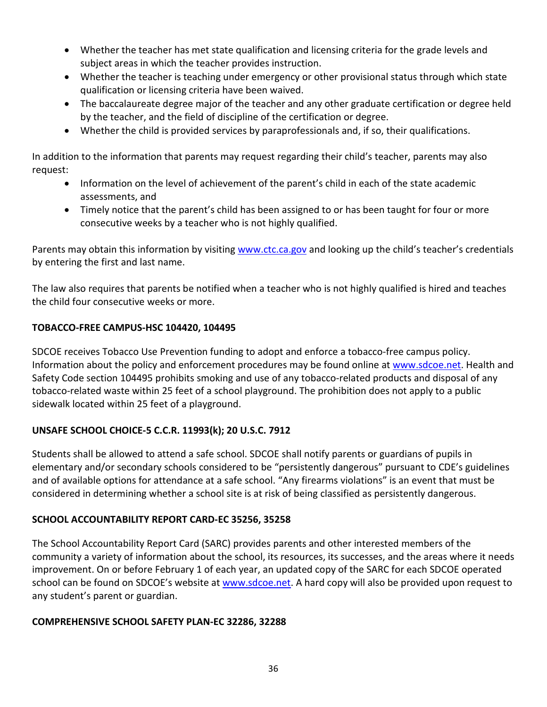- Whether the teacher has met state qualification and licensing criteria for the grade levels and subject areas in which the teacher provides instruction.
- Whether the teacher is teaching under emergency or other provisional status through which state qualification or licensing criteria have been waived.
- The baccalaureate degree major of the teacher and any other graduate certification or degree held by the teacher, and the field of discipline of the certification or degree.
- Whether the child is provided services by paraprofessionals and, if so, their qualifications.

In addition to the information that parents may request regarding their child's teacher, parents may also request:

- Information on the level of achievement of the parent's child in each of the state academic assessments, and
- Timely notice that the parent's child has been assigned to or has been taught for four or more consecutive weeks by a teacher who is not highly qualified.

Parents may obtain this information by visiting [www.ctc.ca.gov](http://www.ctc.ca.gov/) and looking up the child's teacher's credentials by entering the first and last name.

The law also requires that parents be notified when a teacher who is not highly qualified is hired and teaches the child four consecutive weeks or more.

#### <span id="page-41-0"></span>**TOBACCO-FREE CAMPUS-HSC 104420, 104495**

SDCOE receives Tobacco Use Prevention funding to adopt and enforce a tobacco-free campus policy. Information about the policy and enforcement procedures may be found online at [www.sdcoe.net.](http://www.sdcoe.net/) Health and Safety Code section 104495 prohibits smoking and use of any tobacco-related products and disposal of any tobacco-related waste within 25 feet of a school playground. The prohibition does not apply to a public sidewalk located within 25 feet of a playground.

#### <span id="page-41-1"></span>**UNSAFE SCHOOL CHOICE-5 C.C.R. 11993(k); 20 U.S.C. 7912**

Students shall be allowed to attend a safe school. SDCOE shall notify parents or guardians of pupils in elementary and/or secondary schools considered to be "persistently dangerous" pursuant to CDE's guidelines and of available options for attendance at a safe school. "Any firearms violations" is an event that must be considered in determining whether a school site is at risk of being classified as persistently dangerous.

#### <span id="page-41-2"></span>**SCHOOL ACCOUNTABILITY REPORT CARD-EC 35256, 35258**

The School Accountability Report Card (SARC) provides parents and other interested members of the community a variety of information about the school, its resources, its successes, and the areas where it needs improvement. On or before February 1 of each year, an updated copy of the SARC for each SDCOE operated school can be found on SDCOE's website at [www.sdcoe.net.](http://www.sdcoe.net/jccs/Pages/SARCs.aspx) A hard copy will also be provided upon request to any student's parent or guardian.

#### <span id="page-41-3"></span>**COMPREHENSIVE SCHOOL SAFETY PLAN-EC 32286, 32288**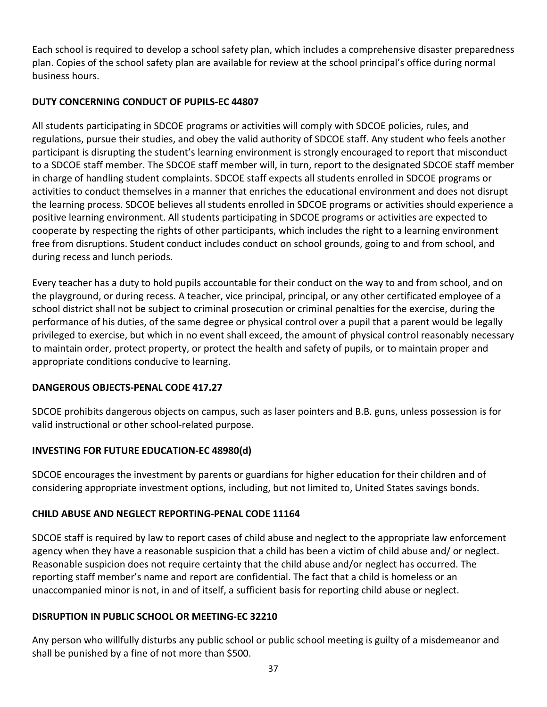Each school is required to develop a school safety plan, which includes a comprehensive disaster preparedness plan. Copies of the school safety plan are available for review at the school principal's office during normal business hours.

# <span id="page-42-0"></span>**DUTY CONCERNING CONDUCT OF PUPILS-EC 44807**

All students participating in SDCOE programs or activities will comply with SDCOE policies, rules, and regulations, pursue their studies, and obey the valid authority of SDCOE staff. Any student who feels another participant is disrupting the student's learning environment is strongly encouraged to report that misconduct to a SDCOE staff member. The SDCOE staff member will, in turn, report to the designated SDCOE staff member in charge of handling student complaints. SDCOE staff expects all students enrolled in SDCOE programs or activities to conduct themselves in a manner that enriches the educational environment and does not disrupt the learning process. SDCOE believes all students enrolled in SDCOE programs or activities should experience a positive learning environment. All students participating in SDCOE programs or activities are expected to cooperate by respecting the rights of other participants, which includes the right to a learning environment free from disruptions. Student conduct includes conduct on school grounds, going to and from school, and during recess and lunch periods.

Every teacher has a duty to hold pupils accountable for their conduct on the way to and from school, and on the playground, or during recess. A teacher, vice principal, principal, or any other certificated employee of a school district shall not be subject to criminal prosecution or criminal penalties for the exercise, during the performance of his duties, of the same degree or physical control over a pupil that a parent would be legally privileged to exercise, but which in no event shall exceed, the amount of physical control reasonably necessary to maintain order, protect property, or protect the health and safety of pupils, or to maintain proper and appropriate conditions conducive to learning.

# <span id="page-42-1"></span>**DANGEROUS OBJECTS-PENAL CODE 417.27**

SDCOE prohibits dangerous objects on campus, such as laser pointers and B.B. guns, unless possession is for valid instructional or other school-related purpose.

# <span id="page-42-2"></span>**INVESTING FOR FUTURE EDUCATION-EC 48980(d)**

SDCOE encourages the investment by parents or guardians for higher education for their children and of considering appropriate investment options, including, but not limited to, United States savings bonds.

# <span id="page-42-3"></span>**CHILD ABUSE AND NEGLECT REPORTING-PENAL CODE 11164**

SDCOE staff is required by law to report cases of child abuse and neglect to the appropriate law enforcement agency when they have a reasonable suspicion that a child has been a victim of child abuse and/ or neglect. Reasonable suspicion does not require certainty that the child abuse and/or neglect has occurred. The reporting staff member's name and report are confidential. The fact that a child is homeless or an unaccompanied minor is not, in and of itself, a sufficient basis for reporting child abuse or neglect.

# <span id="page-42-4"></span>**DISRUPTION IN PUBLIC SCHOOL OR MEETING-EC 32210**

Any person who willfully disturbs any public school or public school meeting is guilty of a misdemeanor and shall be punished by a fine of not more than \$500.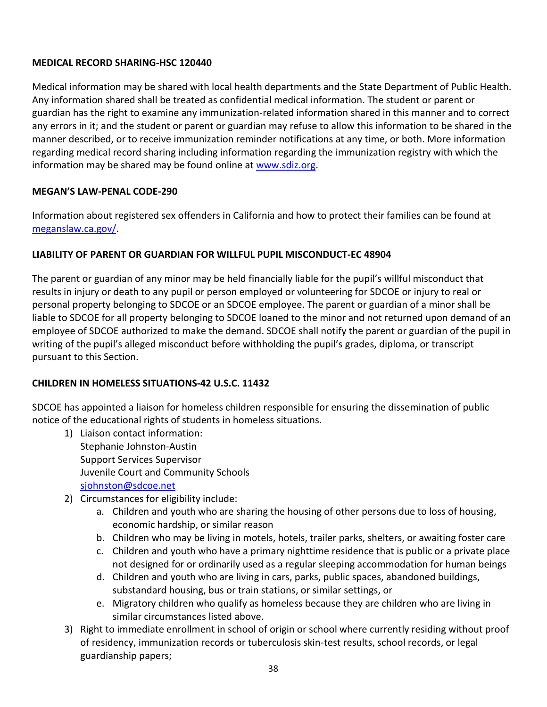#### <span id="page-43-0"></span>**MEDICAL RECORD SHARING-HSC 120440**

Medical information may be shared with local health departments and the State Department of Public Health. Any information shared shall be treated as confidential medical information. The student or parent or guardian has the right to examine any immunization-related information shared in this manner and to correct any errors in it; and the student or parent or guardian may refuse to allow this information to be shared in the manner described, or to receive immunization reminder notifications at any time, or both. More information regarding medical record sharing including information regarding the immunization registry with which the information may be shared may be found online at [www.sdiz.org.](http://www.sdiz.org/)

#### <span id="page-43-1"></span>**MEGAN'S LAW-PENAL CODE-290**

Information about registered sex offenders in California and how to protect their families can be found at [meganslaw.ca.gov/.](http://meganslaw.ca.gov/)

#### <span id="page-43-2"></span>**LIABILITY OF PARENT OR GUARDIAN FOR WILLFUL PUPIL MISCONDUCT-EC 48904**

The parent or guardian of any minor may be held financially liable for the pupil's willful misconduct that results in injury or death to any pupil or person employed or volunteering for SDCOE or injury to real or personal property belonging to SDCOE or an SDCOE employee. The parent or guardian of a minor shall be liable to SDCOE for all property belonging to SDCOE loaned to the minor and not returned upon demand of an employee of SDCOE authorized to make the demand. SDCOE shall notify the parent or guardian of the pupil in writing of the pupil's alleged misconduct before withholding the pupil's grades, diploma, or transcript pursuant to this Section.

#### <span id="page-43-3"></span>**CHILDREN IN HOMELESS SITUATIONS-42 U.S.C. 11432**

SDCOE has appointed a liaison for homeless children responsible for ensuring the dissemination of public notice of the educational rights of students in homeless situations.

- 1) Liaison contact information: Stephanie Johnston-Austin Support Services Supervisor Juvenile Court and Community Schools [sjohnston@sdcoe.net](mailto:sjohnston@sdcoe.net)
- 2) Circumstances for eligibility include:
	- a. Children and youth who are sharing the housing of other persons due to loss of housing, economic hardship, or similar reason
	- b. Children who may be living in motels, hotels, trailer parks, shelters, or awaiting foster care
	- c. Children and youth who have a primary nighttime residence that is public or a private place not designed for or ordinarily used as a regular sleeping accommodation for human beings
	- d. Children and youth who are living in cars, parks, public spaces, abandoned buildings, substandard housing, bus or train stations, or similar settings, or
	- e. Migratory children who qualify as homeless because they are children who are living in similar circumstances listed above.
- 3) Right to immediate enrollment in school of origin or school where currently residing without proof of residency, immunization records or tuberculosis skin-test results, school records, or legal guardianship papers;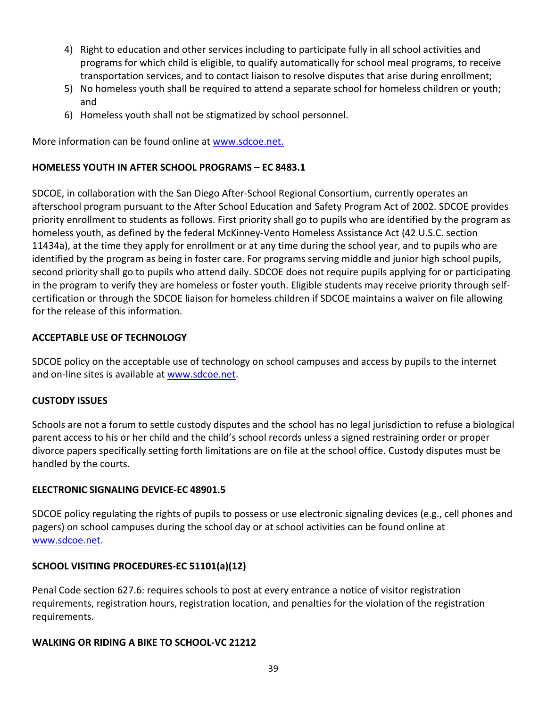- 4) Right to education and other services including to participate fully in all school activities and programs for which child is eligible, to qualify automatically for school meal programs, to receive transportation services, and to contact liaison to resolve disputes that arise during enrollment;
- 5) No homeless youth shall be required to attend a separate school for homeless children or youth; and
- 6) Homeless youth shall not be stigmatized by school personnel.

More information can be found online at [www.sdcoe.net.](http://www.sdcoe.net/student-services/student-support/fyhes/Pages/homeless-education-services-home.aspx)

#### <span id="page-44-0"></span>**HOMELESS YOUTH IN AFTER SCHOOL PROGRAMS – EC 8483.1**

SDCOE, in collaboration with the San Diego After-School Regional Consortium, currently operates an afterschool program pursuant to the After School Education and Safety Program Act of 2002. SDCOE provides priority enrollment to students as follows. First priority shall go to pupils who are identified by the program as homeless youth, as defined by the federal McKinney-Vento Homeless Assistance Act (42 U.S.C. section 11434a), at the time they apply for enrollment or at any time during the school year, and to pupils who are identified by the program as being in foster care. For programs serving middle and junior high school pupils, second priority shall go to pupils who attend daily. SDCOE does not require pupils applying for or participating in the program to verify they are homeless or foster youth. Eligible students may receive priority through selfcertification or through the SDCOE liaison for homeless children if SDCOE maintains a waiver on file allowing for the release of this information.

#### <span id="page-44-1"></span>**ACCEPTABLE USE OF TECHNOLOGY**

SDCOE policy on the acceptable use of technology on school campuses and access by pupils to the internet and on-line sites is available at [www.sdcoe.net.](http://www.sdcoe.net/Board/Documents/ar/6163.pdf)

#### <span id="page-44-2"></span>**CUSTODY ISSUES**

Schools are not a forum to settle custody disputes and the school has no legal jurisdiction to refuse a biological parent access to his or her child and the child's school records unless a signed restraining order or proper divorce papers specifically setting forth limitations are on file at the school office. Custody disputes must be handled by the courts.

#### <span id="page-44-3"></span>**ELECTRONIC SIGNALING DEVICE-EC 48901.5**

SDCOE policy regulating the rights of pupils to possess or use electronic signaling devices (e.g., cell phones and pagers) on school campuses during the school day or at school activities can be found online at [www.sdcoe.net.](http://www.sdcoe.net/jccs/Pages/Acceptable-Use-Policy.aspx)

#### <span id="page-44-4"></span>**SCHOOL VISITING PROCEDURES-EC 51101(a)(12)**

Penal Code section 627.6: requires schools to post at every entrance a notice of visitor registration requirements, registration hours, registration location, and penalties for the violation of the registration requirements.

#### <span id="page-44-5"></span>**WALKING OR RIDING A BIKE TO SCHOOL-VC 21212**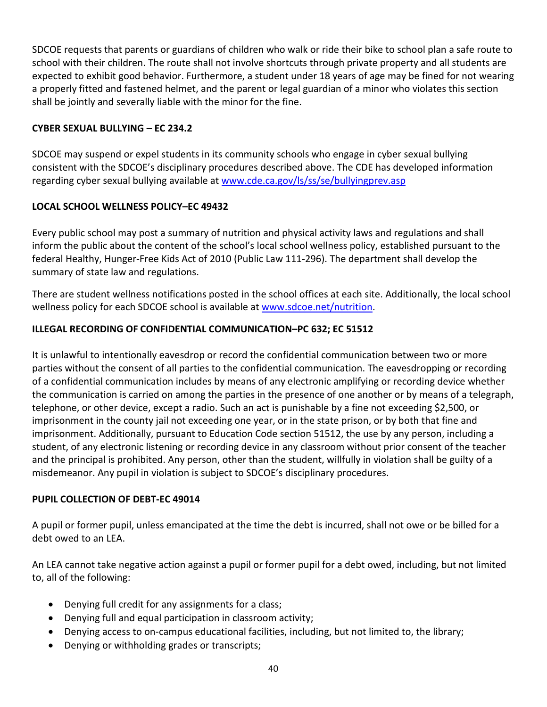SDCOE requests that parents or guardians of children who walk or ride their bike to school plan a safe route to school with their children. The route shall not involve shortcuts through private property and all students are expected to exhibit good behavior. Furthermore, a student under 18 years of age may be fined for not wearing a properly fitted and fastened helmet, and the parent or legal guardian of a minor who violates this section shall be jointly and severally liable with the minor for the fine.

#### <span id="page-45-0"></span>**CYBER SEXUAL BULLYING – EC 234.2**

SDCOE may suspend or expel students in its community schools who engage in cyber sexual bullying consistent with the SDCOE's disciplinary procedures described above. The CDE has developed information regarding cyber sexual bullying available at www.cde.ca.gov/ls/ss/se/bullyingprev.asp

#### <span id="page-45-1"></span>**LOCAL SCHOOL WELLNESS POLICY–EC 49432**

Every public school may post a summary of nutrition and physical activity laws and regulations and shall inform the public about the content of the school's local school wellness policy, established pursuant to the federal Healthy, Hunger-Free Kids Act of 2010 (Public Law 111-296). The department shall develop the summary of state law and regulations.

There are student wellness notifications posted in the school offices at each site. Additionally, the local school wellness policy for each SDCOE school is available at [www.sdcoe.net/nutrition.](http://www.sdcoe.net/nutrition)

#### <span id="page-45-2"></span>**ILLEGAL RECORDING OF CONFIDENTIAL COMMUNICATION–PC 632; EC 51512**

It is unlawful to intentionally eavesdrop or record the confidential communication between two or more parties without the consent of all parties to the confidential communication. The eavesdropping or recording of a confidential communication includes by means of any electronic amplifying or recording device whether the communication is carried on among the parties in the presence of one another or by means of a telegraph, telephone, or other device, except a radio. Such an act is punishable by a fine not exceeding \$2,500, or imprisonment in the county jail not exceeding one year, or in the state prison, or by both that fine and imprisonment. Additionally, pursuant to Education Code section 51512, the use by any person, including a student, of any electronic listening or recording device in any classroom without prior consent of the teacher and the principal is prohibited. Any person, other than the student, willfully in violation shall be guilty of a misdemeanor. Any pupil in violation is subject to SDCOE's disciplinary procedures.

#### **PUPIL COLLECTION OF DEBT-EC 49014**

A pupil or former pupil, unless emancipated at the time the debt is incurred, shall not owe or be billed for a debt owed to an LEA.

An LEA cannot take negative action against a pupil or former pupil for a debt owed, including, but not limited to, all of the following:

- Denying full credit for any assignments for a class;
- Denying full and equal participation in classroom activity;
- Denying access to on-campus educational facilities, including, but not limited to, the library;
- Denying or withholding grades or transcripts;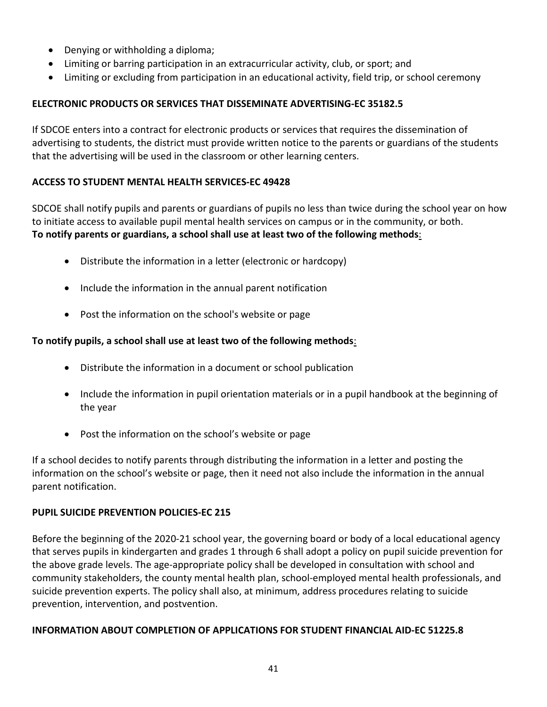- Denying or withholding a diploma;
- Limiting or barring participation in an extracurricular activity, club, or sport; and
- Limiting or excluding from participation in an educational activity, field trip, or school ceremony

### **ELECTRONIC PRODUCTS OR SERVICES THAT DISSEMINATE ADVERTISING-EC 35182.5**

If SDCOE enters into a contract for electronic products or services that requires the dissemination of advertising to students, the district must provide written notice to the parents or guardians of the students that the advertising will be used in the classroom or other learning centers.

#### **ACCESS TO STUDENT MENTAL HEALTH SERVICES-EC 49428**

SDCOE shall notify pupils and parents or guardians of pupils no less than twice during the school year on how to initiate access to available pupil mental health services on campus or in the community, or both. **To notify parents or guardians, a school shall use at least two of the following methods**:

- Distribute the information in a letter (electronic or hardcopy)
- Include the information in the annual parent notification
- Post the information on the school's website or page

# **To notify pupils, a school shall use at least two of the following methods**:

- Distribute the information in a document or school publication
- Include the information in pupil orientation materials or in a pupil handbook at the beginning of the year
- Post the information on the school's website or page

If a school decides to notify parents through distributing the information in a letter and posting the information on the school's website or page, then it need not also include the information in the annual parent notification.

#### <span id="page-46-0"></span>**PUPIL SUICIDE PREVENTION POLICIES-EC 215**

Before the beginning of the 2020-21 school year, the governing board or body of a local educational agency that serves pupils in kindergarten and grades 1 through 6 shall adopt a policy on pupil suicide prevention for the above grade levels. The age-appropriate policy shall be developed in consultation with school and community stakeholders, the county mental health plan, school-employed mental health professionals, and suicide prevention experts. The policy shall also, at minimum, address procedures relating to suicide prevention, intervention, and postvention.

#### <span id="page-46-1"></span>**INFORMATION ABOUT COMPLETION OF APPLICATIONS FOR STUDENT FINANCIAL AID-EC 51225.8**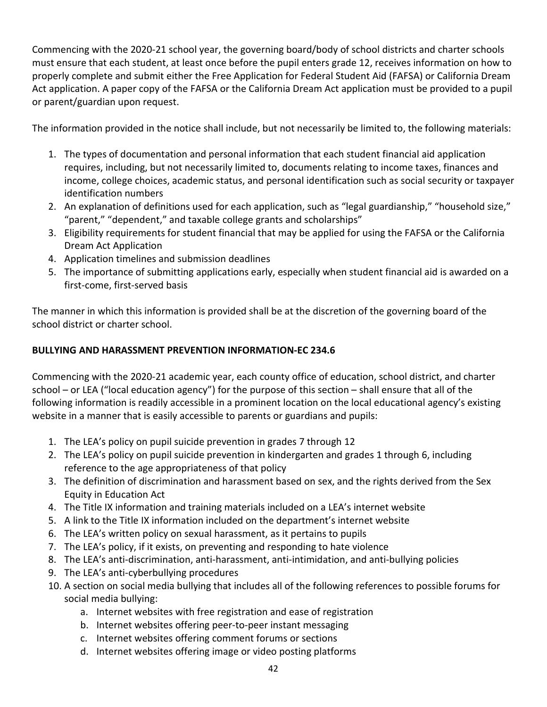Commencing with the 2020-21 school year, the governing board/body of school districts and charter schools must ensure that each student, at least once before the pupil enters grade 12, receives information on how to properly complete and submit either the Free Application for Federal Student Aid (FAFSA) or California Dream Act application. A paper copy of the FAFSA or the California Dream Act application must be provided to a pupil or parent/guardian upon request.

The information provided in the notice shall include, but not necessarily be limited to, the following materials:

- 1. The types of documentation and personal information that each student financial aid application requires, including, but not necessarily limited to, documents relating to income taxes, finances and income, college choices, academic status, and personal identification such as social security or taxpayer identification numbers
- 2. An explanation of definitions used for each application, such as "legal guardianship," "household size," "parent," "dependent," and taxable college grants and scholarships"
- 3. Eligibility requirements for student financial that may be applied for using the FAFSA or the California Dream Act Application
- 4. Application timelines and submission deadlines
- 5. The importance of submitting applications early, especially when student financial aid is awarded on a first-come, first-served basis

The manner in which this information is provided shall be at the discretion of the governing board of the school district or charter school.

### <span id="page-47-0"></span>**BULLYING AND HARASSMENT PREVENTION INFORMATION-EC 234.6**

Commencing with the 2020-21 academic year, each county office of education, school district, and charter school – or LEA ("local education agency") for the purpose of this section – shall ensure that all of the following information is readily accessible in a prominent location on the local educational agency's existing website in a manner that is easily accessible to parents or guardians and pupils:

- 1. The LEA's policy on pupil suicide prevention in grades 7 through 12
- 2. The LEA's policy on pupil suicide prevention in kindergarten and grades 1 through 6, including reference to the age appropriateness of that policy
- 3. The definition of discrimination and harassment based on sex, and the rights derived from the Sex Equity in Education Act
- 4. The Title IX information and training materials included on a LEA's internet website
- 5. A link to the Title IX information included on the department's internet website
- 6. The LEA's written policy on sexual harassment, as it pertains to pupils
- 7. The LEA's policy, if it exists, on preventing and responding to hate violence
- 8. The LEA's anti-discrimination, anti-harassment, anti-intimidation, and anti-bullying policies
- 9. The LEA's anti-cyberbullying procedures
- 10. A section on social media bullying that includes all of the following references to possible forums for social media bullying:
	- a. Internet websites with free registration and ease of registration
	- b. Internet websites offering peer-to-peer instant messaging
	- c. Internet websites offering comment forums or sections
	- d. Internet websites offering image or video posting platforms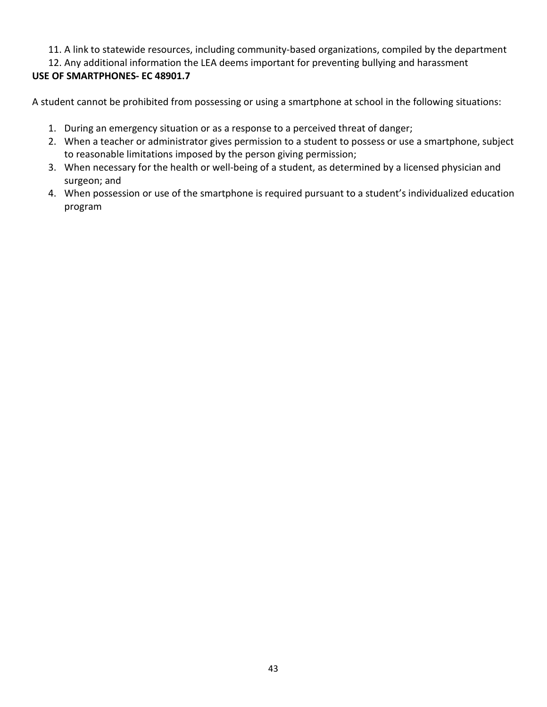# 11. A link to statewide resources, including community-based organizations, compiled by the department

<span id="page-48-0"></span>12. Any additional information the LEA deems important for preventing bullying and harassment **USE OF SMARTPHONES- EC 48901.7**

A student cannot be prohibited from possessing or using a smartphone at school in the following situations:

- 1. During an emergency situation or as a response to a perceived threat of danger;
- 2. When a teacher or administrator gives permission to a student to possess or use a smartphone, subject to reasonable limitations imposed by the person giving permission;
- 3. When necessary for the health or well-being of a student, as determined by a licensed physician and surgeon; and
- 4. When possession or use of the smartphone is required pursuant to a student's individualized education program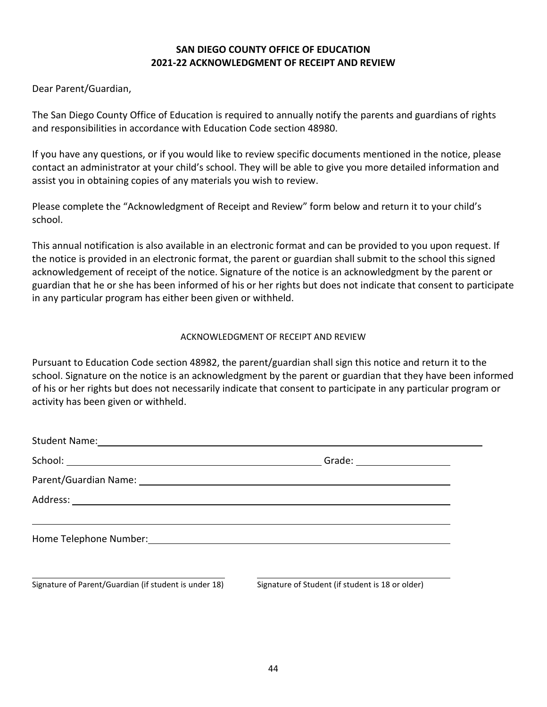#### **SAN DIEGO COUNTY OFFICE OF EDUCATION 2021-22 ACKNOWLEDGMENT OF RECEIPT AND REVIEW**

<span id="page-49-0"></span>Dear Parent/Guardian,

The San Diego County Office of Education is required to annually notify the parents and guardians of rights and responsibilities in accordance with Education Code section 48980.

If you have any questions, or if you would like to review specific documents mentioned in the notice, please contact an administrator at your child's school. They will be able to give you more detailed information and assist you in obtaining copies of any materials you wish to review.

Please complete the "Acknowledgment of Receipt and Review" form below and return it to your child's school.

This annual notification is also available in an electronic format and can be provided to you upon request. If the notice is provided in an electronic format, the parent or guardian shall submit to the school this signed acknowledgement of receipt of the notice. Signature of the notice is an acknowledgment by the parent or guardian that he or she has been informed of his or her rights but does not indicate that consent to participate in any particular program has either been given or withheld.

#### ACKNOWLEDGMENT OF RECEIPT AND REVIEW

Pursuant to Education Code section 48982, the parent/guardian shall sign this notice and return it to the school. Signature on the notice is an acknowledgment by the parent or guardian that they have been informed of his or her rights but does not necessarily indicate that consent to participate in any particular program or activity has been given or withheld.

|                                                       | Grade: ______________________                    |
|-------------------------------------------------------|--------------------------------------------------|
|                                                       |                                                  |
|                                                       |                                                  |
|                                                       |                                                  |
| Signature of Parent/Guardian (if student is under 18) | Signature of Student (if student is 18 or older) |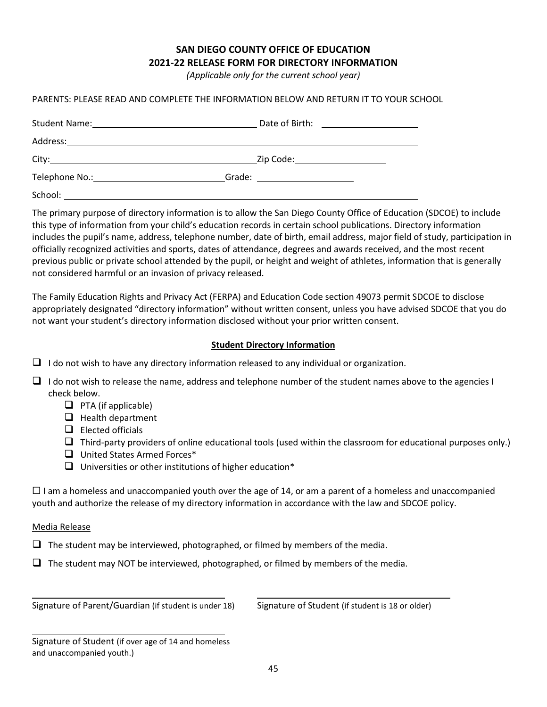#### **SAN DIEGO COUNTY OFFICE OF EDUCATION 2021-22 RELEASE FORM FOR DIRECTORY INFORMATION**

*(Applicable only for the current school year)*

#### <span id="page-50-0"></span>PARENTS: PLEASE READ AND COMPLETE THE INFORMATION BELOW AND RETURN IT TO YOUR SCHOOL

|                                                                                                                                                                                                                                | Date of Birth:<br><u> 1980 - Andrea Station Books, amerikansk politik (d. 1980)</u>                                            |
|--------------------------------------------------------------------------------------------------------------------------------------------------------------------------------------------------------------------------------|--------------------------------------------------------------------------------------------------------------------------------|
| Address:                                                                                                                                                                                                                       |                                                                                                                                |
| City:                                                                                                                                                                                                                          | Zip Code:_______________________                                                                                               |
| Telephone No.: The contract of the contract of the contract of the contract of the contract of the contract of the contract of the contract of the contract of the contract of the contract of the contract of the contract of | Grade:<br><u> 1980 - Jan Stein Stein Stein Stein Stein Stein Stein Stein Stein Stein Stein Stein Stein Stein Stein Stein S</u> |
| School:                                                                                                                                                                                                                        |                                                                                                                                |

The primary purpose of directory information is to allow the San Diego County Office of Education (SDCOE) to include this type of information from your child's education records in certain school publications. Directory information includes the pupil's name, address, telephone number, date of birth, email address, major field of study, participation in officially recognized activities and sports, dates of attendance, degrees and awards received, and the most recent previous public or private school attended by the pupil, or height and weight of athletes, information that is generally not considered harmful or an invasion of privacy released.

The Family Education Rights and Privacy Act (FERPA) and Education Code section 49073 permit SDCOE to disclose appropriately designated "directory information" without written consent, unless you have advised SDCOE that you do not want your student's directory information disclosed without your prior written consent.

#### **Student Directory Information**

- $\Box$  I do not wish to have any directory information released to any individual or organization.
- $\Box$  I do not wish to release the name, address and telephone number of the student names above to the agencies I check below.
	- $\Box$  PTA (if applicable)
	- $\Box$  Health department
	- $\Box$  Elected officials
	- $\Box$  Third-party providers of online educational tools (used within the classroom for educational purposes only.)
	- □ United States Armed Forces<sup>\*</sup>
	- $\Box$  Universities or other institutions of higher education\*

 $\Box$  I am a homeless and unaccompanied youth over the age of 14, or am a parent of a homeless and unaccompanied youth and authorize the release of my directory information in accordance with the law and SDCOE policy.

Media Release

 $\Box$  The student may be interviewed, photographed, or filmed by members of the media.

 $\Box$  The student may NOT be interviewed, photographed, or filmed by members of the media.

Signature of Parent/Guardian (if student is under 18) Signature of Student (if student is 18 or older)

Signature of Student (if over age of 14 and homeless and unaccompanied youth.)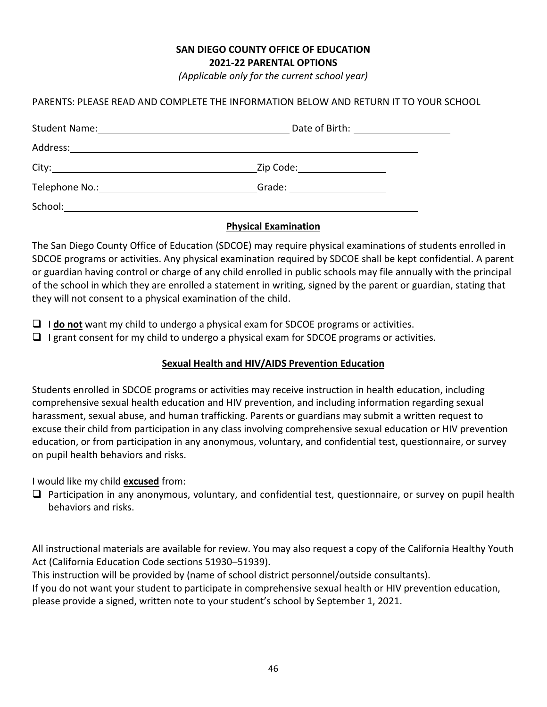# **SAN DIEGO COUNTY OFFICE OF EDUCATION**

**2021-22 PARENTAL OPTIONS**

*(Applicable only for the current school year)*

#### <span id="page-51-0"></span>PARENTS: PLEASE READ AND COMPLETE THE INFORMATION BELOW AND RETURN IT TO YOUR SCHOOL

| <b>Student Name:</b> | <u> 1989 - Johann Harry Harry Harry Harry Harry Harry Harry Harry Harry Harry Harry Harry Harry Harry Harry Harry</u> |  |
|----------------------|-----------------------------------------------------------------------------------------------------------------------|--|
| Address:             |                                                                                                                       |  |
| City:                | Zip Code: ________________                                                                                            |  |
| Telephone No.:       |                                                                                                                       |  |
|                      |                                                                                                                       |  |

#### **Physical Examination**

The San Diego County Office of Education (SDCOE) may require physical examinations of students enrolled in SDCOE programs or activities. Any physical examination required by SDCOE shall be kept confidential. A parent or guardian having control or charge of any child enrolled in public schools may file annually with the principal of the school in which they are enrolled a statement in writing, signed by the parent or guardian, stating that they will not consent to a physical examination of the child.

- I **do not** want my child to undergo a physical exam for SDCOE programs or activities.
- $\Box$  I grant consent for my child to undergo a physical exam for SDCOE programs or activities.

#### **Sexual Health and HIV/AIDS Prevention Education**

Students enrolled in SDCOE programs or activities may receive instruction in health education, including comprehensive sexual health education and HIV prevention, and including information regarding sexual harassment, sexual abuse, and human trafficking. Parents or guardians may submit a written request to excuse their child from participation in any class involving comprehensive sexual education or HIV prevention education, or from participation in any anonymous, voluntary, and confidential test, questionnaire, or survey on pupil health behaviors and risks.

I would like my child **excused** from:

 $\Box$  Participation in any anonymous, voluntary, and confidential test, questionnaire, or survey on pupil health behaviors and risks.

All instructional materials are available for review. You may also request a copy of the California Healthy Youth Act (California Education Code sections 51930–51939).

This instruction will be provided by (name of school district personnel/outside consultants).

If you do not want your student to participate in comprehensive sexual health or HIV prevention education, please provide a signed, written note to your student's school by September 1, 2021.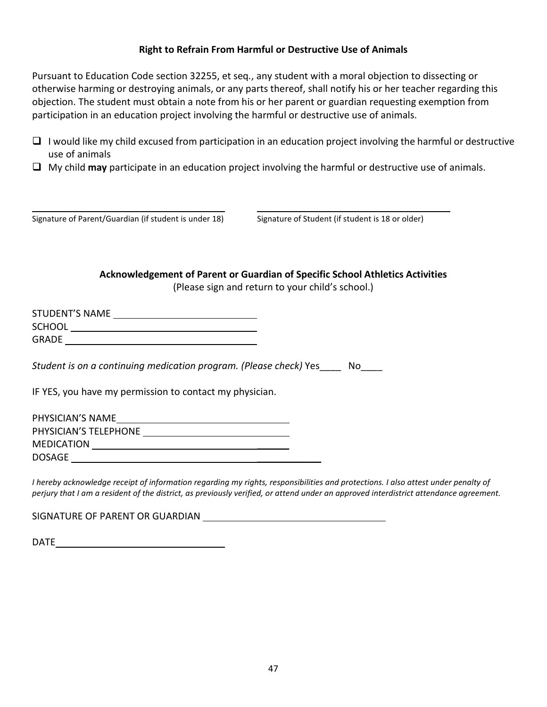#### **Right to Refrain From Harmful or Destructive Use of Animals**

<span id="page-52-0"></span>Pursuant to Education Code section 32255, et seq*.*, any student with a moral objection to dissecting or otherwise harming or destroying animals, or any parts thereof, shall notify his or her teacher regarding this objection. The student must obtain a note from his or her parent or guardian requesting exemption from participation in an education project involving the harmful or destructive use of animals.

- $\Box$  I would like my child excused from participation in an education project involving the harmful or destructive use of animals
- My child **may** participate in an education project involving the harmful or destructive use of animals.

| Signature of Parent/Guardian (if student is under 18) |  |  |
|-------------------------------------------------------|--|--|
|-------------------------------------------------------|--|--|

Signature of Student (if student is 18 or older)

**Acknowledgement of Parent or Guardian of Specific School Athletics Activities**

(Please sign and return to your child's school.)

<span id="page-52-1"></span>

| <b>STUDENT'S NAME</b> |  |
|-----------------------|--|
| <b>SCHOOL</b>         |  |
| <b>GRADE</b>          |  |

*Student is on a continuing medication program. (Please check)* Yes\_\_\_\_ No\_\_\_\_

IF YES, you have my permission to contact my physician.

| PHYSICIAN'S NAME      |  |
|-----------------------|--|
| PHYSICIAN'S TELEPHONE |  |
| <b>MEDICATION</b>     |  |
| <b>DOSAGE</b>         |  |

*I* hereby acknowledge receipt of information regarding my rights, responsibilities and protections. I also attest under penalty of *perjury that I am a resident of the district, as previously verified, or attend under an approved interdistrict attendance agreement.*

SIGNATURE OF PARENT OR GUARDIAN

DATE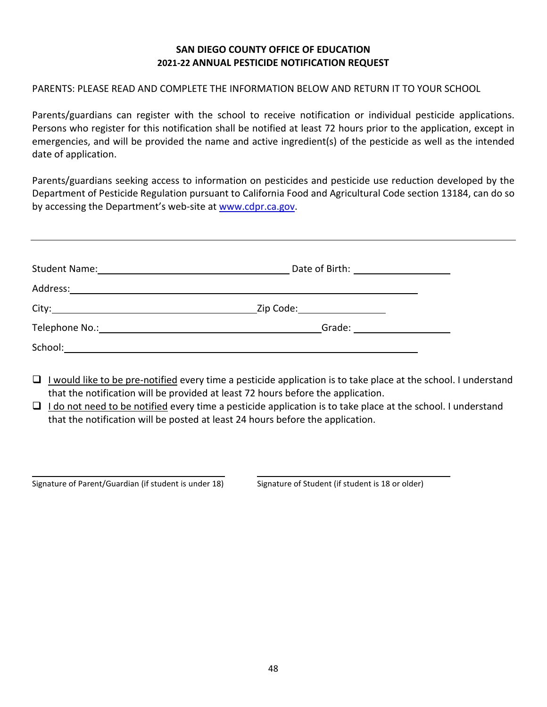#### **SAN DIEGO COUNTY OFFICE OF EDUCATION 2021-22 ANNUAL PESTICIDE NOTIFICATION REQUEST**

#### <span id="page-53-0"></span>PARENTS: PLEASE READ AND COMPLETE THE INFORMATION BELOW AND RETURN IT TO YOUR SCHOOL

Parents/guardians can register with the school to receive notification or individual pesticide applications. Persons who register for this notification shall be notified at least 72 hours prior to the application, except in emergencies, and will be provided the name and active ingredient(s) of the pesticide as well as the intended date of application.

Parents/guardians seeking access to information on pesticides and pesticide use reduction developed by the Department of Pesticide Regulation pursuant to California Food and Agricultural Code section 13184, can do so by accessing the Department's web-site at [www.cdpr.ca.gov.](http://www.cdpr.ca.gov/)

|                                                                                                                      | Date of Birth: <u>______________________________</u>                                                                                                                                                                                                                                                                                                                                                                       |
|----------------------------------------------------------------------------------------------------------------------|----------------------------------------------------------------------------------------------------------------------------------------------------------------------------------------------------------------------------------------------------------------------------------------------------------------------------------------------------------------------------------------------------------------------------|
|                                                                                                                      |                                                                                                                                                                                                                                                                                                                                                                                                                            |
| City:                                                                                                                | Zip Code:___________________                                                                                                                                                                                                                                                                                                                                                                                               |
| Telephone No.: <u>Containing the Containing of the Containing of the Containing of the Containing of the Contain</u> | Grade: $\frac{1}{\sqrt{1-\frac{1}{2}}\cdot\frac{1}{\sqrt{1-\frac{1}{2}}\cdot\frac{1}{2}}\cdot\frac{1}{\sqrt{1-\frac{1}{2}}\cdot\frac{1}{2}}\cdot\frac{1}{\sqrt{1-\frac{1}{2}}\cdot\frac{1}{2}}\cdot\frac{1}{\sqrt{1-\frac{1}{2}}\cdot\frac{1}{2}}\cdot\frac{1}{\sqrt{1-\frac{1}{2}}\cdot\frac{1}{2}}\cdot\frac{1}{\sqrt{1-\frac{1}{2}}\cdot\frac{1}{2}}\cdot\frac{1}{\sqrt{1-\frac{1}{2}}\cdot\frac{1}{2}}\cdot\frac{1}{\$ |
| School:                                                                                                              |                                                                                                                                                                                                                                                                                                                                                                                                                            |

- $\Box$  I would like to be pre-notified every time a pesticide application is to take place at the school. I understand that the notification will be provided at least 72 hours before the application.
- $\Box$  I do not need to be notified every time a pesticide application is to take place at the school. I understand that the notification will be posted at least 24 hours before the application.

Signature of Parent/Guardian (if student is under 18) Signature of Student (if student is 18 or older)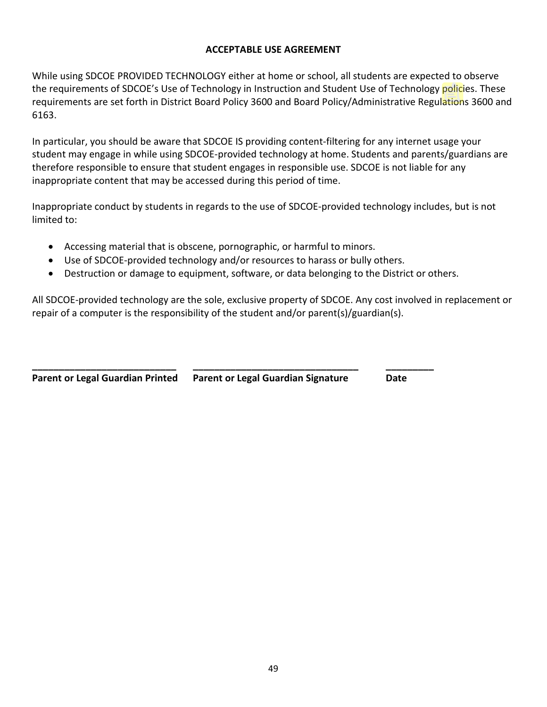#### **ACCEPTABLE USE AGREEMENT**

<span id="page-54-0"></span>While using SDCOE PROVIDED TECHNOLOGY either at home or school, all students are expected to observe the requirements of SDCOE's Use of Technology in Instruction and Student Use of Technology policies. These requirements are set forth in District Board Policy 3600 and Board Policy/Administrative Regulations 3600 and 6163.

In particular, you should be aware that SDCOE IS providing content-filtering for any internet usage your student may engage in while using SDCOE-provided technology at home. Students and parents/guardians are therefore responsible to ensure that student engages in responsible use. SDCOE is not liable for any inappropriate content that may be accessed during this period of time.

Inappropriate conduct by students in regards to the use of SDCOE-provided technology includes, but is not limited to:

- Accessing material that is obscene, pornographic, or harmful to minors.
- Use of SDCOE-provided technology and/or resources to harass or bully others.

**\_\_\_\_\_\_\_\_\_\_\_\_\_\_\_\_\_\_\_\_\_\_\_\_\_\_\_ \_\_\_\_\_\_\_\_\_\_\_\_\_\_\_\_\_\_\_\_\_\_\_\_\_\_\_\_\_\_\_ \_\_\_\_\_\_\_\_\_**

• Destruction or damage to equipment, software, or data belonging to the District or others.

All SDCOE-provided technology are the sole, exclusive property of SDCOE. Any cost involved in replacement or repair of a computer is the responsibility of the student and/or parent(s)/guardian(s).

**Parent or Legal Guardian Printed Parent or Legal Guardian Signature Date**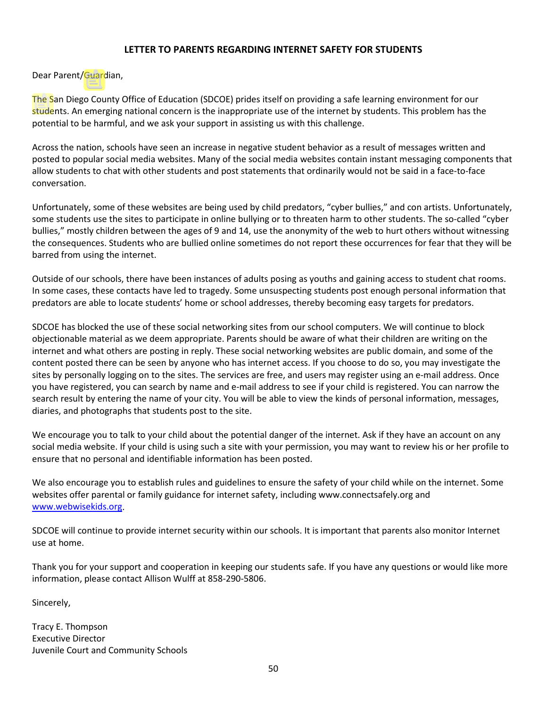#### **LETTER TO PARENTS REGARDING INTERNET SAFETY FOR STUDENTS**

<span id="page-55-0"></span>Dear Parent/Guardian,

The San Diego County Office of Education (SDCOE) prides itself on providing a safe learning environment for our students. An emerging national concern is the inappropriate use of the internet by students. This problem has the potential to be harmful, and we ask your support in assisting us with this challenge.

Across the nation, schools have seen an increase in negative student behavior as a result of messages written and posted to popular social media websites. Many of the social media websites contain instant messaging components that allow students to chat with other students and post statements that ordinarily would not be said in a face-to-face conversation.

Unfortunately, some of these websites are being used by child predators, "cyber bullies," and con artists. Unfortunately, some students use the sites to participate in online bullying or to threaten harm to other students. The so-called "cyber bullies," mostly children between the ages of 9 and 14, use the anonymity of the web to hurt others without witnessing the consequences. Students who are bullied online sometimes do not report these occurrences for fear that they will be barred from using the internet.

Outside of our schools, there have been instances of adults posing as youths and gaining access to student chat rooms. In some cases, these contacts have led to tragedy. Some unsuspecting students post enough personal information that predators are able to locate students' home or school addresses, thereby becoming easy targets for predators.

SDCOE has blocked the use of these social networking sites from our school computers. We will continue to block objectionable material as we deem appropriate. Parents should be aware of what their children are writing on the internet and what others are posting in reply. These social networking websites are public domain, and some of the content posted there can be seen by anyone who has internet access. If you choose to do so, you may investigate the sites by personally logging on to the sites. The services are free, and users may register using an e-mail address. Once you have registered, you can search by name and e-mail address to see if your child is registered. You can narrow the search result by entering the name of your city. You will be able to view the kinds of personal information, messages, diaries, and photographs that students post to the site.

We encourage you to talk to your child about the potential danger of the internet. Ask if they have an account on any social media website. If your child is using such a site with your permission, you may want to review his or her profile to ensure that no personal and identifiable information has been posted.

We also encourage you to establish rules and guidelines to ensure the safety of your child while on the internet. Some websites offer parental or family guidance for internet safety, including www.connectsafely.org and [www.webwisekids.org.](http://www.webwisekids.org/)

SDCOE will continue to provide internet security within our schools. It is important that parents also monitor Internet use at home.

Thank you for your support and cooperation in keeping our students safe. If you have any questions or would like more information, please contact Allison Wulff at 858-290-5806.

Sincerely,

Tracy E. Thompson Executive Director Juvenile Court and Community Schools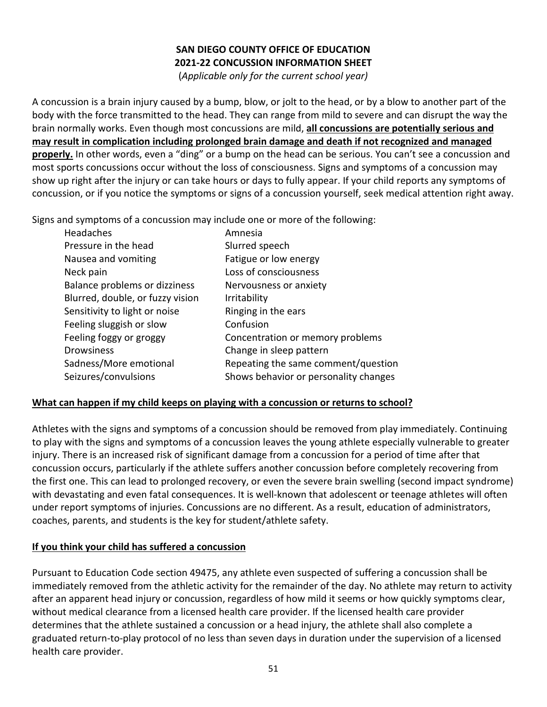# **SAN DIEGO COUNTY OFFICE OF EDUCATION 2021-22 CONCUSSION INFORMATION SHEET**

(*Applicable only for the current school year)*

<span id="page-56-0"></span>A concussion is a brain injury caused by a bump, blow, or jolt to the head, or by a blow to another part of the body with the force transmitted to the head. They can range from mild to severe and can disrupt the way the brain normally works. Even though most concussions are mild, **all concussions are potentially serious and may result in complication including prolonged brain damage and death if not recognized and managed properly.** In other words, even a "ding" or a bump on the head can be serious. You can't see a concussion and most sports concussions occur without the loss of consciousness. Signs and symptoms of a concussion may show up right after the injury or can take hours or days to fully appear. If your child reports any symptoms of concussion, or if you notice the symptoms or signs of a concussion yourself, seek medical attention right away.

Signs and symptoms of a concussion may include one or more of the following:

| Headaches                        | Amnesia                               |
|----------------------------------|---------------------------------------|
| Pressure in the head             | Slurred speech                        |
| Nausea and vomiting              | Fatigue or low energy                 |
| Neck pain                        | Loss of consciousness                 |
| Balance problems or dizziness    | Nervousness or anxiety                |
| Blurred, double, or fuzzy vision | Irritability                          |
| Sensitivity to light or noise    | Ringing in the ears                   |
| Feeling sluggish or slow         | Confusion                             |
| Feeling foggy or groggy          | Concentration or memory problems      |
| <b>Drowsiness</b>                | Change in sleep pattern               |
| Sadness/More emotional           | Repeating the same comment/question   |
| Seizures/convulsions             | Shows behavior or personality changes |

#### **What can happen if my child keeps on playing with a concussion or returns to school?**

Athletes with the signs and symptoms of a concussion should be removed from play immediately. Continuing to play with the signs and symptoms of a concussion leaves the young athlete especially vulnerable to greater injury. There is an increased risk of significant damage from a concussion for a period of time after that concussion occurs, particularly if the athlete suffers another concussion before completely recovering from the first one. This can lead to prolonged recovery, or even the severe brain swelling (second impact syndrome) with devastating and even fatal consequences. It is well-known that adolescent or teenage athletes will often under report symptoms of injuries. Concussions are no different. As a result, education of administrators, coaches, parents, and students is the key for student/athlete safety.

#### **If you think your child has suffered a concussion**

Pursuant to Education Code section 49475, any athlete even suspected of suffering a concussion shall be immediately removed from the athletic activity for the remainder of the day. No athlete may return to activity after an apparent head injury or concussion, regardless of how mild it seems or how quickly symptoms clear, without medical clearance from a licensed health care provider. If the licensed health care provider determines that the athlete sustained a concussion or a head injury, the athlete shall also complete a graduated return-to-play protocol of no less than seven days in duration under the supervision of a licensed health care provider.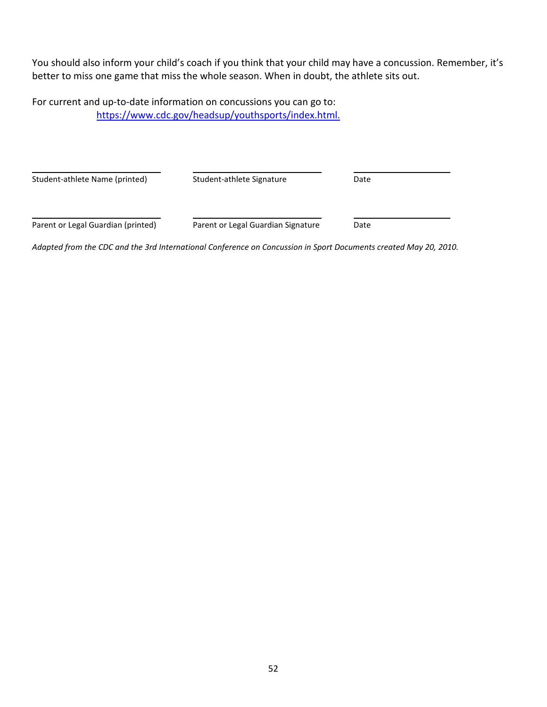You should also inform your child's coach if you think that your child may have a concussion. Remember, it's better to miss one game that miss the whole season. When in doubt, the athlete sits out.

For current and up-to-date information on concussions you can go to: [https://www.cdc.gov/headsup/youthsports/index.html.](https://www.cdc.gov/headsup/youthsports/index.html)

| Student-athlete Name (printed)     | Student-athlete Signature          | Date |  |
|------------------------------------|------------------------------------|------|--|
| Parent or Legal Guardian (printed) | Parent or Legal Guardian Signature | Date |  |

*Adapted from the CDC and the 3rd International Conference on Concussion in Sport Documents created May 20, 2010.*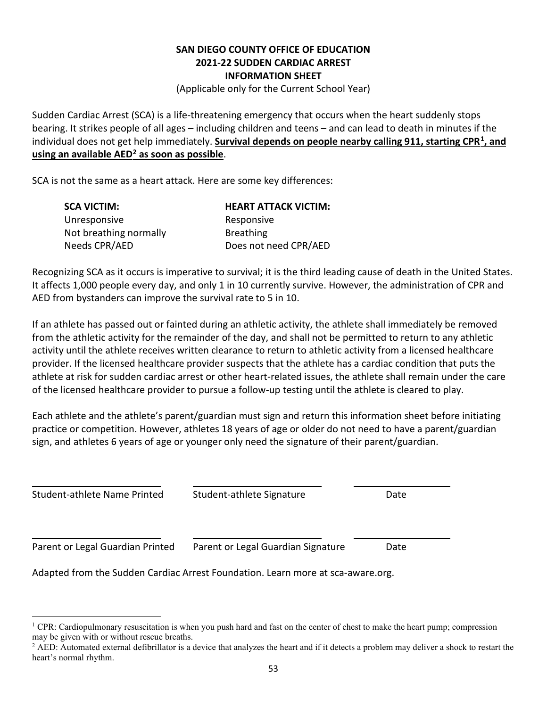#### **SAN DIEGO COUNTY OFFICE OF EDUCATION 2021-22 SUDDEN CARDIAC ARREST INFORMATION SHEET**

(Applicable only for the Current School Year)

<span id="page-58-0"></span>Sudden Cardiac Arrest (SCA) is a life-threatening emergency that occurs when the heart suddenly stops bearing. It strikes people of all ages – including children and teens – and can lead to death in minutes if the individual does not get help immediately. **Survival depends on people nearby calling 911, starting CPR[1](#page-58-1), and using an available AED[2](#page-58-2) as soon as possible**.

SCA is not the same as a heart attack. Here are some key differences:

| <b>SCA VICTIM:</b>     | <b>HEART ATTACK VICTIM:</b> |
|------------------------|-----------------------------|
| Unresponsive           | Responsive                  |
| Not breathing normally | <b>Breathing</b>            |
| Needs CPR/AED          | Does not need CPR/AED       |

Recognizing SCA as it occurs is imperative to survival; it is the third leading cause of death in the United States. It affects 1,000 people every day, and only 1 in 10 currently survive. However, the administration of CPR and AED from bystanders can improve the survival rate to 5 in 10.

If an athlete has passed out or fainted during an athletic activity, the athlete shall immediately be removed from the athletic activity for the remainder of the day, and shall not be permitted to return to any athletic activity until the athlete receives written clearance to return to athletic activity from a licensed healthcare provider. If the licensed healthcare provider suspects that the athlete has a cardiac condition that puts the athlete at risk for sudden cardiac arrest or other heart-related issues, the athlete shall remain under the care of the licensed healthcare provider to pursue a follow-up testing until the athlete is cleared to play.

Each athlete and the athlete's parent/guardian must sign and return this information sheet before initiating practice or competition. However, athletes 18 years of age or older do not need to have a parent/guardian sign, and athletes 6 years of age or younger only need the signature of their parent/guardian.

| Student-athlete Name Printed     | Student-athlete Signature          | Date |
|----------------------------------|------------------------------------|------|
| Parent or Legal Guardian Printed | Parent or Legal Guardian Signature | Date |

Adapted from the Sudden Cardiac Arrest Foundation. Learn more at sca-aware.org.

<span id="page-58-1"></span><sup>&</sup>lt;sup>1</sup> CPR: Cardiopulmonary resuscitation is when you push hard and fast on the center of chest to make the heart pump; compression may be given with or without rescue breaths.

<span id="page-58-2"></span> $<sup>2</sup>$  AED: Automated external defibrillator is a device that analyzes the heart and if it detects a problem may deliver a shock to restart the</sup> heart's normal rhythm.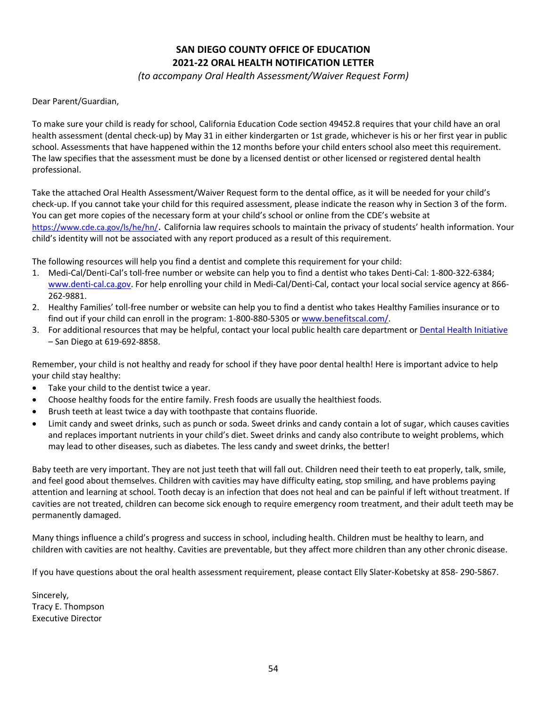# **SAN DIEGO COUNTY OFFICE OF EDUCATION 2021-22 ORAL HEALTH NOTIFICATION LETTER**

*(to accompany Oral Health Assessment/Waiver Request Form)*

<span id="page-59-0"></span>Dear Parent/Guardian,

To make sure your child is ready for school, California Education Code section 49452.8 requires that your child have an oral health assessment (dental check-up) by May 31 in either kindergarten or 1st grade, whichever is his or her first year in public school. Assessments that have happened within the 12 months before your child enters school also meet this requirement. The law specifies that the assessment must be done by a licensed dentist or other licensed or registered dental health professional.

Take the attached Oral Health Assessment/Waiver Request form to the dental office, as it will be needed for your child's check-up. If you cannot take your child for this required assessment, please indicate the reason why in Section 3 of the form. You can get more copies of the necessary form at your child's school or online from the CDE's website at <https://www.cde.ca.gov/ls/he/hn/>. California law requires schools to maintain the privacy of students' health information. Your child's identity will not be associated with any report produced as a result of this requirement.

The following resources will help you find a dentist and complete this requirement for your child:

- 1. Medi-Cal/Denti-Cal's toll-free number or website can help you to find a dentist who takes Denti-Cal: 1-800-322-6384; [www.denti-cal.ca.gov.](http://www.denti-cal.ca.gov/) For help enrolling your child in Medi-Cal/Denti-Cal, contact your local social service agency at 866- 262-9881.
- 2. Healthy Families' toll-free number or website can help you to find a dentist who takes Healthy Families insurance or to find out if your child can enroll in the program: 1-800-880-5305 or [www.benefitscal.com/.](http://www.benefitscal.com/)
- 3. For additional resources that may be helpful, contact your local public health care department or [Dental Health Initiative](https://www.sandiegocounty.gov/content/sdc/hhsa/programs/phs/dental_health_initiative_share_the_care.html) – San Diego at 619-692-8858.

Remember, your child is not healthy and ready for school if they have poor dental health! Here is important advice to help your child stay healthy:

- Take your child to the dentist twice a year.
- Choose healthy foods for the entire family. Fresh foods are usually the healthiest foods.
- Brush teeth at least twice a day with toothpaste that contains fluoride.
- Limit candy and sweet drinks, such as punch or soda. Sweet drinks and candy contain a lot of sugar, which causes cavities and replaces important nutrients in your child's diet. Sweet drinks and candy also contribute to weight problems, which may lead to other diseases, such as diabetes. The less candy and sweet drinks, the better!

Baby teeth are very important. They are not just teeth that will fall out. Children need their teeth to eat properly, talk, smile, and feel good about themselves. Children with cavities may have difficulty eating, stop smiling, and have problems paying attention and learning at school. Tooth decay is an infection that does not heal and can be painful if left without treatment. If cavities are not treated, children can become sick enough to require emergency room treatment, and their adult teeth may be permanently damaged.

Many things influence a child's progress and success in school, including health. Children must be healthy to learn, and children with cavities are not healthy. Cavities are preventable, but they affect more children than any other chronic disease.

If you have questions about the oral health assessment requirement, please contact Elly Slater-Kobetsky at 858- 290-5867.

Sincerely, Tracy E. Thompson Executive Director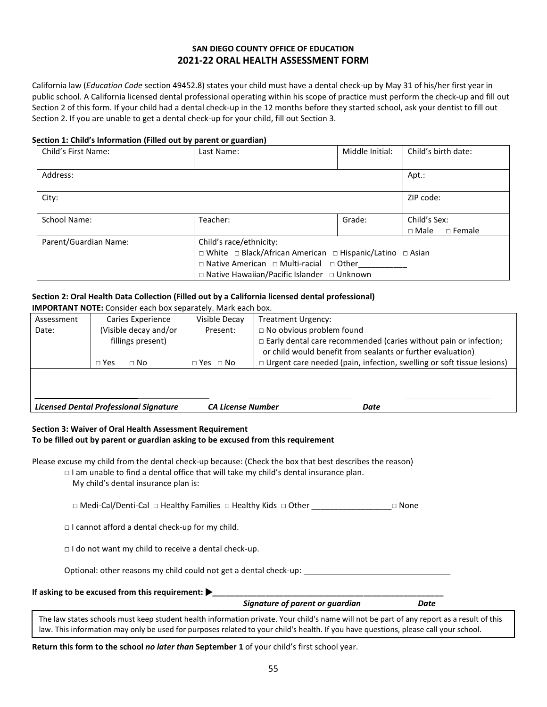#### **SAN DIEGO COUNTY OFFICE OF EDUCATION 2021-22 ORAL HEALTH ASSESSMENT FORM**

<span id="page-60-0"></span>California law (*Education Code* section 49452.8) states your child must have a dental check-up by May 31 of his/her first year in public school. A California licensed dental professional operating within his scope of practice must perform the check-up and fill out Section 2 of this form. If your child had a dental check-up in the 12 months before they started school, ask your dentist to fill out Section 2. If you are unable to get a dental check-up for your child, fill out Section 3.

#### **Section 1: Child's Information (Filled out by parent or guardian)**

| Child's First Name:   | Last Name:                                                 | Middle Initial: | Child's birth date:            |
|-----------------------|------------------------------------------------------------|-----------------|--------------------------------|
|                       |                                                            |                 |                                |
| Address:              |                                                            |                 | Apt.:                          |
|                       |                                                            |                 |                                |
| City:                 |                                                            |                 | ZIP code:                      |
|                       |                                                            |                 |                                |
| School Name:          | Teacher:                                                   | Grade:          | Child's Sex:                   |
|                       |                                                            |                 | $\sqcap$ Male<br>$\Box$ Female |
| Parent/Guardian Name: | Child's race/ethnicity:                                    |                 |                                |
|                       | □ White □ Black/African American □ Hispanic/Latino □ Asian |                 |                                |
|                       | $\Box$ Native American $\Box$ Multi-racial $\Box$ Other    |                 |                                |
|                       | □ Native Hawaiian/Pacific Islander □ Unknown               |                 |                                |

#### **Section 2: Oral Health Data Collection (Filled out by a California licensed dental professional)**

| <b>IMPORTANT NOTE:</b> Consider each box separately. Mark each box.               |                                            |                      |                                                                                                                                                                           |
|-----------------------------------------------------------------------------------|--------------------------------------------|----------------------|---------------------------------------------------------------------------------------------------------------------------------------------------------------------------|
| Assessment                                                                        | Caries Experience                          | Visible Decay        | Treatment Urgency:                                                                                                                                                        |
| Date:                                                                             | (Visible decay and/or<br>fillings present) | Present:             | $\Box$ No obvious problem found<br>$\Box$ Early dental care recommended (caries without pain or infection;<br>or child would benefit from sealants or further evaluation) |
|                                                                                   | $\Box$ Yes<br>$\sqcap$ No                  | $\Box$ Yes $\Box$ No | □ Urgent care needed (pain, infection, swelling or soft tissue lesions)                                                                                                   |
| <b>Licensed Dental Professional Signature</b><br><b>CA License Number</b><br>Date |                                            |                      |                                                                                                                                                                           |

#### **Section 3: Waiver of Oral Health Assessment Requirement To be filled out by parent or guardian asking to be excused from this requirement**

Please excuse my child from the dental check-up because: (Check the box that best describes the reason)

- $\Box$  I am unable to find a dental office that will take my child's dental insurance plan.
	- My child's dental insurance plan is:

□ Medi-Cal/Denti-Cal □ Healthy Families □ Healthy Kids □ Other \_\_\_\_\_\_\_\_\_\_\_\_\_\_\_\_\_\_\_\_ □ None

 $\Box$  I cannot afford a dental check-up for my child.

□ I do not want my child to receive a dental check-up.

Optional: other reasons my child could not get a dental check-up:

| If asking to be excused from this requirement: $\blacktriangleright$ |  |
|----------------------------------------------------------------------|--|
|----------------------------------------------------------------------|--|

 *Signature of parent or guardian Date*

The law states schools must keep student health information private. Your child's name will not be part of any report as a result of this law. This information may only be used for purposes related to your child's health. If you have questions, please call your school.

**Return this form to the school** *no later than* **September 1** of your child's first school year.